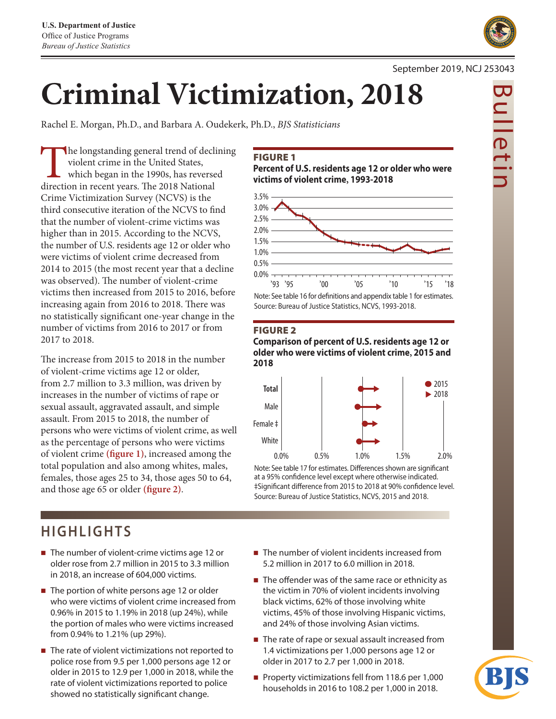

Rachel E. Morgan, Ph.D., and Barbara A. Oudekerk, Ph.D., *BJS Statisticians*

The longstanding general trend of declining violent crime in the United States, which began in the 1990s, has reversed direction in recent years. The 2018 National Crime Victimization Survey (NCVS) is the third consecutive iteration of the NCVS to find that the number of violent-crime victims was higher than in 2015. According to the NCVS, the number of U.S. residents age 12 or older who were victims of violent crime decreased from 2014 to 2015 (the most recent year that a decline was observed). The number of violent-crime victims then increased from 2015 to 2016, before increasing again from 2016 to 2018. There was no statistically significant one-year change in the number of victims from 2016 to 2017 or from 2017 to 2018.

The increase from 2015 to 2018 in the number of violent-crime victims age 12 or older, from 2.7 million to 3.3 million, was driven by increases in the number of victims of rape or sexual assault, aggravated assault, and simple assault. From 2015 to 2018, the number of persons who were victims of violent crime, as well as the percentage of persons who were victims of violent crime **(figure 1)**, increased among the total population and also among whites, males, females, those ages 25 to 34, those ages 50 to 64, and those age 65 or older **(figure 2)**.

# **HIGHLIGHTS**

- $\blacksquare$  The number of violent-crime victims age 12 or older rose from 2.7 million in 2015 to 3.3 million in 2018, an increase of 604,000 victims.
- $\blacksquare$  The portion of white persons age 12 or older who were victims of violent crime increased from 0.96% in 2015 to 1.19% in 2018 (up 24%), while the portion of males who were victims increased from 0.94% to 1.21% (up 29%).
- The rate of violent victimizations not reported to police rose from 9.5 per 1,000 persons age 12 or older in 2015 to 12.9 per 1,000 in 2018, while the rate of violent victimizations reported to police showed no statistically significant change.

#### FIGURE 1

**Percent of U.S. residents age 12 or older who were victims of violent crime, 1993-2018**



#### FIGURE 2

**Comparison of percent of U.S. residents age 12 or older who were victims of violent crime, 2015 and 2018**



Note: See table 17 for estimates. Differences shown are significant at a 95% confidence level except where otherwise indicated. ‡Significant difference from 2015 to 2018 at 90% confidence level. Source: Bureau of Justice Statistics, NCVS, 2015 and 2018.

- The number of violent incidents increased from 5.2 million in 2017 to 6.0 million in 2018.
- $\blacksquare$  The offender was of the same race or ethnicity as the victim in 70% of violent incidents involving black victims, 62% of those involving white victims, 45% of those involving Hispanic victims, and 24% of those involving Asian victims.
- The rate of rape or sexual assault increased from 1.4 victimizations per 1,000 persons age 12 or older in 2017 to 2.7 per 1,000 in 2018.
- **Property victimizations fell from 118.6 per 1,000** households in 2016 to 108.2 per 1,000 in 2018.

## September 2019, NCJ 253043

Bulletin  $\frac{\overline{D}}{\overline{D}}$ 

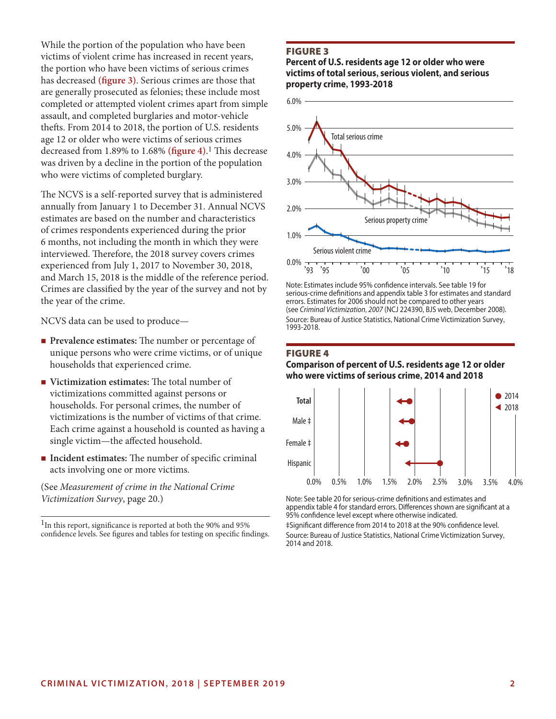While the portion of the population who have been victims of violent crime has increased in recent years, the portion who have been victims of serious crimes has decreased **(figure 3)**. Serious crimes are those that are generally prosecuted as felonies; these include most completed or attempted violent crimes apart from simple assault, and completed burglaries and motor-vehicle thefts. From 2014 to 2018, the portion of U.S. residents age 12 or older who were victims of serious crimes decreased from 1.89% to 1.68% **(figure 4)**. 1 This decrease was driven by a decline in the portion of the population who were victims of completed burglary.

The NCVS is a self-reported survey that is administered annually from January 1 to December 31. Annual NCVS estimates are based on the number and characteristics of crimes respondents experienced during the prior 6 months, not including the month in which they were interviewed. Therefore, the 2018 survey covers crimes experienced from July 1, 2017 to November 30, 2018, and March 15, 2018 is the middle of the reference period. Crimes are classified by the year of the survey and not by the year of the crime.

NCVS data can be used to produce—

- **Prevalence estimates:** The number or percentage of unique persons who were crime victims, or of unique households that experienced crime.
- Victimization estimates: The total number of victimizations committed against persons or households. For personal crimes, the number of victimizations is the number of victims of that crime. Each crime against a household is counted as having a single victim—the affected household.
- **Incident estimates:** The number of specific criminal acts involving one or more victims.

(See *Measurement of crime in the National Crime Victimization Survey*, page 20.)

1In this report, significance is reported at both the 90% and 95% confidence levels. See figures and tables for testing on specific findings.

#### FIGURE 3

#### **Percent of U.S. residents age 12 or older who were victims of total serious, serious violent, and serious property crime, 1993-2018**



Note: Estimates include 95% confidence intervals. See table 19 for serious-crime definitions and appendix table 3 for estimates and standard errors. Estimates for 2006 should not be compared to other years (see Crim*inal Victimization, 2007* (NCJ 224390, BJS web, December 2008). Source: Bureau of Justice Statistics, National Crime Victimization Survey, 1993-2018.

#### FIGURE 4 **Comparison of percent of U.S. residents age 12 or older who were victims of serious crime, 2014 and 2018**



Note: See table 20 for serious-crime definitions and estimates and appendix table 4 for standard errors. Differences shown are significant at a 95% confidence level except where otherwise indicated.

‡Significant difference from 2014 to 2018 at the 90% confidence level. Source: Bureau of Justice Statistics, National Crime Victimization Survey, 2014 and 2018.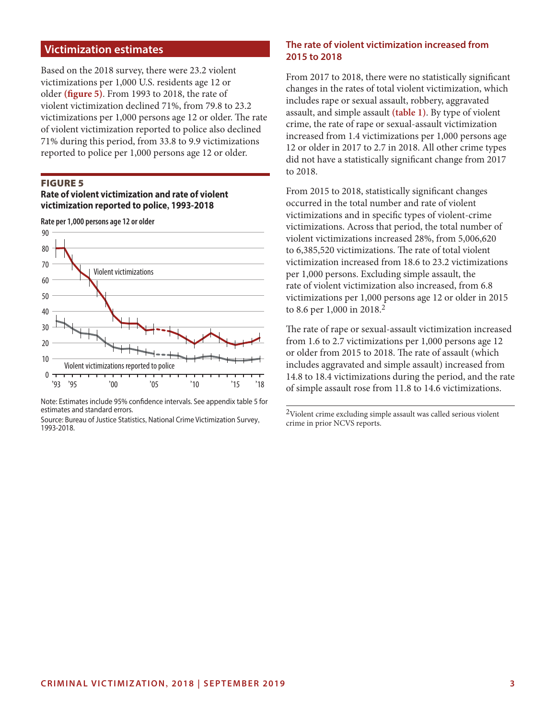## **Victimization estimates**

Based on the 2018 survey, there were 23.2 violent victimizations per 1,000 U.S. residents age 12 or older **(figure 5)**. From 1993 to 2018, the rate of violent victimization declined 71%, from 79.8 to 23.2 victimizations per 1,000 persons age 12 or older. The rate of violent victimization reported to police also declined 71% during this period, from 33.8 to 9.9 victimizations reported to police per 1,000 persons age 12 or older.

#### FIGURE 5

#### **Rate of violent victimization and rate of violent victimization reported to police, 1993-2018**



Note: Estimates include 95% confidence intervals. See appendix table 5 for estimates and standard errors.

Source: Bureau of Justice Statistics, National Crime Victimization Survey, 1993-2018.

## **The rate of violent victimization increased from 2015 to 2018**

From 2017 to 2018, there were no statistically significant changes in the rates of total violent victimization, which includes rape or sexual assault, robbery, aggravated assault, and simple assault **(table 1)**. By type of violent crime, the rate of rape or sexual-assault victimization increased from 1.4 victimizations per 1,000 persons age 12 or older in 2017 to 2.7 in 2018. All other crime types did not have a statistically significant change from 2017 to 2018.

From 2015 to 2018, statistically significant changes occurred in the total number and rate of violent victimizations and in specific types of violent-crime victimizations. Across that period, the total number of violent victimizations increased 28%, from 5,006,620 to 6,385,520 victimizations. The rate of total violent victimization increased from 18.6 to 23.2 victimizations per 1,000 persons. Excluding simple assault, the rate of violent victimization also increased, from 6.8 victimizations per 1,000 persons age 12 or older in 2015 to 8.6 per 1,000 in 2018.2

The rate of rape or sexual-assault victimization increased from 1.6 to 2.7 victimizations per 1,000 persons age 12 or older from 2015 to 2018. The rate of assault (which includes aggravated and simple assault) increased from 14.8 to 18.4 victimizations during the period, and the rate of simple assault rose from 11.8 to 14.6 victimizations.

2Violent crime excluding simple assault was called serious violent crime in prior NCVS reports.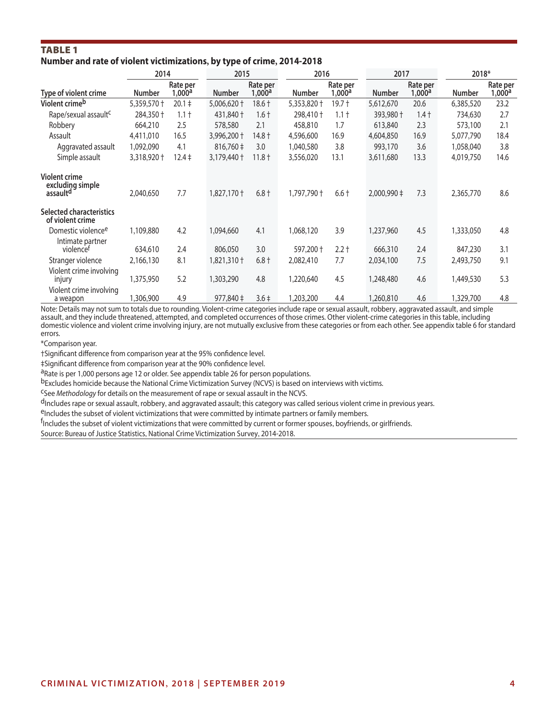## Table 1 **Number and rate of violent victimizations, by type of crime, 2014-2018**

|                                                                  | 2014          |                    | 2015          |                    | 2016          |                    | 2017          |                    | 2018*         |                    |
|------------------------------------------------------------------|---------------|--------------------|---------------|--------------------|---------------|--------------------|---------------|--------------------|---------------|--------------------|
| Type of violent crime                                            | <b>Number</b> | Rate per<br>1,000a | <b>Number</b> | Rate per<br>1,000a | <b>Number</b> | Rate per<br>1,000a | <b>Number</b> | Rate per<br>1,000a | <b>Number</b> | Rate per<br>1,000a |
| Violent crimeb                                                   | 5,359,570 +   | $20.1 \pm$         | 5,006,620 +   | $18.6 +$           | 5,353,820 +   | 19.7 †             | 5,612,670     | 20.6               | 6,385,520     | 23.2               |
| Rape/sexual assault <sup>c</sup>                                 | 284,350 +     | $1.1 +$            | 431,840 +     | $1.6 +$            | 298,410 +     | $1.1+$             | 393,980 +     | $1.4 +$            | 734,630       | 2.7                |
| Robbery                                                          | 664,210       | 2.5                | 578,580       | 2.1                | 458,810       | 1.7                | 613,840       | 2.3                | 573,100       | 2.1                |
| Assault                                                          | 4,411,010     | 16.5               | 3,996,200 +   | 14.8 †             | 4,596,600     | 16.9               | 4,604,850     | 16.9               | 5,077,790     | 18.4               |
| Aggravated assault                                               | 1,092,090     | 4.1                | 816,760 ‡     | 3.0                | 1,040,580     | 3.8                | 993,170       | 3.6                | 1,058,040     | 3.8                |
| Simple assault                                                   | 3,318,920 +   | $12.4 \pm$         | 3,179,440 +   | $11.8 +$           | 3,556,020     | 13.1               | 3,611,680     | 13.3               | 4,019,750     | 14.6               |
| <b>Violent crime</b><br>excluding simple<br>assault <sup>d</sup> | 2,040,650     | 7.7                | 1,827,170 +   | $6.8 +$            | 1,797,790 +   | $6.6 +$            | 2,000,990 ‡   | 7.3                | 2,365,770     | 8.6                |
| <b>Selected characteristics</b><br>of violent crime              |               |                    |               |                    |               |                    |               |                    |               |                    |
| Domestic violence <sup>e</sup>                                   | 1,109,880     | 4.2                | 1,094,660     | 4.1                | 1,068,120     | 3.9                | 1,237,960     | 4.5                | 1,333,050     | 4.8                |
| Intimate partner<br>violencet                                    | 634,610       | 2.4                | 806,050       | 3.0                | 597,200 +     | $2.2 +$            | 666,310       | 2.4                | 847,230       | 3.1                |
| Stranger violence                                                | 2,166,130     | 8.1                | 1,821,310†    | $6.8 +$            | 2,082,410     | 7.7                | 2,034,100     | 7.5                | 2,493,750     | 9.1                |
| Violent crime involving<br>injury                                | 1,375,950     | 5.2                | 1,303,290     | 4.8                | 1,220,640     | 4.5                | 1,248,480     | 4.6                | 1,449,530     | 5.3                |
| Violent crime involving<br>a weapon                              | 1,306,900     | 4.9                | 977,840 ‡     | $3.6+$             | ,203,200      | 4.4                | 1,260,810     | 4.6                | 1,329,700     | 4.8                |

Note: Details may not sum to totals due to rounding. Violent-crime categories include rape or sexual assault, robbery, aggravated assault, and simple assault, and they include threatened, attempted, and completed occurrences of those crimes. Other violent-crime categories in this table, including domestic violence and violent crime involving injury, are not mutually exclusive from these categories or from each other. See appendix table 6 for standard errors.

\*Comparison year.

†Significant difference from comparison year at the 95% confidence level.

‡Significant difference from comparison year at the 90% confidence level.

aRate is per 1,000 persons age 12 or older. See appendix table 26 for person populations.

bExcludes homicide because the National Crime Victimization Survey (NCVS) is based on interviews with victims.

cSee *Methodology* for details on the measurement of rape or sexual assault in the NCVS.

<sup>d</sup>Includes rape or sexual assault, robbery, and aggravated assault; this category was called serious violent crime in previous years.<br><sup>e</sup>Includes the subset of violent victimizations that were committed by intimate partne

<sup>f</sup>Includes the subset of violent victimizations that were committed by current or former spouses, boyfriends, or girlfriends.

Source: Bureau of Justice Statistics, National Crime Victimization Survey, 2014-2018.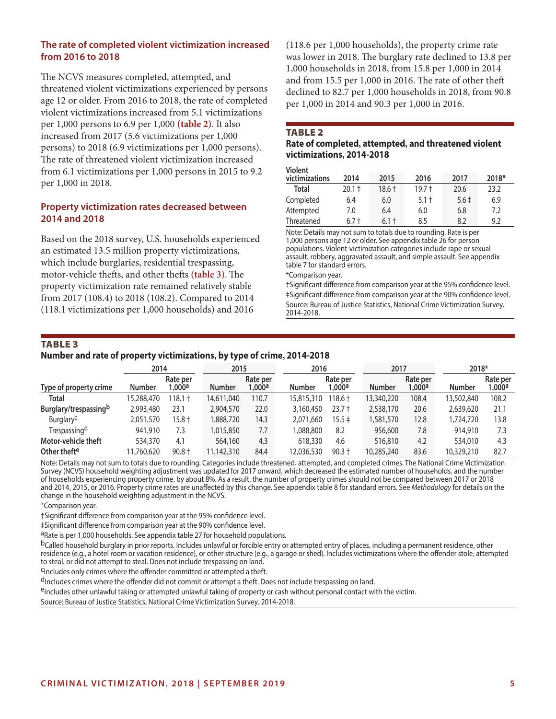## **The rate of completed violent victimization increased from 2016 to 2018**

The NCVS measures completed, attempted, and threatened violent victimizations experienced by persons age 12 or older. From 2016 to 2018, the rate of completed violent victimizations increased from 5.1 victimizations per 1,000 persons to 6.9 per 1,000 **(table 2)**. It also increased from 2017 (5.6 victimizations per 1,000 persons) to 2018 (6.9 victimizations per 1,000 persons). The rate of threatened violent victimization increased from 6.1 victimizations per 1,000 persons in 2015 to 9.2 per 1,000 in 2018.

## **Property victimization rates decreased between 2014 and 2018**

Based on the 2018 survey, U.S. households experienced an estimated 13.5 million property victimizations, which include burglaries, residential trespassing, motor-vehicle thefts, and other thefts **(table 3)**.The property victimization rate remained relatively stable from 2017 (108.4) to 2018 (108.2). Compared to 2014 (118.1 victimizations per 1,000 households) and 2016

(118.6 per 1,000 households), the property crime rate was lower in 2018. The burglary rate declined to 13.8 per 1,000 households in 2018, from 15.8 per 1,000 in 2014 and from 15.5 per 1,000 in 2016. The rate of other theft declined to 82.7 per 1,000 households in 2018, from 90.8 per 1,000 in 2014 and 90.3 per 1,000 in 2016.

#### **TABLE 2**

## **Rate of completed, attempted, and threatened violent victimizations, 2014-2018**

| <b>Violent</b> |            |         |         |           |       |
|----------------|------------|---------|---------|-----------|-------|
| victimizations | 2014       | 2015    | 2016    | 2017      | 2018* |
| Total          | $20.1 \pm$ | 18.6 †  | 19.7 †  | 20.6      | 23.2  |
| Completed      | 6.4        | 6.0     | $5.1 +$ | $5.6 \pm$ | 6.9   |
| Attempted      | 7.0        | 6.4     | 6.0     | 6.8       | 7.2   |
| Threatened     | 6.7 t      | $6.1 +$ | 8.5     | 8.2       | 9.2   |

Note: Details may not sum to totals due to rounding. Rate is per 1,000 persons age 12 or older. See appendix table 26 for person populations. Violent-victimization categories include rape or sexual assault, robbery, aggravated assault, and simple assault. See appendix table 7 for standard errors.

\*Comparison year.

†Significant difference from comparison year at the 95% confidence level. ‡Significant difference from comparison year at the 90% confidence level. Source: Bureau of Justice Statistics, National Crime Victimization Survey, 2014-2018.

## **TABLE 3**

#### **Number and rate of property victimizations, by type of crime, 2014-2018**

|                          | 2014          |                    | 2015          |                    | 2016          |                                  | 2017          |                    | 2018*         |                    |
|--------------------------|---------------|--------------------|---------------|--------------------|---------------|----------------------------------|---------------|--------------------|---------------|--------------------|
| Type of property crime   | <b>Number</b> | Rate per<br>0.000a | <b>Number</b> | Rate per<br>1,000a | <b>Number</b> | Rate per<br>$1.000^{\mathsf{a}}$ | <b>Number</b> | Rate per<br>0.000a | <b>Number</b> | Rate per<br>1,000a |
| <b>Total</b>             | 15,288,470    | $18.1 +$           | 14,611,040    | 110.7              | 15,815,310    | 118.6†                           | 13,340,220    | 108.4              | 13,502,840    | 108.2              |
| Burglary/trespassingb    | 2,993,480     | 23.1               | 2,904,570     | 22.0               | 3,160,450     | $23.7 +$                         | 2,538,170     | 20.6               | 2,639,620     | 21.1               |
| Burglary <sup>c</sup>    | 2,051,570     | $15.8 +$           | 1,888,720     | 14.3               | 2,071,660     | 15.5 ‡                           | 1,581,570     | 12.8               | 1,724,720     | 13.8               |
| Trespassing <sup>d</sup> | 941,910       | 7.3                | 1,015,850     | 7.7                | 1,088,800     | 8.2                              | 956,600       | 7.8                | 914,910       | 7.3                |
| Motor-vehicle theft      | 534,370       | 4.1                | 564,160       | 4.3                | 618,330       | 4.6                              | 516,810       | 4.2                | 534,010       | 4.3                |
| Other thefte             | 11,760,620    | $90.8 +$           | 11,142,310    | 84.4               | 12.036.530    | $90.3 +$                         | 10,285,240    | 83.6               | 10,329,210    | 82.7               |

Note: Details may not sum to totals due to rounding. Categories include threatened, attempted, and completed crimes. The National Crime Victimization Survey (NCVS) household weighting adjustment was updated for 2017 onward, which decreased the estimated number of households, and the number of households experiencing property crime, by about 8%. As a result, the number of property crimes should not be compared between 2017 or 2018 and 2014, 2015, or 2016. Property crime rates are unaffected by this change. See appendix table 8 for standard errors. See *Methodology* for details on the change in the household weighting adjustment in the NCVS.

\*Comparison year.

†Significant difference from comparison year at the 95% confidence level.

‡Significant difference from comparison year at the 90% confidence level.

aRate is per 1,000 households. See appendix table 27 for household populations.

bCalled household burglary in prior reports. Includes unlawful or forcible entry or attempted entry of places, including a permanent residence, other residence (e.g., a hotel room or vacation residence), or other structure (e.g., a garage or shed). Includes victimizations where the offender stole, attempted<br>to steal, or did not attempt to steal. Does not include trespas

<sup>C</sup>Includes only crimes where the offender committed or attempted a theft.

dIncludes crimes where the offender did not commit or attempt a theft. Does not include trespassing on land.

eIncludes other unlawful taking or attempted unlawful taking of property or cash without personal contact with the victim.

Source: Bureau of Justice Statistics, National Crime Victimization Survey, 2014-2018.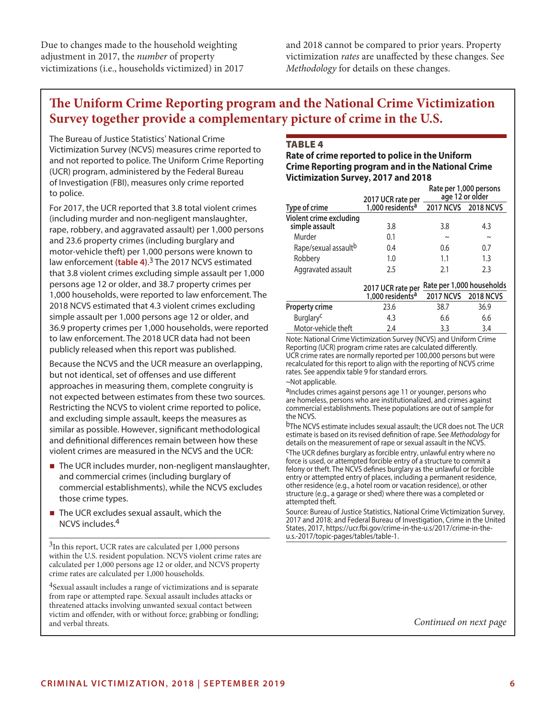Due to changes made to the household weighting adjustment in 2017, the *number* of property victimizations (i.e., households victimized) in 2017 and 2018 cannot be compared to prior years. Property victimization *rates* are unaffected by these changes. See *Methodology* for details on these changes.

# **The Uniform Crime Reporting program and the National Crime Victimization Survey together provide a complementary picture of crime in the U.S.**

The Bureau of Justice Statistics' National Crime Victimization Survey (NCVS) measures crime reported to and not reported to police. The Uniform Crime Reporting (UCR) program, administered by the Federal Bureau of Investigation (FBI), measures only crime reported to police.

For 2017, the UCR reported that 3.8 total violent crimes (including murder and non-negligent manslaughter, rape, robbery, and aggravated assault) per 1,000 persons and 23.6 property crimes (including burglary and motor-vehicle theft) per 1,000 persons were known to law enforcement **(table 4)**. 3 The 2017 NCVS estimated that 3.8 violent crimes excluding simple assault per 1,000 persons age 12 or older, and 38.7 property crimes per 1,000 households, were reported to law enforcement. The 2018 NCVS estimated that 4.3 violent crimes excluding simple assault per 1,000 persons age 12 or older, and 36.9 property crimes per 1,000 households, were reported to law enforcement. The 2018 UCR data had not been publicly released when this report was published.

Because the NCVS and the UCR measure an overlapping, but not identical, set of offenses and use different approaches in measuring them, complete congruity is not expected between estimates from these two sources. Restricting the NCVS to violent crime reported to police, and excluding simple assault, keeps the measures as similar as possible. However, significant methodological and definitional differences remain between how these violent crimes are measured in the NCVS and the UCR:

- The UCR includes murder, non-negligent manslaughter, and commercial crimes (including burglary of commercial establishments), while the NCVS excludes those crime types.
- $\blacksquare$  The UCR excludes sexual assault, which the NCVS includes.4

<sup>3</sup>In this report, UCR rates are calculated per 1,000 persons within the U.S. resident population. NCVS violent crime rates are calculated per 1,000 persons age 12 or older, and NCVS property crime rates are calculated per 1,000 households.

<sup>4</sup>Sexual assault includes a range of victimizations and is separate from rape or attempted rape. Sexual assault includes attacks or threatened attacks involving unwanted sexual contact between victim and offender, with or without force; grabbing or fondling; and verbal threats.

## **TABLE 4**

### **Rate of crime reported to police in the Uniform Crime Reporting program and in the National Crime Victimization Survey, 2017 and 2018**

|                                           |                                                   | Rate per 1,000 persons<br>age 12 or older |        |  |  |
|-------------------------------------------|---------------------------------------------------|-------------------------------------------|--------|--|--|
| Type of crime                             | 2017 UCR rate per<br>1,000 residents <sup>a</sup> | 2017 NCVS 2018 NCVS                       |        |  |  |
| Violent crime excluding<br>simple assault | 3.8                                               | 3.8                                       | 4.3    |  |  |
| Murder                                    | 0.1                                               | $\sim$                                    | $\sim$ |  |  |
| Rape/sexual assault <sup>b</sup>          | 0.4                                               | 0.6                                       | 0.7    |  |  |
| Robbery                                   | 1.0                                               | 1.1                                       | 1.3    |  |  |
| Aggravated assault                        | 2.5                                               | 21                                        | 2.3    |  |  |

## **2017 UCR rate per Rate per 1,000 households**

|                       | $1,000$ residents <sup>a</sup> | 2017 NCVS 2018 NCVS |      |
|-----------------------|--------------------------------|---------------------|------|
| <b>Property crime</b> | 23.6                           | 38.7                | 36.9 |
| Burglary <sup>c</sup> | 4.3                            | 6.6                 | 6.6  |
| Motor-vehicle theft   | 2.4                            | 3.3                 | 3.4  |

Note: National Crime Victimization Survey (NCVS) and Uniform Crime Reporting (UCR) program crime rates are calculated differently. UCR crime rates are normally reported per 100,000 persons but were recalculated for this report to align with the reporting of NCVS crime rates. See appendix table 9 for standard errors.

~Not applicable.

aIncludes crimes against persons age 11 or younger, persons who are homeless, persons who are institutionalized, and crimes against commercial establishments. These populations are out of sample for the NCVS.

b<sub>The NCVS</sub> estimate includes sexual assault; the UCR does not. The UCR estimate is based on its revised definition of rape. See *Methodology* for details on the measurement of rape or sexual assault in the NCVS.

cThe UCR defines burglary as forcible entry, unlawful entry where no force is used, or attempted forcible entry of a structure to commit a felony or theft. The NCVS defines burglary as the unlawful or forcible entry or attempted entry of places, including a permanent residence, other residence (e.g., a hotel room or vacation residence), or other structure (e.g., a garage or shed) where there was a completed or attempted theft.

Source: Bureau of Justice Statistics, National Crime Victimization Survey, 2017 and 2018; and Federal Bureau of Investigation, Crime in the United States, 2017, [https://ucr.fbi.gov/crime-in-the-u.s/2017/crime-in-the](https://ucr.fbi.gov/crime-in-the-u.s/2017/crime-in-the-u.s.-2017/topic-pages/tables/table-1)[u.s.-2017/topic-pages/tables/table-1.](https://ucr.fbi.gov/crime-in-the-u.s/2017/crime-in-the-u.s.-2017/topic-pages/tables/table-1)

*Continued on next page*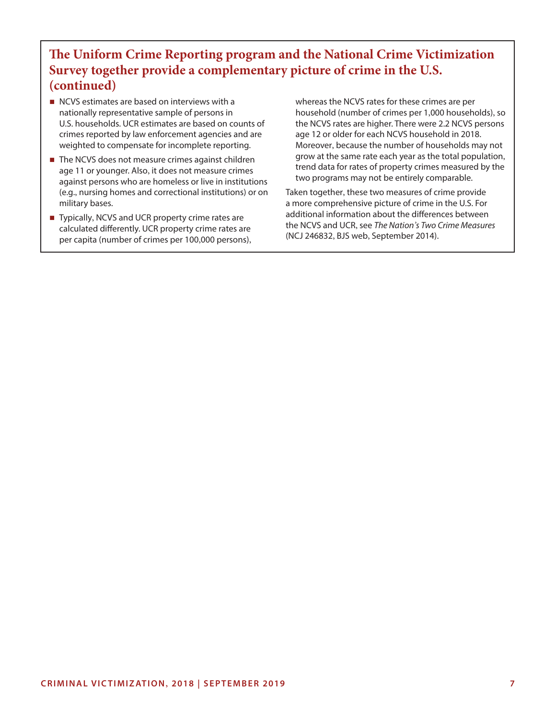# **The Uniform Crime Reporting program and the National Crime Victimization Survey together provide a complementary picture of crime in the U.S. (continued)**

- NCVS estimates are based on interviews with a nationally representative sample of persons in U.S. households. UCR estimates are based on counts of crimes reported by law enforcement agencies and are weighted to compensate for incomplete reporting.
- The NCVS does not measure crimes against children age 11 or younger. Also, it does not measure crimes against persons who are homeless or live in institutions (e.g., nursing homes and correctional institutions) or on military bases.
- Typically, NCVS and UCR property crime rates are calculated differently. UCR property crime rates are per capita (number of crimes per 100,000 persons),

whereas the NCVS rates for these crimes are per household (number of crimes per 1,000 households), so the NCVS rates are higher. There were 2.2 NCVS persons age 12 or older for each NCVS household in 2018. Moreover, because the number of households may not grow at the same rate each year as the total population, trend data for rates of property crimes measured by the two programs may not be entirely comparable.

Taken together, these two measures of crime provide a more comprehensive picture of crime in the U.S. For additional information about the differences between the NCVS and UCR, see *The Nation's Two Crime Measures* (NCJ 246832, BJS web, September 2014).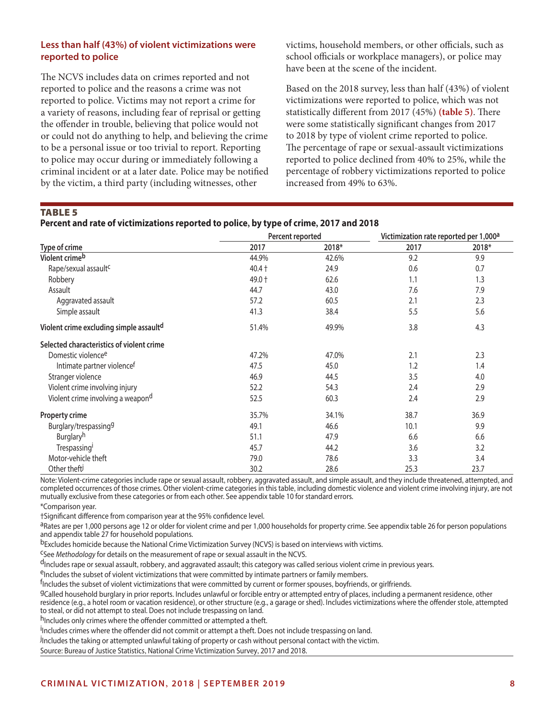## **Less than half (43%) of violent victimizations were reported to police**

The NCVS includes data on crimes reported and not reported to police and the reasons a crime was not reported to police. Victims may not report a crime for a variety of reasons, including fear of reprisal or getting the offender in trouble, believing that police would not or could not do anything to help, and believing the crime to be a personal issue or too trivial to report. Reporting to police may occur during or immediately following a criminal incident or at a later date. Police may be notified by the victim, a third party (including witnesses, other

victims, household members, or other officials, such as school officials or workplace managers), or police may have been at the scene of the incident.

Based on the 2018 survey, less than half (43%) of violent victimizations were reported to police, which was not statistically different from 2017 (45%) **(table 5)**. There were some statistically significant changes from 2017 to 2018 by type of violent crime reported to police. The percentage of rape or sexual-assault victimizations reported to police declined from 40% to 25%, while the percentage of robbery victimizations reported to police increased from 49% to 63%.

### TABLE<sub>5</sub>

|                                           | Percent reported |       | Victimization rate reported per 1,000 <sup>a</sup> |       |  |
|-------------------------------------------|------------------|-------|----------------------------------------------------|-------|--|
| Type of crime                             | 2017             | 2018* | 2017                                               | 2018* |  |
| Violent crime <sup>b</sup>                | 44.9%            | 42.6% | 9.2                                                | 9.9   |  |
| Rape/sexual assault <sup>c</sup>          | $40.4 +$         | 24.9  | 0.6                                                | 0.7   |  |
| Robbery                                   | 49.0 +           | 62.6  | 1.1                                                | 1.3   |  |
| Assault                                   | 44.7             | 43.0  | 7.6                                                | 7.9   |  |
| Aggravated assault                        | 57.2             | 60.5  | 2.1                                                | 2.3   |  |
| Simple assault                            | 41.3             | 38.4  | 5.5                                                | 5.6   |  |
| Violent crime excluding simple assaultd   | 51.4%            | 49.9% | 3.8                                                | 4.3   |  |
| Selected characteristics of violent crime |                  |       |                                                    |       |  |
| Domestic violence <sup>e</sup>            | 47.2%            | 47.0% | 2.1                                                | 2.3   |  |
| Intimate partner violencef                | 47.5             | 45.0  | 1.2                                                | 1.4   |  |
| Stranger violence                         | 46.9             | 44.5  | 3.5                                                | 4.0   |  |
| Violent crime involving injury            | 52.2             | 54.3  | 2.4                                                | 2.9   |  |
| Violent crime involving a weapond         | 52.5             | 60.3  | 2.4                                                | 2.9   |  |
| <b>Property crime</b>                     | 35.7%            | 34.1% | 38.7                                               | 36.9  |  |
| Burglary/trespassing <sup>9</sup>         | 49.1             | 46.6  | 10.1                                               | 9.9   |  |
| Burglaryh                                 | 51.1             | 47.9  | 6.6                                                | 6.6   |  |
| Trespassing <sup>1</sup>                  | 45.7             | 44.2  | 3.6                                                | 3.2   |  |
| Motor-vehicle theft                       | 79.0             | 78.6  | 3.3                                                | 3.4   |  |
| Other theft <sup>j</sup>                  | 30.2             | 28.6  | 25.3                                               | 23.7  |  |

Note: Violent-crime categories include rape or sexual assault, robbery, aggravated assault, and simple assault, and they include threatened, attempted, and completed occurrences of those crimes. Other violent-crime categories in this table, including domestic violence and violent crime involving injury, are not mutually exclusive from these categories or from each other. See appendix table 10 for standard errors.

\*Comparison year.

†Significant difference from comparison year at the 95% confidence level.

aRates are per 1,000 persons age 12 or older for violent crime and per 1,000 households for property crime. See appendix table 26 for person populations and appendix table 27 for household populations.

bExcludes homicide because the National Crime Victimization Survey (NCVS) is based on interviews with victims.

cSee *Methodology* for details on the measurement of rape or sexual assault in the NCVS.

dincludes rape or sexual assault, robbery, and aggravated assault; this category was called serious violent crime in previous years.<br><sup>e</sup>includes the subset of violent victimizations that were committed by intimate partners

<sup>f</sup>Includes the subset of violent victimizations that were committed by current or former spouses, boyfriends, or girlfriends.

gCalled household burglary in prior reports. Includes unlawful or forcible entry or attempted entry of places, including a permanent residence, other residence (e.g., a hotel room or vacation residence), or other structure (e.g., a garage or shed). Includes victimizations where the offender stole, attempted to steal, or did not attempt to steal. Does not include trespassing on land.

h<sub>Includes only crimes where the offender committed or attempted a theft.</sub>

.<br><sup>I</sup>Includes crimes where the offender did not commit or attempt a theft. Does not include trespassing on land.

.<br>Includes the taking or attempted unlawful taking of property or cash without personal contact with the victim.

Source: Bureau of Justice Statistics, National Crime Victimization Survey, 2017 and 2018.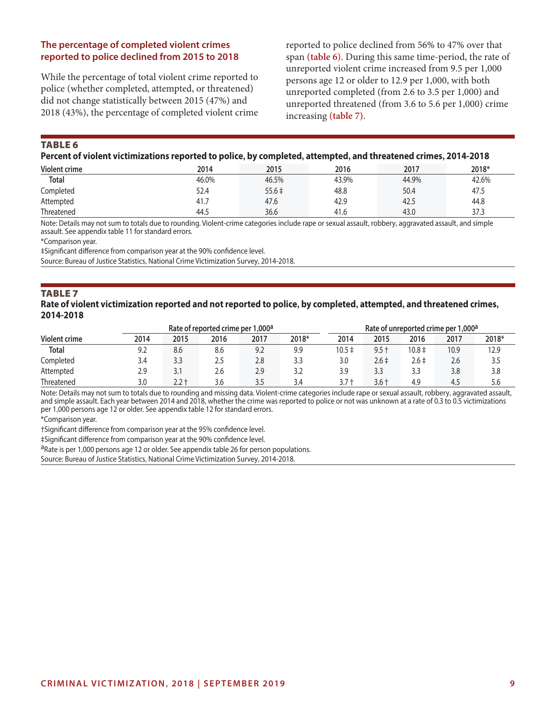## **The percentage of completed violent crimes reported to police declined from 2015 to 2018**

While the percentage of total violent crime reported to police (whether completed, attempted, or threatened) did not change statistically between 2015 (47%) and 2018 (43%), the percentage of completed violent crime

reported to police declined from 56% to 47% over that span **(table 6)**. During this same time-period, the rate of unreported violent crime increased from 9.5 per 1,000 persons age 12 or older to 12.9 per 1,000, with both unreported completed (from 2.6 to 3.5 per 1,000) and unreported threatened (from 3.6 to 5.6 per 1,000) crime increasing **(table 7)**.

TABLE<sub>6</sub>

|  | Percent of violent victimizations reported to police, by completed, attempted, and threatened crimes, 2014-2018 |
|--|-----------------------------------------------------------------------------------------------------------------|
|--|-----------------------------------------------------------------------------------------------------------------|

| Violent crime | 2014  | 2015       | 2016  | 2017  | 2018* |
|---------------|-------|------------|-------|-------|-------|
| <b>Total</b>  | 46.0% | 46.5%      | 43.9% | 44.9% | 42.6% |
| Completed     | 52.4  | $55.6 \pm$ | 48.8  | 50.4  | 47.5  |
| Attempted     | 41.7  | 47.6       | 42.9  | 42.5  | 44.8  |
| Threatened    | 44.5  | 36.6       | 41.6  | 43.0  | 37.3  |

Note: Details may not sum to totals due to rounding. Violent-crime categories include rape or sexual assault, robbery, aggravated assault, and simple assault. See appendix table 11 for standard errors.

\*Comparison year.

‡Significant difference from comparison year at the 90% confidence level.

Source: Bureau of Justice Statistics, National Crime Victimization Survey, 2014-2018.

#### **TABLE 7 Rate of violent victimization reported and not reported to police, by completed, attempted, and threatened crimes, 2014-2018**

| Rate of reported crime per 1,000 <sup>a</sup> |      |       |      |      |       |         | Rate of unreported crime per 1,000 <sup>a</sup> |            |      |       |
|-----------------------------------------------|------|-------|------|------|-------|---------|-------------------------------------------------|------------|------|-------|
| <b>Violent crime</b>                          | 2014 | 2015  | 2016 | 2017 | 2018* | 2014    | 2015                                            | 2016       | 2017 | 2018* |
| <b>Total</b>                                  | 9.2  | 8.6   | 8.6  | 9.2  | 9.9   | 10.5 ‡  | 9.5 t                                           | $10.8 \pm$ | 10.9 | 12.9  |
| Completed                                     | 3.4  | 3.3   | 2.5  | 2.8  | 3.3   | 3.0     | 2.6‡                                            | $2.6 \pm$  | 2.6  | 3.5   |
| Attempted                                     | 2.9  | 3.1   | 2.6  | 2.9  | 3.2   | 3.9     | 3.3                                             | 3.3        | 3.8  | 3.8   |
| Threatened                                    | 3.0  | 2.2 t | 3.6  | 3.5  | 3.4   | $3.7 +$ | $3.6 +$                                         | 4.9        | 4.5  | 5.6   |

Note: Details may not sum to totals due to rounding and missing data. Violent-crime categories include rape or sexual assault, robbery, aggravated assault, and simple assault. Each year between 2014 and 2018, whether the crime was reported to police or not was unknown at a rate of 0.3 to 0.5 victimizations per 1,000 persons age 12 or older. See appendix table 12 for standard errors.

\*Comparison year.

†Significant difference from comparison year at the 95% confidence level.

‡Significant difference from comparison year at the 90% confidence level.

aRate is per 1,000 persons age 12 or older. See appendix table 26 for person populations.

Source: Bureau of Justice Statistics, National Crime Victimization Survey, 2014-2018.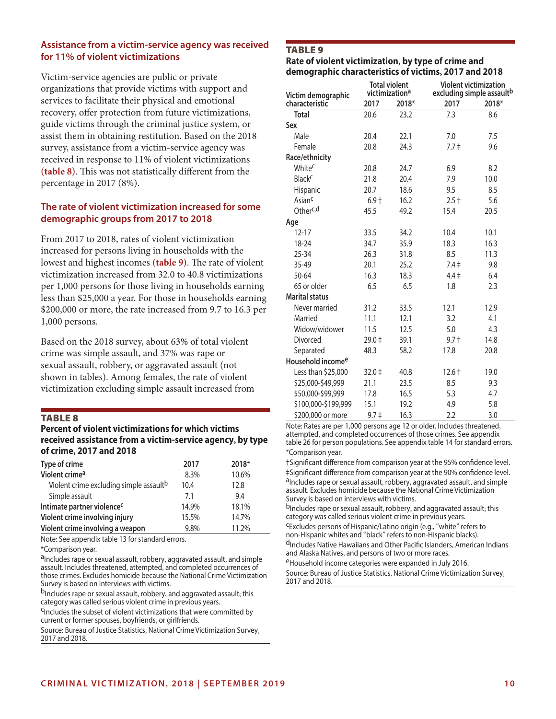## **Assistance from a victim-service agency was received for 11% of violent victimizations**

Victim-service agencies are public or private organizations that provide victims with support and services to facilitate their physical and emotional recovery, offer protection from future victimizations, guide victims through the criminal justice system, or assist them in obtaining restitution. Based on the 2018 survey, assistance from a victim-service agency was received in response to 11% of violent victimizations **(table 8)**. This was not statistically different from the percentage in 2017 (8%).

## **The rate of violent victimization increased for some demographic groups from 2017 to 2018**

From 2017 to 2018, rates of violent victimization increased for persons living in households with the lowest and highest incomes **(table 9)**. The rate of violent victimization increased from 32.0 to 40.8 victimizations per 1,000 persons for those living in households earning less than \$25,000 a year. For those in households earning \$200,000 or more, the rate increased from 9.7 to 16.3 per 1,000 persons.

Based on the 2018 survey, about 63% of total violent crime was simple assault, and 37% was rape or sexual assault, robbery, or aggravated assault (not shown in tables). Among females, the rate of violent victimization excluding simple assault increased from

#### TABLE 8

#### **Percent of violent victimizations for which victims received assistance from a victim-service agency, by type of crime, 2017 and 2018**

| Type of crime                                       | 2017  | 2018* |
|-----------------------------------------------------|-------|-------|
| Violent crime <sup>a</sup>                          | 8.3%  | 10.6% |
| Violent crime excluding simple assault <sup>b</sup> | 10.4  | 12.8  |
| Simple assault                                      | 7.1   | 9.4   |
| Intimate partner violence <sup>c</sup>              | 14.9% | 18.1% |
| Violent crime involving injury                      | 15.5% | 14.7% |
| Violent crime involving a weapon                    | 9.8%  | 11.2% |

Note: See appendix table 13 for standard errors.

\*Comparison year.

aIncludes rape or sexual assault, robbery, aggravated assault, and simple assault. Includes threatened, attempted, and completed occurrences of those crimes. Excludes homicide because the National Crime Victimization Survey is based on interviews with victims.

bIncludes rape or sexual assault, robbery, and aggravated assault; this category was called serious violent crime in previous years.

<sup>C</sup>Includes the subset of violent victimizations that were committed by current or former spouses, boyfriends, or girlfriends.

Source: Bureau of Justice Statistics, National Crime Victimization Survey, 2017 and 2018.

## TABLE 9

#### **Rate of violent victimization, by type of crime and demographic characteristics of victims, 2017 and 2018**

| Victim demographic            | <b>Total violent</b><br>victimization <sup>a</sup> |       | <b>Violent victimization</b><br>excluding simple assault <sup>b</sup> |       |  |  |
|-------------------------------|----------------------------------------------------|-------|-----------------------------------------------------------------------|-------|--|--|
| characteristic                | 2017                                               | 2018* | 2017                                                                  | 2018* |  |  |
| <b>Total</b>                  | 20.6                                               | 23.2  | 7.3                                                                   | 8.6   |  |  |
| Sex                           |                                                    |       |                                                                       |       |  |  |
| Male                          | 20.4                                               | 22.1  | 7.0                                                                   | 7.5   |  |  |
| Female                        | 20.8                                               | 24.3  | $7.7 \pm$                                                             | 9.6   |  |  |
| Race/ethnicity                |                                                    |       |                                                                       |       |  |  |
| Whitec                        | 20.8                                               | 24.7  | 6.9                                                                   | 8.2   |  |  |
| <b>Black<sup>c</sup></b>      | 21.8                                               | 20.4  | 7.9                                                                   | 10.0  |  |  |
| <b>Hispanic</b>               | 20.7                                               | 18.6  | 9.5                                                                   | 8.5   |  |  |
| Asian <sup>c</sup>            | $6.9+$                                             | 16.2  | $2.5 +$                                                               | 5.6   |  |  |
| Otherc,d                      | 45.5                                               | 49.2  | 15.4                                                                  | 20.5  |  |  |
| Age                           |                                                    |       |                                                                       |       |  |  |
| $12 - 17$                     | 33.5                                               | 34.2  | 10.4                                                                  | 10.1  |  |  |
| 18-24                         | 34.7                                               | 35.9  | 18.3                                                                  | 16.3  |  |  |
| $25 - 34$                     | 26.3                                               | 31.8  | 8.5                                                                   | 11.3  |  |  |
| 35-49                         | 20.1                                               | 25.2  | $7.4 \pm$                                                             | 9.8   |  |  |
| 50-64                         | 16.3                                               | 18.3  | $4.4 \pm$                                                             | 6.4   |  |  |
| 65 or older                   | 6.5                                                | 6.5   | 1.8                                                                   | 2.3   |  |  |
| <b>Marital status</b>         |                                                    |       |                                                                       |       |  |  |
| Never married                 | 31.2                                               | 33.5  | 12.1                                                                  | 12.9  |  |  |
| Married                       | 11.1                                               | 12.1  | 3.2                                                                   | 4.1   |  |  |
| Widow/widower                 | 11.5                                               | 12.5  | 5.0                                                                   | 4.3   |  |  |
| Divorced                      | $29.0 \pm$                                         | 39.1  | $9.7 +$                                                               | 14.8  |  |  |
| Separated                     | 48.3                                               | 58.2  | 17.8                                                                  | 20.8  |  |  |
| Household income <sup>e</sup> |                                                    |       |                                                                       |       |  |  |
| Less than \$25,000            | $32.0 \div$                                        | 40.8  | $12.6 +$                                                              | 19.0  |  |  |
| \$25,000-\$49,999             | 21.1                                               | 23.5  | 8.5                                                                   | 9.3   |  |  |
| \$50,000-\$99,999             | 17.8                                               | 16.5  | 5.3                                                                   | 4.7   |  |  |
| \$100,000-\$199,999           | 15.1                                               | 19.2  | 4.9                                                                   | 5.8   |  |  |
| \$200,000 or more             | $9.7 \pm$                                          | 16.3  | 2.2                                                                   | 3.0   |  |  |

Note: Rates are per 1,000 persons age 12 or older. Includes threatened, attempted, and completed occurrences of those crimes. See appendix table 26 for person populations. See appendix table 14 for standard errors. \*Comparison year.

†Significant difference from comparison year at the 95% confidence level. ‡Significant difference from comparison year at the 90% confidence level. aIncludes rape or sexual assault, robbery, aggravated assault, and simple assault. Excludes homicide because the National Crime Victimization Survey is based on interviews with victims.

b<sub>Includes</sub> rape or sexual assault, robbery, and aggravated assault; this category was called serious violent crime in previous years.

cExcludes persons of Hispanic/Latino origin (e.g., "white" refers to non-Hispanic whites and "black" refers to non-Hispanic blacks). d<sub>Includes</sub> Native Hawaiians and Other Pacific Islanders, American Indians and Alaska Natives, and persons of two or more races.

<sup>e</sup>Household income categories were expanded in July 2016. Source: Bureau of Justice Statistics, National Crime Victimization Survey,

2017 and 2018.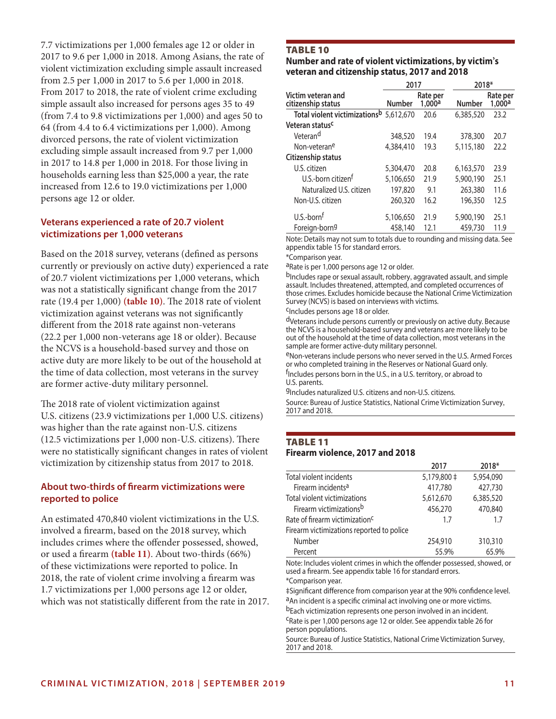7.7 victimizations per 1,000 females age 12 or older in 2017 to 9.6 per 1,000 in 2018. Among Asians, the rate of violent victimization excluding simple assault increased from 2.5 per 1,000 in 2017 to 5.6 per 1,000 in 2018. From 2017 to 2018, the rate of violent crime excluding simple assault also increased for persons ages 35 to 49 (from 7.4 to 9.8 victimizations per 1,000) and ages 50 to 64 (from 4.4 to 6.4 victimizations per 1,000). Among divorced persons, the rate of violent victimization excluding simple assault increased from 9.7 per 1,000 in 2017 to 14.8 per 1,000 in 2018. For those living in households earning less than \$25,000 a year, the rate increased from 12.6 to 19.0 victimizations per 1,000 persons age 12 or older.

## **Veterans experienced a rate of 20.7 violent victimizations per 1,000 veterans**

Based on the 2018 survey, veterans (defined as persons currently or previously on active duty) experienced a rate of 20.7 violent victimizations per 1,000 veterans, which was not a statistically significant change from the 2017 rate (19.4 per 1,000) **(table 10)**. The 2018 rate of violent victimization against veterans was not significantly different from the 2018 rate against non-veterans (22.2 per 1,000 non-veterans age 18 or older). Because the NCVS is a household-based survey and those on active duty are more likely to be out of the household at the time of data collection, most veterans in the survey are former active-duty military personnel.

The 2018 rate of violent victimization against U.S. citizens (23.9 victimizations per 1,000 U.S. citizens) was higher than the rate against non-U.S. citizens (12.5 victimizations per 1,000 non-U.S. citizens). There were no statistically significant changes in rates of violent victimization by citizenship status from 2017 to 2018.

## **About two-thirds of firearm victimizations were reported to police**

An estimated 470,840 violent victimizations in the U.S. involved a firearm, based on the 2018 survey, which includes crimes where the offender possessed, showed, or used a firearm **(table 11)**. About two-thirds (66%) of these victimizations were reported to police. In 2018, the rate of violent crime involving a firearm was 1.7 victimizations per 1,000 persons age 12 or older, which was not statistically different from the rate in 2017.

## TABLE 10

#### **Number and rate of violent victimizations, by victim's veteran and citizenship status, 2017 and 2018**

|                                           | 2017      |                    | 2018*         |                    |  |
|-------------------------------------------|-----------|--------------------|---------------|--------------------|--|
| Victim veteran and<br>citizenship status  | Number    | Rate per<br>1,000a | <b>Number</b> | Rate per<br>1,000a |  |
| Total violent victimizations <sup>b</sup> | 5,612,670 | 20.6               | 6,385,520     | 23.2               |  |
| Veteran status <sup>c</sup>               |           |                    |               |                    |  |
| Veteran <sup>d</sup>                      | 348,520   | 19.4               | 378,300       | 20.7               |  |
| Non-veteran <sup>e</sup>                  | 4,384,410 | 19.3               | 5,115,180     | 22.2               |  |
| Citizenship status                        |           |                    |               |                    |  |
| U.S. citizen                              | 5,304,470 | 20.8               | 6,163,570     | 23.9               |  |
| U.S.-born citizen <sup>t</sup>            | 5,106,650 | 21.9               | 5,900,190     | 25.1               |  |
| Naturalized U.S. citizen                  | 197,820   | 9.1                | 263,380       | 11.6               |  |
| Non-U.S. citizen                          | 260,320   | 16.2               | 196,350       | 12.5               |  |
| U.S.-born <sup>f</sup>                    | 5,106,650 | 21.9               | 5,900,190     | 25.1               |  |
| Foreign-born <sup>g</sup>                 | 458,140   | 12.1               | 459,730       | 11.9               |  |
|                                           |           |                    |               |                    |  |

Note: Details may not sum to totals due to rounding and missing data. See appendix table 15 for standard errors.

#### \*Comparison year.

aRate is per 1,000 persons age 12 or older.

b<sub>Includes rape or sexual assault, robbery, aggravated assault, and simple</sub> assault. Includes threatened, attempted, and completed occurrences of those crimes. Excludes homicide because the National Crime Victimization Survey (NCVS) is based on interviews with victims.

#### cIncludes persons age 18 or older.

dVeterans include persons currently or previously on active duty. Because the NCVS is a household-based survey and veterans are more likely to be out of the household at the time of data collection, most veterans in the sample are former active-duty military personnel.

eNon-veterans include persons who never served in the U.S. Armed Forces or who completed training in the Reserves or National Guard only. f Includes persons born in the U.S., in a U.S. territory, or abroad to U.S. parents.

gIncludes naturalized U.S. citizens and non-U.S. citizens.

Source: Bureau of Justice Statistics, National Crime Victimization Survey, 2017 and 2018.

## TABLE 11 **Firearm violence, 2017 and 2018**

|                                            | 2017        | 2018*     |  |
|--------------------------------------------|-------------|-----------|--|
| Total violent incidents                    | 5,179,800 ‡ | 5,954,090 |  |
| Firearm incidents <sup>a</sup>             | 417,780     | 427,730   |  |
| Total violent victimizations               | 5,612,670   | 6,385,520 |  |
| Firearm victimizations <sup>b</sup>        | 456,270     | 470,840   |  |
| Rate of firearm victimization <sup>c</sup> | 17          | 1.7       |  |
| Firearm victimizations reported to police  |             |           |  |
| Number                                     | 254,910     | 310,310   |  |
| Percent                                    | 55.9%       | 65.9%     |  |

Note: Includes violent crimes in which the offender possessed, showed, or used a firearm. See appendix table 16 for standard errors. \*Comparison year.

‡Significant difference from comparison year at the 90% confidence level. <sup>a</sup>An incident is a specific criminal act involving one or more victims. bEach victimization represents one person involved in an incident.

cRate is per 1,000 persons age 12 or older. See appendix table 26 for person populations.

Source: Bureau of Justice Statistics, National Crime Victimization Survey, 2017 and 2018.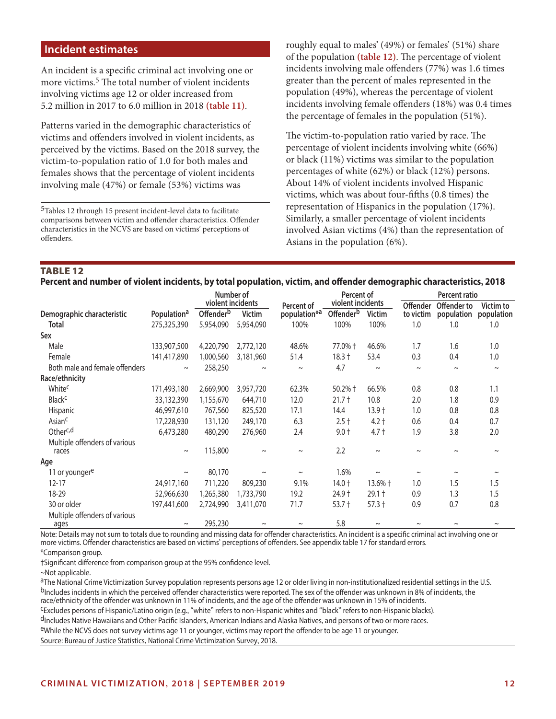## **Incident estimates**

An incident is a specific criminal act involving one or more victims.<sup>5</sup> The total number of violent incidents involving victims age 12 or older increased from 5.2 million in 2017 to 6.0 million in 2018 **(table 11)**.

Patterns varied in the demographic characteristics of victims and offenders involved in violent incidents, as perceived by the victims. Based on the 2018 survey, the victim-to-population ratio of 1.0 for both males and females shows that the percentage of violent incidents involving male (47%) or female (53%) victims was

5Tables 12 through 15 present incident-level data to facilitate comparisons between victim and offender characteristics. Offender characteristics in the NCVS are based on victims' perceptions of offenders.

roughly equal to males' (49%) or females' (51%) share of the population **(table 12)**. The percentage of violent incidents involving male offenders (77%) was 1.6 times greater than the percent of males represented in the population (49%), whereas the percentage of violent incidents involving female offenders (18%) was 0.4 times the percentage of females in the population (51%).

The victim-to-population ratio varied by race. The percentage of violent incidents involving white (66%) or black (11%) victims was similar to the population percentages of white (62%) or black (12%) persons. About 14% of violent incidents involved Hispanic victims, which was about four-fifths (0.8 times) the representation of Hispanics in the population (17%). Similarly, a smaller percentage of violent incidents involved Asian victims (4%) than the representation of Asians in the population (6%).

# TABLE 12

| Percent and number of violent incidents, by total population, victim, and offender demographic characteristics, 2018 |  |  |  |
|----------------------------------------------------------------------------------------------------------------------|--|--|--|
|----------------------------------------------------------------------------------------------------------------------|--|--|--|

|                                       |                         | Number of             |               |                          | Percent of            |               | Percent ratio   |             |            |  |
|---------------------------------------|-------------------------|-----------------------|---------------|--------------------------|-----------------------|---------------|-----------------|-------------|------------|--|
|                                       |                         | violent incidents     |               | Percent of               | violent incidents     |               | <b>Offender</b> | Offender to | Victim to  |  |
| Demographic characteristic            | Population <sup>a</sup> | Offender <sup>b</sup> | <b>Victim</b> | population <sup>*a</sup> | Offender <sup>b</sup> | <b>Victim</b> | to victim       | population  | population |  |
| <b>Total</b>                          | 275,325,390             | 5,954,090             | 5,954,090     | 100%                     | 100%                  | 100%          | 1.0             | 1.0         | 1.0        |  |
| Sex                                   |                         |                       |               |                          |                       |               |                 |             |            |  |
| Male                                  | 133,907,500             | 4,220,790             | 2,772,120     | 48.6%                    | 77.0% +               | 46.6%         | 1.7             | 1.6         | 1.0        |  |
| Female                                | 141,417,890             | 1,000,560             | 3,181,960     | 51.4                     | $18.3 +$              | 53.4          | 0.3             | 0.4         | 1.0        |  |
| Both male and female offenders        | $\thicksim$             | 258,250               | $\thicksim$   | $\sim$                   | 4.7                   | $\thicksim$   | $\thicksim$     | $\thicksim$ | $\sim$     |  |
| Race/ethnicity                        |                         |                       |               |                          |                       |               |                 |             |            |  |
| White <sup>c</sup>                    | 171,493,180             | 2,669,900             | 3,957,720     | 62.3%                    | $50.2%$ †             | 66.5%         | 0.8             | 0.8         | 1.1        |  |
| <b>Black<sup>c</sup></b>              | 33,132,390              | 1,155,670             | 644,710       | 12.0                     | $21.7 +$              | 10.8          | 2.0             | 1.8         | 0.9        |  |
| Hispanic                              | 46,997,610              | 767,560               | 825,520       | 17.1                     | 14.4                  | $13.9+$       | 1.0             | 0.8         | 0.8        |  |
| Asian <sup>c</sup>                    | 17,228,930              | 131,120               | 249,170       | 6.3                      | $2.5 +$               | $4.2 +$       | 0.6             | 0.4         | 0.7        |  |
| Otherc,d                              | 6,473,280               | 480,290               | 276,960       | 2.4                      | $9.0 +$               | $4.7 +$       | 1.9             | 3.8         | 2.0        |  |
| Multiple offenders of various         |                         |                       |               |                          |                       |               |                 |             |            |  |
| races                                 | $\sim$                  | 115,800               | $\sim$        | $\tilde{}$               | 2.2                   | $\sim$        |                 | $\sim$      | $\tilde{}$ |  |
| Age                                   |                         |                       |               |                          |                       |               |                 |             |            |  |
| 11 or younger <sup>e</sup>            | $\sim$                  | 80,170                | $\thicksim$   | $\tilde{\phantom{a}}$    | 1.6%                  | $\thicksim$   | $\sim$          | $\sim$      | $\sim$     |  |
| $12 - 17$                             | 24,917,160              | 711,220               | 809,230       | 9.1%                     | $14.0 +$              | 13.6% †       | 1.0             | 1.5         | 1.5        |  |
| 18-29                                 | 52,966,630              | 1,265,380             | 1,733,790     | 19.2                     | 24.9 +                | $29.1 +$      | 0.9             | 1.3         | 1.5        |  |
| 30 or older                           | 197,441,600             | 2,724,990             | 3,411,070     | 71.7                     | $53.7 +$              | $57.3 +$      | 0.9             | 0.7         | 0.8        |  |
| Multiple offenders of various<br>ages | $\sim$                  | 295,230               | $\sim$        | $\sim$                   | 5.8                   | $\sim$        | $\sim$          | $\sim$      | $\sim$     |  |

Note: Details may not sum to totals due to rounding and missing data for offender characteristics. An incident is a specific criminal act involving one or more victims. Offender characteristics are based on victims' perceptions of offenders. See appendix table 17 for standard errors.

\*Comparison group.

†Significant difference from comparison group at the 95% confidence level.

~Not applicable.

aThe National Crime Victimization Survey population represents persons age 12 or older living in non-institutionalized residential settings in the U.S. <sup>b</sup>Includes incidents in which the perceived offender characteristics were reported. The sex of the offender was unknown in 8% of incidents, the<br>race/ethnicity of the offender was unknown in 11% of incidents, and the age o

<sup>C</sup>Excludes persons of Hispanic/Latino origin (e.g., "white" refers to non-Hispanic whites and "black" refers to non-Hispanic blacks).

<sup>d</sup>Includes Native Hawaiians and Other Pacific Islanders, American Indians and Alaska Natives, and persons of two or more races.<br><sup>e</sup>While the NCVS does not survey victims age 11 or younger, victims may report the offender

Source: Bureau of Justice Statistics, National Crime Victimization Survey, 2018.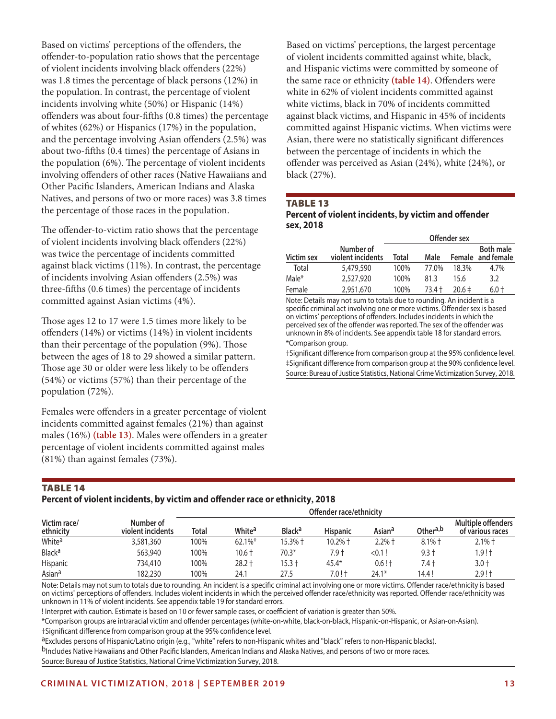Based on victims' perceptions of the offenders, the offender-to-population ratio shows that the percentage of violent incidents involving black offenders (22%) was 1.8 times the percentage of black persons (12%) in the population. In contrast, the percentage of violent incidents involving white (50%) or Hispanic (14%) offenders was about four-fifths (0.8 times) the percentage of whites (62%) or Hispanics (17%) in the population, and the percentage involving Asian offenders (2.5%) was about two-fifths (0.4 times) the percentage of Asians in the population (6%). The percentage of violent incidents involving offenders of other races (Native Hawaiians and Other Pacific Islanders, American Indians and Alaska Natives, and persons of two or more races) was 3.8 times the percentage of those races in the population.

The offender-to-victim ratio shows that the percentage of violent incidents involving black offenders (22%) was twice the percentage of incidents committed against black victims (11%). In contrast, the percentage of incidents involving Asian offenders (2.5%) was three-fifths (0.6 times) the percentage of incidents committed against Asian victims (4%).

Those ages 12 to 17 were 1.5 times more likely to be offenders (14%) or victims (14%) in violent incidents than their percentage of the population (9%). Those between the ages of 18 to 29 showed a similar pattern. Those age 30 or older were less likely to be offenders (54%) or victims (57%) than their percentage of the population (72%).

Females were offenders in a greater percentage of violent incidents committed against females (21%) than against males (16%) **(table 13)**. Males were offenders in a greater percentage of violent incidents committed against males (81%) than against females (73%).

Based on victims' perceptions, the largest percentage of violent incidents committed against white, black, and Hispanic victims were committed by someone of the same race or ethnicity **(table 14)**. Offenders were white in 62% of violent incidents committed against white victims, black in 70% of incidents committed against black victims, and Hispanic in 45% of incidents committed against Hispanic victims. When victims were Asian, there were no statistically significant differences between the percentage of incidents in which the offender was perceived as Asian (24%), white (24%), or black (27%).

## TABLE 13

### **Percent of violent incidents, by victim and offender sex, 2018**

|            |                                | Offender sex |          |            |                                       |  |  |  |  |
|------------|--------------------------------|--------------|----------|------------|---------------------------------------|--|--|--|--|
| Victim sex | Number of<br>violent incidents | Total        | Male     |            | <b>Both male</b><br>Female and female |  |  |  |  |
| Total      | 5,479,590                      | 100%         | 77.0%    | 18.3%      | 4.7%                                  |  |  |  |  |
| Male*      | 2,527,920                      | 100%         | 813      | 15.6       | 3.2                                   |  |  |  |  |
| Female     | 2,951,670                      | 100%         | $73.4 +$ | $20.6 \pm$ | $6.0 +$                               |  |  |  |  |

Note: Details may not sum to totals due to rounding. An incident is a specific criminal act involving one or more victims. Offender sex is based on victims' perceptions of offenders. Includes incidents in which the perceived sex of the offender was reported. The sex of the offender was unknown in 8% of incidents. See appendix table 18 for standard errors. \*Comparison group.

†Significant difference from comparison group at the 95% confidence level. ‡Significant difference from comparison group at the 90% confidence level. Source: Bureau of Justice Statistics, National Crime Victimization Survey, 2018.

## TABLE 14

## **Percent of violent incidents, by victim and offender race or ethnicity, 2018**

|                           |                                | Offender race/ethnicity |                    |                          |                 |                    |                      |                                               |  |  |
|---------------------------|--------------------------------|-------------------------|--------------------|--------------------------|-----------------|--------------------|----------------------|-----------------------------------------------|--|--|
| Victim race/<br>ethnicity | Number of<br>violent incidents | Total                   | White <sup>a</sup> | <b>Black<sup>a</sup></b> | <b>Hispanic</b> | Asian <sup>a</sup> | Other <sup>a,b</sup> | <b>Multiple offenders</b><br>of various races |  |  |
| White <sup>a</sup>        | 3,581,360                      | 100%                    | $62.1\%$ *         | 15.3% †                  | 10.2% †         | 2.2% †             | $8.1\%$ †            | 2.1% †                                        |  |  |
| <b>Black<sup>a</sup></b>  | 563,940                        | 100%                    | $10.6 +$           | $70.3*$                  | 7.9 t           | < 0.1!             | $9.3 +$              | ا! ۱.9                                        |  |  |
| Hispanic                  | 734.410                        | 100%                    | 28.2 †             | 15.3 †                   | $45.4*$         | 0.6 ! †            | 7.4 t                | 3.0 t                                         |  |  |
| Asian <sup>a</sup>        | 182.230                        | 100%                    | 24.1               | 27.5                     | 7.0 ! t         | $24.1*$            | 14.4 !               | 2.9 ! †                                       |  |  |

Note: Details may not sum to totals due to rounding. An incident is a specific criminal act involving one or more victims. Offender race/ethnicity is based on victims' perceptions of offenders. Includes violent incidents in which the perceived offender race/ethnicity was reported. Offender race/ethnicity was unknown in 11% of violent incidents. See appendix table 19 for standard errors.

! Interpret with caution. Estimate is based on 10 or fewer sample cases, or coefficient of variation is greater than 50%.

\*Comparison groups are intraracial victim and offender percentages (white-on-white, black-on-black, Hispanic-on-Hispanic, or Asian-on-Asian). †Significant difference from comparison group at the 95% confidence level.

aExcludes persons of Hispanic/Latino origin (e.g., "white" refers to non-Hispanic whites and "black" refers to non-Hispanic blacks).

bIncludes Native Hawaiians and Other Pacific Islanders, American Indians and Alaska Natives, and persons of two or more races. Source: Bureau of Justice Statistics, National Crime Victimization Survey, 2018.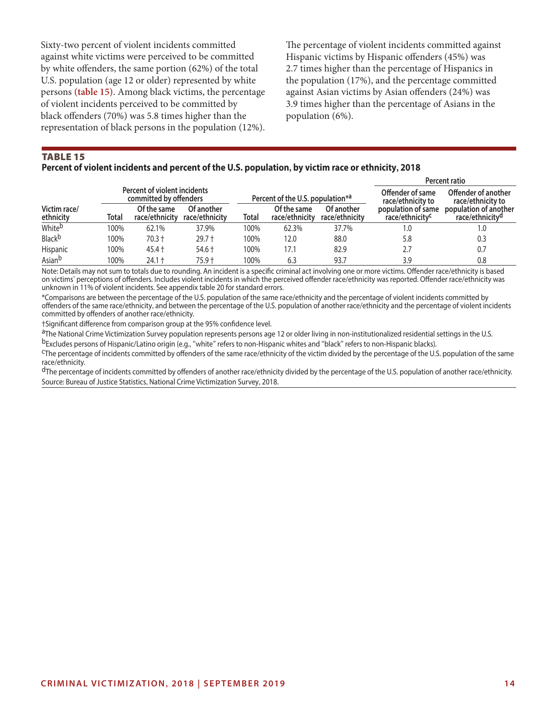Sixty-two percent of violent incidents committed against white victims were perceived to be committed by white offenders, the same portion (62%) of the total U.S. population (age 12 or older) represented by white persons **(table 15)**. Among black victims, the percentage of violent incidents perceived to be committed by black offenders (70%) was 5.8 times higher than the representation of black persons in the population (12%).

The percentage of violent incidents committed against Hispanic victims by Hispanic offenders (45%) was 2.7 times higher than the percentage of Hispanics in the population (17%), and the percentage committed against Asian victims by Asian offenders (24%) was 3.9 times higher than the percentage of Asians in the population (6%).

## TABLE 15

#### **Percent of violent incidents and percent of the U.S. population, by victim race or ethnicity, 2018**

|                           |       |                                                        |                              |       |                                              |                              | Percent ratio                                     |                                                      |  |  |  |
|---------------------------|-------|--------------------------------------------------------|------------------------------|-------|----------------------------------------------|------------------------------|---------------------------------------------------|------------------------------------------------------|--|--|--|
|                           |       | Percent of violent incidents<br>committed by offenders |                              |       | Percent of the U.S. population <sup>*a</sup> |                              | Offender of same<br>race/ethnicity to             | Offender of another<br>race/ethnicity to             |  |  |  |
| Victim race/<br>ethnicity | Total | Of the same<br>race/ethnicity                          | Of another<br>race/ethnicity | Total | Of the same<br>race/ethnicity                | Of another<br>race/ethnicity | population of same<br>race/ethnicity <sup>c</sup> | population of another<br>race/ethnicity <sup>d</sup> |  |  |  |
| White <sup>b</sup>        | 100%  | 62.1%                                                  | 37.9%                        | 100%  | 62.3%                                        | 37.7%                        | 1.0                                               | 1.0                                                  |  |  |  |
| Black <sup>b</sup>        | 100%  | $70.3 +$                                               | $29.7 +$                     | 100%  | 12.0                                         | 88.0                         | 5.8                                               | 0.3                                                  |  |  |  |
| Hispanic                  | 100%  | $45.4 +$                                               | $54.6 +$                     | 100%  | 17.1                                         | 82.9                         | 2.7                                               | 0.7                                                  |  |  |  |
| Asianb                    | 100%  | 24.1 +                                                 | 75.9 t                       | 100%  | 6.3                                          | 93.7                         | 3.9                                               | 0.8                                                  |  |  |  |

Note: Details may not sum to totals due to rounding. An incident is a specific criminal act involving one or more victims. Offender race/ethnicity is based on victims' perceptions of offenders. Includes violent incidents in which the perceived offender race/ethnicity was reported. Offender race/ethnicity was unknown in 11% of violent incidents. See appendix table 20 for standard errors.

\*Comparisons are between the percentage of the U.S. population of the same race/ethnicity and the percentage of violent incidents committed by offenders of the same race/ethnicity, and between the percentage of the U.S. population of another race/ethnicity and the percentage of violent incidents committed by offenders of another race/ethnicity.

†Significant difference from comparison group at the 95% confidence level.

aThe National Crime Victimization Survey population represents persons age 12 or older living in non-institutionalized residential settings in the U.S.

b Excludes persons of Hispanic/Latino origin (e.g., "white" refers to non-Hispanic whites and "black" refers to non-Hispanic blacks).<br><sup>C</sup>The percentage of incidents committed by offenders of the same race/ethnicity of the race/ethnicity.

 $d$ The percentage of incidents committed by offenders of another race/ethnicity divided by the percentage of the U.S. population of another race/ethnicity. Source: Bureau of Justice Statistics, National Crime Victimization Survey, 2018.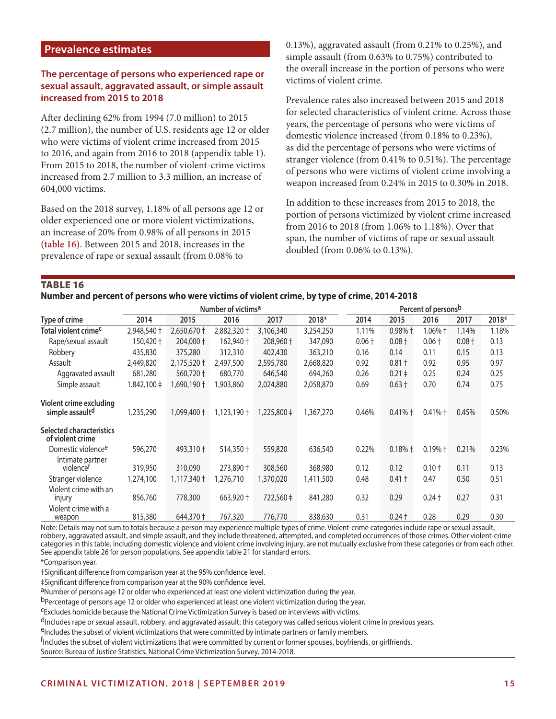## **Prevalence estimates**

## **The percentage of persons who experienced rape or sexual assault, aggravated assault, or simple assault increased from 2015 to 2018**

After declining 62% from 1994 (7.0 million) to 2015 (2.7 million), the number of U.S. residents age 12 or older who were victims of violent crime increased from 2015 to 2016, and again from 2016 to 2018 (appendix table 1). From 2015 to 2018, the number of violent-crime victims increased from 2.7 million to 3.3 million, an increase of 604,000 victims.

Based on the 2018 survey, 1.18% of all persons age 12 or older experienced one or more violent victimizations, an increase of 20% from 0.98% of all persons in 2015 **(table 16)**. Between 2015 and 2018, increases in the prevalence of rape or sexual assault (from 0.08% to

0.13%), aggravated assault (from 0.21% to 0.25%), and simple assault (from 0.63% to 0.75%) contributed to the overall increase in the portion of persons who were victims of violent crime.

Prevalence rates also increased between 2015 and 2018 for selected characteristics of violent crime. Across those years, the percentage of persons who were victims of domestic violence increased (from 0.18% to 0.23%), as did the percentage of persons who were victims of stranger violence (from 0.41% to 0.51%). The percentage of persons who were victims of violent crime involving a weapon increased from 0.24% in 2015 to 0.30% in 2018.

In addition to these increases from 2015 to 2018, the portion of persons victimized by violent crime increased from 2016 to 2018 (from 1.06% to 1.18%). Over that span, the number of victims of rape or sexual assault doubled (from 0.06% to 0.13%).

TABLE 16

**Number and percent of persons who were victims of violent crime, by type of crime, 2014-2018**

|                                                        |                 | Number of victims <sup>a</sup> |             | Percent of persons <sup>b</sup> |           |          |                   |                   |          |       |
|--------------------------------------------------------|-----------------|--------------------------------|-------------|---------------------------------|-----------|----------|-------------------|-------------------|----------|-------|
| Type of crime                                          | 2014            | 2015                           | 2016        | 2017                            | 2018*     | 2014     | 2015              | 2016              | 2017     | 2018* |
| Total violent crime <sup>c</sup>                       | 2,948,540 +     | 2,650,670 +                    | 2,882,320 + | 3,106,340                       | 3,254,250 | 1.11%    | $0.98%$ +         | $1.06%$ $\dagger$ | 1.14%    | 1.18% |
| Rape/sexual assault                                    | 150,420 +       | $204,000 +$                    | 162,940 +   | 208,960 +                       | 347,090   | $0.06 +$ | $0.08 +$          | $0.06 +$          | $0.08 +$ | 0.13  |
| Robbery                                                | 435,830         | 375,280                        | 312,310     | 402,430                         | 363,210   | 0.16     | 0.14              | 0.11              | 0.15     | 0.13  |
| Assault                                                | 2,449,820       | $2,175,520$ †                  | 2,497,500   | 2,595,780                       | 2,668,820 | 0.92     | $0.81 +$          | 0.92              | 0.95     | 0.97  |
| Aggravated assault                                     | 681,280         | 560,720 +                      | 680,770     | 646,540                         | 694,260   | 0.26     | $0.21 \pm$        | 0.25              | 0.24     | 0.25  |
| Simple assault                                         | $1,842,100 \pm$ | 1,690,190 +                    | 1,903,860   | 2,024,880                       | 2,058,870 | 0.69     | $0.63 +$          | 0.70              | 0.74     | 0.75  |
| Violent crime excluding<br>simple assault <sup>d</sup> | 1,235,290       | 1,099,400 +                    | 1,123,190 + | 1,225,800 ‡                     | 1,367,270 | 0.46%    | $0.41%$ $\dagger$ | $0.41%$ †         | 0.45%    | 0.50% |
| <b>Selected characteristics</b><br>of violent crime    |                 |                                |             |                                 |           |          |                   |                   |          |       |
| Domestic violence <sup>e</sup>                         | 596,270         | 493,310 +                      | 514,350 +   | 559,820                         | 636,540   | 0.22%    | $0.18%$ +         | $0.19%$ +         | 0.21%    | 0.23% |
| Intimate partner<br>violencet                          | 319,950         | 310,090                        | 273,890 +   | 308,560                         | 368,980   | 0.12     | 0.12              | $0.10 +$          | 0.11     | 0.13  |
| Stranger violence                                      | 1,274,100       | 1,117,340 +                    | 1,276,710   | 1,370,020                       | 1,411,500 | 0.48     | $0.41 +$          | 0.47              | 0.50     | 0.51  |
| Violent crime with an<br>injury                        | 856,760         | 778,300                        | 663,920 +   | 722,560 ‡                       | 841,280   | 0.32     | 0.29              | $0.24 +$          | 0.27     | 0.31  |
| Violent crime with a<br>weapon                         | 815,380         | 644,370 +                      | 767,320     | 776,770                         | 838,630   | 0.31     | $0.24 +$          | 0.28              | 0.29     | 0.30  |

Note: Details may not sum to totals because a person may experience multiple types of crime. Violent-crime categories include rape or sexual assault, robbery, aggravated assault, and simple assault, and they include threatened, attempted, and completed occurrences of those crimes. Other violent-crime categories in this table, including domestic violence and violent crime involving injury, are not mutually exclusive from these categories or from each other. See appendix table 26 for person populations. See appendix table 21 for standard errors.

\*Comparison year.

†Significant difference from comparison year at the 95% confidence level.

‡Significant difference from comparison year at the 90% confidence level.

aNumber of persons age 12 or older who experienced at least one violent victimization during the year.

bPercentage of persons age 12 or older who experienced at least one violent victimization during the year.

<sup>C</sup>Excludes homicide because the National Crime Victimization Survey is based on interviews with victims.

<sup>d</sup>Includes rape or sexual assault, robbery, and aggravated assault; this category was called serious violent crime in previous years.<br><sup>e</sup>Includes the subset of violent victimizations that were committed by intimate partne

<sup>f</sup>Includes the subset of violent victimizations that were committed by current or former spouses, boyfriends, or girlfriends.

Source: Bureau of Justice Statistics, National Crime Victimization Survey, 2014-2018.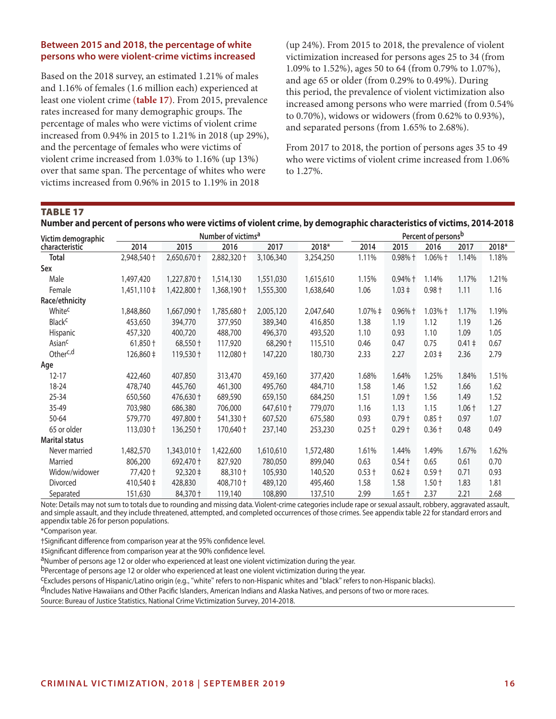### **Between 2015 and 2018, the percentage of white persons who were violent-crime victims increased**

Based on the 2018 survey, an estimated 1.21% of males and 1.16% of females (1.6 million each) experienced at least one violent crime **(table 17)**. From 2015, prevalence rates increased for many demographic groups. The percentage of males who were victims of violent crime increased from 0.94% in 2015 to 1.21% in 2018 (up 29%), and the percentage of females who were victims of violent crime increased from 1.03% to 1.16% (up 13%) over that same span. The percentage of whites who were victims increased from 0.96% in 2015 to 1.19% in 2018

(up 24%). From 2015 to 2018, the prevalence of violent victimization increased for persons ages 25 to 34 (from 1.09% to 1.52%), ages 50 to 64 (from 0.79% to 1.07%), and age 65 or older (from 0.29% to 0.49%). During this period, the prevalence of violent victimization also increased among persons who were married (from 0.54% to 0.70%), widows or widowers (from 0.62% to 0.93%), and separated persons (from 1.65% to 2.68%).

From 2017 to 2018, the portion of persons ages 35 to 49 who were victims of violent crime increased from 1.06% to 1.27%.

## TABLE 17

| Victim demographic       |                      |                            | Number of victims <sup>a</sup> |           | Percent of personsb |             |            |            |            |       |
|--------------------------|----------------------|----------------------------|--------------------------------|-----------|---------------------|-------------|------------|------------|------------|-------|
| characteristic           | 2014                 | 2015                       | 2016                           | 2017      | 2018*               | 2014        | 2015       | 2016       | 2017       | 2018* |
| <b>Total</b>             | 2,948,540 +          | $2,650,670 +$              | 2,882,320 +                    | 3,106,340 | 3,254,250           | 1.11%       | $0.98%$ †  | $1.06\%$ † | 1.14%      | 1.18% |
| Sex                      |                      |                            |                                |           |                     |             |            |            |            |       |
| Male                     | 1,497,420            | 1,227,870 +                | 1,514,130                      | 1,551,030 | 1,615,610           | 1.15%       | $0.94%$ †  | 1.14%      | 1.17%      | 1.21% |
| Female                   | $1,451,110 \ddagger$ | 1,422,800 +                | 1,368,190 +                    | 1,555,300 | 1,638,640           | 1.06        | $1.03 \pm$ | $0.98 +$   | 1.11       | 1.16  |
| Race/ethnicity           |                      |                            |                                |           |                     |             |            |            |            |       |
| Whitec                   | 1,848,860            | 1,667,090 +                | 1,785,680 +                    | 2,005,120 | 2,047,640           | $1.07% \pm$ | $0.96%$ †  | $1.03%$ †  | 1.17%      | 1.19% |
| <b>Black<sup>c</sup></b> | 453,650              | 394,770                    | 377,950                        | 389,340   | 416,850             | 1.38        | 1.19       | 1.12       | 1.19       | 1.26  |
| Hispanic                 | 457,320              | 400,720                    | 488,700                        | 496,370   | 493,520             | 1.10        | 0.93       | 1.10       | 1.09       | 1.05  |
| Asian <sup>c</sup>       | $61,850 +$           | 68,550 +                   | 117,920                        | 68,290 +  | 115,510             | 0.46        | 0.47       | 0.75       | $0.41 \pm$ | 0.67  |
| Other <sup>c,d</sup>     | $126,860 \pm$        | $119,530 +$                | $112,080 +$                    | 147,220   | 180,730             | 2.33        | 2.27       | $2.03 \pm$ | 2.36       | 2.79  |
| Age                      |                      |                            |                                |           |                     |             |            |            |            |       |
| $12 - 17$                | 422,460              | 407,850                    | 313,470                        | 459,160   | 377,420             | 1.68%       | 1.64%      | 1.25%      | 1.84%      | 1.51% |
| 18-24                    | 478,740              | 445,760                    | 461,300                        | 495,760   | 484,710             | 1.58        | 1.46       | 1.52       | 1.66       | 1.62  |
| 25-34                    | 650,560              | 476,630 +                  | 689,590                        | 659,150   | 684,250             | 1.51        | $1.09 +$   | 1.56       | 1.49       | 1.52  |
| 35-49                    | 703,980              | 686,380                    | 706,000                        | 647,610 + | 779,070             | 1.16        | 1.13       | 1.15       | $1.06 +$   | 1.27  |
| 50-64                    | 579,770              | 497,800 +                  | 541,330 +                      | 607,520   | 675,580             | 0.93        | $0.79 +$   | $0.85 +$   | 0.97       | 1.07  |
| 65 or older              | $113,030 \dagger$    | $136,250 \text{ }^{\circ}$ | $170,640 +$                    | 237,140   | 253,230             | $0.25 +$    | $0.29 +$   | $0.36 +$   | 0.48       | 0.49  |
| <b>Marital status</b>    |                      |                            |                                |           |                     |             |            |            |            |       |
| Never married            | 1,482,570            | $1,343,010+$               | 1,422,600                      | 1,610,610 | 1,572,480           | 1.61%       | 1.44%      | 1.49%      | 1.67%      | 1.62% |
| Married                  | 806,200              | 692,470 +                  | 827,920                        | 780,050   | 899,040             | 0.63        | $0.54 +$   | 0.65       | 0.61       | 0.70  |
| Widow/widower            | 77,420 †             | 92,320 ‡                   | 88,310 +                       | 105,930   | 140,520             | $0.53 +$    | $0.62 \pm$ | $0.59 +$   | 0.71       | 0.93  |
| Divorced                 | $410,540 \pm$        | 428,830                    | 408,710 +                      | 489,120   | 495,460             | 1.58        | 1.58       | $1.50 +$   | 1.83       | 1.81  |
| Separated                | 151,630              | 84,370 +                   | 119,140                        | 108,890   | 137,510             | 2.99        | $1.65 +$   | 2.37       | 2.21       | 2.68  |

### **Number and percent of persons who were victims of violent crime, by demographic characteristics of victims, 2014-2018**

Note: Details may not sum to totals due to rounding and missing data. Violent-crime categories include rape or sexual assault, robbery, aggravated assault, and simple assault, and they include threatened, attempted, and completed occurrences of those crimes. See appendix table 22 for standard errors and appendix table 26 for person populations.

\*Comparison year.

†Significant difference from comparison year at the 95% confidence level.

‡Significant difference from comparison year at the 90% confidence level.

aNumber of persons age 12 or older who experienced at least one violent victimization during the year.

bPercentage of persons age 12 or older who experienced at least one violent victimization during the year.

cExcludes persons of Hispanic/Latino origin (e.g., "white" refers to non-Hispanic whites and "black" refers to non-Hispanic blacks).

dIncludes Native Hawaiians and Other Pacific Islanders, American Indians and Alaska Natives, and persons of two or more races.

Source: Bureau of Justice Statistics, National Crime Victimization Survey, 2014-2018.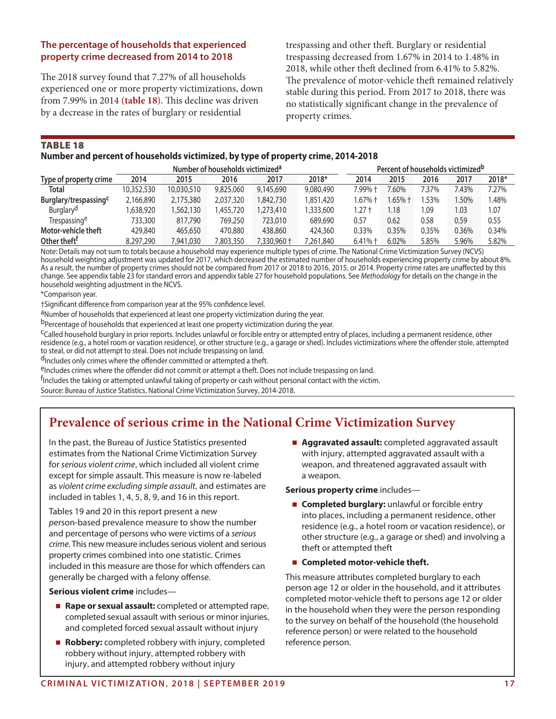## **The percentage of households that experienced property crime decreased from 2014 to 2018**

The 2018 survey found that 7.27% of all households experienced one or more property victimizations, down from 7.99% in 2014 **(table 18)**. This decline was driven by a decrease in the rates of burglary or residential

trespassing and other theft. Burglary or residential trespassing decreased from 1.67% in 2014 to 1.48% in 2018, while other theft declined from 6.41% to 5.82%. The prevalence of motor-vehicle theft remained relatively stable during this period. From 2017 to 2018, there was no statistically significant change in the prevalence of property crimes.

TABLE 18

## **Number and percent of households victimized, by type of property crime, 2014-2018**

|                                   | Number of households victimized <sup>a</sup> |            |           |            |           | Percent of households victimized <sup>b</sup> |            |       |       |       |
|-----------------------------------|----------------------------------------------|------------|-----------|------------|-----------|-----------------------------------------------|------------|-------|-------|-------|
| Type of property crime            | 2014                                         | 2015       | 2016      | 2017       | 2018*     | 2014                                          | 2015       | 2016  | 2017  | 2018* |
| <b>Total</b>                      | 10,352,530                                   | 10,030,510 | 9,825,060 | 9,145,690  | 9,080,490 | 7.99% †                                       | 7.60%      | 7.37% | 7.43% | 7.27% |
| Burglary/trespassing <sup>c</sup> | 2,166,890                                    | 2,175,380  | 2,037,320 | .842,730   | 1.851.420 | 1.67% †                                       | $1.65\%$ † | .53%  | 1.50% | 1.48% |
| Burglary <sup>d</sup>             | 1,638,920                                    | 1,562,130  | 1.455.720 | .273.410   | 1,333,600 | 1.27 t                                        | 1.18       | 09    | 1.03  | 1.07  |
| Trespassinge                      | 733.300                                      | 817,790    | 769.250   | 723,010    | 689,690   | 0.57                                          | 0.62       | 0.58  | 0.59  | 0.55  |
| Motor-vehicle theft               | 429,840                                      | 465,650    | 470,880   | 438,860    | 424,360   | 0.33%                                         | 0.35%      | 0.35% | 0.36% | 0.34% |
| Other theft <sup>t</sup>          | 8,297,290                                    | 7,941,030  | 7,803,350 | 7.330.960† | 7,261,840 | $6.41%$ †                                     | 6.02%      | 5.85% | 5.96% | 5.82% |

Note: Details may not sum to totals because a household may experience multiple types of crime. The National Crime Victimization Survey (NCVS) household weighting adjustment was updated for 2017, which decreased the estimated number of households experiencing property crime by about 8%. As a result, the number of property crimes should not be compared from 2017 or 2018 to 2016, 2015, or 2014. Property crime rates are unaffected by this change. See appendix table 23 for standard errors and appendix table 27 for household populations. See *Methodology* for details on the change in the household weighting adjustment in the NCVS.

\*Comparison year.

†Significant difference from comparison year at the 95% confidence level.

aNumber of households that experienced at least one property victimization during the year.

b<sub>Percentage of households that experienced at least one property victimization during the year.</sub>

cCalled household burglary in prior reports. Includes unlawful or forcible entry or attempted entry of places, including a permanent residence, other residence (e.g., a hotel room or vacation residence), or other structure (e.g., a garage or shed). Includes victimizations where the offender stole, attempted to steal, or did not attempt to steal. Does not include trespassing on land.

dIncludes only crimes where the offender committed or attempted a theft.

eIncludes crimes where the offender did not commit or attempt a theft. Does not include trespassing on land.

<sup>f</sup>Includes the taking or attempted unlawful taking of property or cash without personal contact with the victim.

Source: Bureau of Justice Statistics, National Crime Victimization Survey, 2014-2018.

# **Prevalence of serious crime in the National Crime Victimization Survey**

In the past, the Bureau of Justice Statistics presented estimates from the National Crime Victimization Survey for *serious violent crime*, which included all violent crime except for simple assault. This measure is now re-labeled as *violent crime excluding simple assault,* and estimates are included in tables 1, 4, 5, 8, 9, and 16 in this report.

Tables 19 and 20 in this report present a new *p*erson-based prevalence measure to show the number and percentage of persons who were victims of a *serious crime*. This new measure includes serious violent and serious property crimes combined into one statistic. Crimes included in this measure are those for which offenders can generally be charged with a felony offense.

**Serious violent crime** includes—

- **Rape or sexual assault:** completed or attempted rape, completed sexual assault with serious or minor injuries, and completed forced sexual assault without injury
- **Robbery:** completed robbery with injury, completed robbery without injury, attempted robbery with injury, and attempted robbery without injury

**Aggravated assault:** completed aggravated assault with injury, attempted aggravated assault with a weapon, and threatened aggravated assault with a weapon.

**Serious property crime** includes—

- **Completed burglary:** unlawful or forcible entry into places, including a permanent residence, other residence (e.g., a hotel room or vacation residence), or other structure (e.g., a garage or shed) and involving a theft or attempted theft
- Completed motor-vehicle theft.

This measure attributes completed burglary to each person age 12 or older in the household, and it attributes completed motor-vehicle theft to persons age 12 or older in the household when they were the person responding to the survey on behalf of the household (the household reference person) or were related to the household reference person.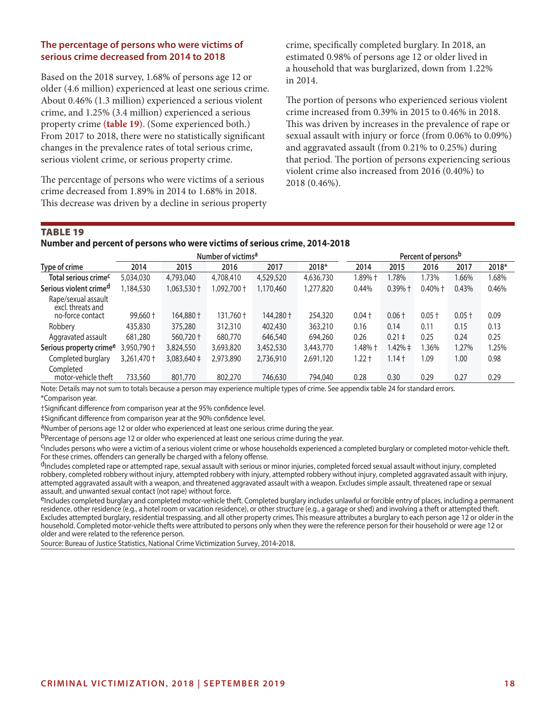## **The percentage of persons who were victims of serious crime decreased from 2014 to 2018**

Based on the 2018 survey, 1.68% of persons age 12 or older (4.6 million) experienced at least one serious crime. About 0.46% (1.3 million) experienced a serious violent crime, and 1.25% (3.4 million) experienced a serious property crime **(table 19)**. (Some experienced both.) From 2017 to 2018, there were no statistically significant changes in the prevalence rates of total serious crime, serious violent crime, or serious property crime.

The percentage of persons who were victims of a serious crime decreased from 1.89% in 2014 to 1.68% in 2018. This decrease was driven by a decline in serious property crime, specifically completed burglary. In 2018, an estimated 0.98% of persons age 12 or older lived in a household that was burglarized, down from 1.22% in 2014.

The portion of persons who experienced serious violent crime increased from 0.39% in 2015 to 0.46% in 2018. This was driven by increases in the prevalence of rape or sexual assault with injury or force (from 0.06% to 0.09%) and aggravated assault (from 0.21% to 0.25%) during that period. The portion of persons experiencing serious violent crime also increased from 2016 (0.40%) to 2018 (0.46%).

## TABLE 19

#### **Number and percent of persons who were victims of serious crime, 2014-2018**

|                                          | Number of victims <sup>a</sup> |                 |            |           |           |          | Percent of persons <sup>b</sup> |            |          |       |  |
|------------------------------------------|--------------------------------|-----------------|------------|-----------|-----------|----------|---------------------------------|------------|----------|-------|--|
| Type of crime                            | 2014                           | 2015            | 2016       | 2017      | 2018*     | 2014     | 2015                            | 2016       | 2017     | 2018* |  |
| Total serious crime <sup>c</sup>         | 5,034,030                      | 4,793,040       | 4,708,410  | 4,529,520 | 4,636,730 | 1.89% †  | 1.78%                           | 1.73%      | 1.66%    | 1.68% |  |
| Serious violent crimed                   | 1,184,530                      | 1,063,530 +     | 1,092,700† | 1,170,460 | 1,277,820 | 0.44%    | $0.39%$ +                       | $0.40\%$ + | 0.43%    | 0.46% |  |
| Rape/sexual assault<br>excl. threats and |                                |                 |            |           |           |          |                                 |            |          |       |  |
| no-force contact                         | $99,660 +$                     | 164,880 +       | 131,760 +  | 144,280 + | 254,320   | $0.04 +$ | $0.06 +$                        | $0.05 +$   | $0.05 +$ | 0.09  |  |
| Robbery                                  | 435,830                        | 375,280         | 312,310    | 402,430   | 363,210   | 0.16     | 0.14                            | 0.11       | 0.15     | 0.13  |  |
| Aggravated assault                       | 681,280                        | 560,720 +       | 680,770    | 646,540   | 694,260   | 0.26     | $0.21 \pm$                      | 0.25       | 0.24     | 0.25  |  |
| Serious property crime <sup>e</sup>      | 3,950,790 +                    | 3,824,550       | 3,693,820  | 3,452,530 | 3,443,770 | 1.48% †  | $1.42\% \pm$                    | .36%       | 1.27%    | 1.25% |  |
| Completed burglary                       | 3,261,470 +                    | $3,083,640 \pm$ | 2,973,890  | 2,736,910 | 2,691,120 | $1.22 +$ | $1.14 +$                        | 09، ا      | 1.00     | 0.98  |  |
| Completed<br>motor-vehicle theft         | 733,560                        | 801,770         | 802,270    | 746,630   | 794,040   | 0.28     | 0.30                            | 0.29       | 0.27     | 0.29  |  |

Note: Details may not sum to totals because a person may experience multiple types of crime. See appendix table 24 for standard errors. \*Comparison year.

†Significant difference from comparison year at the 95% confidence level.

‡Significant difference from comparison year at the 90% confidence level.

aNumber of persons age 12 or older who experienced at least one serious crime during the year.

b<sub>Percentage of persons age 12 or older who experienced at least one serious crime during the year.</sub>

<sup>C</sup>Includes persons who were a victim of a serious violent crime or whose households experienced a completed burglary or completed motor-vehicle theft. For these crimes, offenders can generally be charged with a felony offense.

dIncludes completed rape or attempted rape, sexual assault with serious or minor injuries, completed forced sexual assault without injury, completed robbery, completed robbery without injury, attempted robbery with injury, attempted robbery without injury, completed aggravated assault with injury, attempted aggravated assault with a weapon, and threatened aggravated assault with a weapon. Excludes simple assault, threatened rape or sexual<br>assault, and unwanted sexual contact (not rape) without force.

<sup>e</sup>Includes completed burglary and completed motor-vehicle theft. Completed burglary includes unlawful or forcible entry of places, including a permanent residence, other residence (e.g., a hotel room or vacation residence), or other structure (e.g., a garage or shed) and involving a theft or attempted theft. Excludes attempted burglary, residential trespassing, and all other property crimes. This measure attributes a burglary to each person age 12 or older in the household. Completed motor-vehicle thefts were attributed to persons only when they were the reference person for their household or were age 12 or older and were related to the reference person.

Source: Bureau of Justice Statistics, National Crime Victimization Survey, 2014-2018.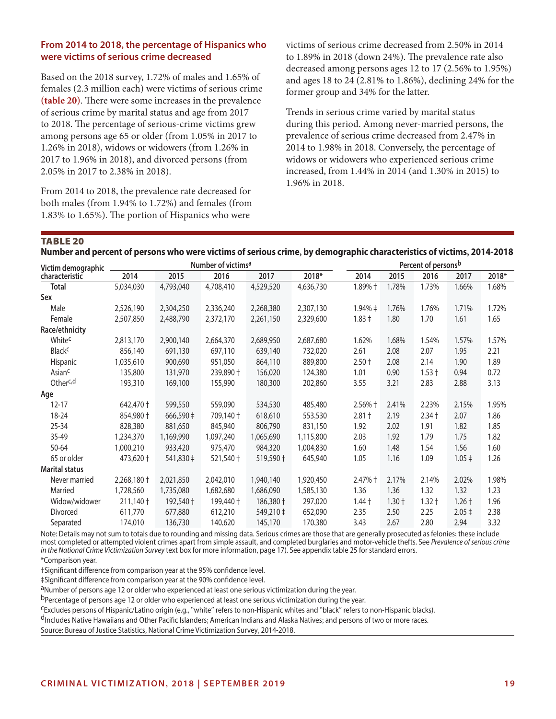## **From 2014 to 2018, the percentage of Hispanics who were victims of serious crime decreased**

Based on the 2018 survey, 1.72% of males and 1.65% of females (2.3 million each) were victims of serious crime **(table 20)**. There were some increases in the prevalence of serious crime by marital status and age from 2017 to 2018. The percentage of serious-crime victims grew among persons age 65 or older (from 1.05% in 2017 to 1.26% in 2018), widows or widowers (from 1.26% in 2017 to 1.96% in 2018), and divorced persons (from 2.05% in 2017 to 2.38% in 2018).

From 2014 to 2018, the prevalence rate decreased for both males (from 1.94% to 1.72%) and females (from 1.83% to 1.65%). The portion of Hispanics who were

victims of serious crime decreased from 2.50% in 2014 to 1.89% in 2018 (down 24%). The prevalence rate also decreased among persons ages 12 to 17 (2.56% to 1.95%) and ages 18 to 24 (2.81% to 1.86%), declining 24% for the former group and 34% for the latter.

Trends in serious crime varied by marital status during this period. Among never-married persons, the prevalence of serious crime decreased from 2.47% in 2014 to 1.98% in 2018. Conversely, the percentage of widows or widowers who experienced serious crime increased, from 1.44% in 2014 (and 1.30% in 2015) to 1.96% in 2018.

## TABLE 20

| Victim demographic       |                     |               | Number of victims <sup>a</sup> |           | Percent of personsb |              |          |          |            |       |
|--------------------------|---------------------|---------------|--------------------------------|-----------|---------------------|--------------|----------|----------|------------|-------|
| characteristic           | 2014                | 2015          | 2016                           | 2017      | 2018*               | 2014         | 2015     | 2016     | 2017       | 2018* |
| <b>Total</b>             | 5,034,030           | 4,793,040     | 4,708,410                      | 4,529,520 | 4,636,730           | 1.89% +      | 1.78%    | 1.73%    | 1.66%      | 1.68% |
| Sex                      |                     |               |                                |           |                     |              |          |          |            |       |
| Male                     | 2,526,190           | 2,304,250     | 2,336,240                      | 2,268,380 | 2,307,130           | $1.94\% \pm$ | 1.76%    | 1.76%    | 1.71%      | 1.72% |
| Female                   | 2,507,850           | 2,488,790     | 2,372,170                      | 2,261,150 | 2,329,600           | $1.83 \pm$   | 1.80     | 1.70     | 1.61       | 1.65  |
| Race/ethnicity           |                     |               |                                |           |                     |              |          |          |            |       |
| White <sup>c</sup>       | 2,813,170           | 2,900,140     | 2,664,370                      | 2,689,950 | 2,687,680           | 1.62%        | 1.68%    | 1.54%    | 1.57%      | 1.57% |
| <b>Black<sup>c</sup></b> | 856,140             | 691,130       | 697,110                        | 639,140   | 732,020             | 2.61         | 2.08     | 2.07     | 1.95       | 2.21  |
| Hispanic                 | 1,035,610           | 900,690       | 951,050                        | 864,110   | 889,800             | $2.50 +$     | 2.08     | 2.14     | 1.90       | 1.89  |
| Asian <sup>c</sup>       | 135,800             | 131,970       | 239,890 +                      | 156,020   | 124,380             | 1.01         | 0.90     | $1.53 +$ | 0.94       | 0.72  |
| Otherc,d                 | 193,310             | 169,100       | 155,990                        | 180,300   | 202,860             | 3.55         | 3.21     | 2.83     | 2.88       | 3.13  |
| Age                      |                     |               |                                |           |                     |              |          |          |            |       |
| $12 - 17$                | 642,470 +           | 599,550       | 559,090                        | 534,530   | 485,480             | 2.56% +      | 2.41%    | 2.23%    | 2.15%      | 1.95% |
| 18-24                    | 854,980 +           | $666,590 \pm$ | 709,140 +                      | 618,610   | 553,530             | $2.81 +$     | 2.19     | $2.34 +$ | 2.07       | 1.86  |
| 25-34                    | 828,380             | 881,650       | 845,940                        | 806,790   | 831,150             | 1.92         | 2.02     | 1.91     | 1.82       | 1.85  |
| 35-49                    | 1,234,370           | 1,169,990     | 1,097,240                      | 1,065,690 | 1,115,800           | 2.03         | 1.92     | 1.79     | 1.75       | 1.82  |
| 50-64                    | 1,000,210           | 933,420       | 975,470                        | 984,320   | 1,004,830           | 1.60         | 1.48     | 1.54     | 1.56       | 1.60  |
| 65 or older              | 473,620 +           | 541,830 ‡     | 521,540 +                      | 519,590 + | 645,940             | 1.05         | 1.16     | 1.09     | $1.05 \pm$ | 1.26  |
| <b>Marital status</b>    |                     |               |                                |           |                     |              |          |          |            |       |
| Never married            | 2,268,180 +         | 2,021,850     | 2,042,010                      | 1,940,140 | 1,920,450           | 2.47% +      | 2.17%    | 2.14%    | 2.02%      | 1.98% |
| Married                  | 1,728,560           | 1,735,080     | 1,682,680                      | 1,686,090 | 1,585,130           | 1.36         | 1.36     | 1.32     | 1.32       | 1.23  |
| Widow/widower            | $211,140 \text{ t}$ | 192,540 +     | 199,440 +                      | 186,380 + | 297,020             | $1.44 +$     | $1.30 +$ | $1.32 +$ | $1.26 +$   | 1.96  |
| Divorced                 | 611,770             | 677,880       | 612,210                        | 549,210 ‡ | 652,090             | 2.35         | 2.50     | 2.25     | $2.05 \pm$ | 2.38  |
| Separated                | 174,010             | 136,730       | 140,620                        | 145,170   | 170,380             | 3.43         | 2.67     | 2.80     | 2.94       | 3.32  |

Note: Details may not sum to totals due to rounding and missing data. Serious crimes are those that are generally prosecuted as felonies; these include most completed or attempted violent crimes apart from simple assault, and completed burglaries and motor-vehicle thefts. See *Prevalence of serious crime in the National Crime Victimization Survey* text box for more information, page 17). See appendix table 25 for standard errors.

\*Comparison year.

†Significant difference from comparison year at the 95% confidence level.

‡Significant difference from comparison year at the 90% confidence level.

aNumber of persons age 12 or older who experienced at least one serious victimization during the year.

b<sub>Percentage of persons age 12 or older who experienced at least one serious victimization during the year.</sub>

cExcludes persons of Hispanic/Latino origin (e.g., "white" refers to non-Hispanic whites and "black" refers to non-Hispanic blacks).

dIncludes Native Hawaiians and Other Pacific Islanders; American Indians and Alaska Natives; and persons of two or more races.

Source: Bureau of Justice Statistics, National Crime Victimization Survey, 2014-2018.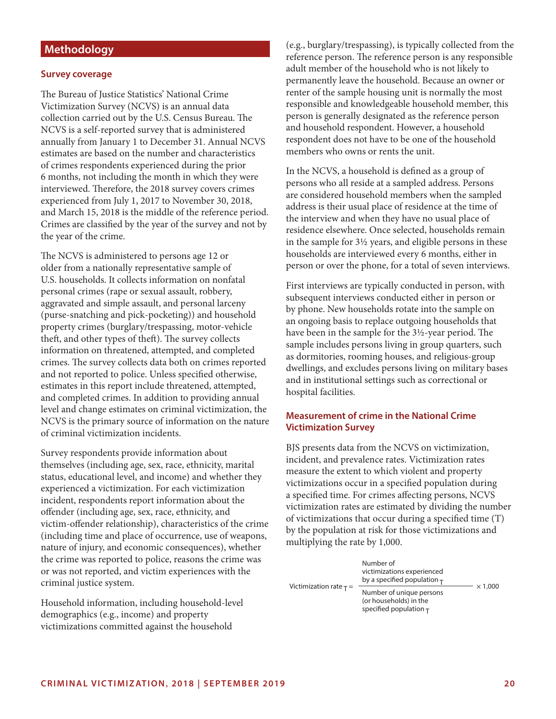# **Methodology**

#### **Survey coverage**

The Bureau of Justice Statistics' National Crime Victimization Survey (NCVS) is an annual data collection carried out by the U.S. Census Bureau. The NCVS is a self-reported survey that is administered annually from January 1 to December 31. Annual NCVS estimates are based on the number and characteristics of crimes respondents experienced during the prior 6 months, not including the month in which they were interviewed. Therefore, the 2018 survey covers crimes experienced from July 1, 2017 to November 30, 2018, and March 15, 2018 is the middle of the reference period. Crimes are classified by the year of the survey and not by the year of the crime.

The NCVS is administered to persons age 12 or older from a nationally representative sample of U.S. households. It collects information on nonfatal personal crimes (rape or sexual assault, robbery, aggravated and simple assault, and personal larceny (purse-snatching and pick-pocketing)) and household property crimes (burglary/trespassing, motor-vehicle theft, and other types of theft). The survey collects information on threatened, attempted, and completed crimes. The survey collects data both on crimes reported and not reported to police. Unless specified otherwise, estimates in this report include threatened, attempted, and completed crimes. In addition to providing annual level and change estimates on criminal victimization, the NCVS is the primary source of information on the nature of criminal victimization incidents.

Survey respondents provide information about themselves (including age, sex, race, ethnicity, marital status, educational level, and income) and whether they experienced a victimization. For each victimization incident, respondents report information about the offender (including age, sex, race, ethnicity, and victim-offender relationship), characteristics of the crime (including time and place of occurrence, use of weapons, nature of injury, and economic consequences), whether the crime was reported to police, reasons the crime was or was not reported, and victim experiences with the criminal justice system.

Household information, including household-level demographics (e.g., income) and property victimizations committed against the household

(e.g., burglary/trespassing), is typically collected from the reference person. The reference person is any responsible adult member of the household who is not likely to permanently leave the household. Because an owner or renter of the sample housing unit is normally the most responsible and knowledgeable household member, this person is generally designated as the reference person and household respondent. However, a household respondent does not have to be one of the household members who owns or rents the unit.

In the NCVS, a household is defined as a group of persons who all reside at a sampled address. Persons are considered household members when the sampled address is their usual place of residence at the time of the interview and when they have no usual place of residence elsewhere. Once selected, households remain in the sample for 3½ years, and eligible persons in these households are interviewed every 6 months, either in person or over the phone, for a total of seven interviews.

First interviews are typically conducted in person, with subsequent interviews conducted either in person or by phone. New households rotate into the sample on an ongoing basis to replace outgoing households that have been in the sample for the 3½-year period. The sample includes persons living in group quarters, such as dormitories, rooming houses, and religious-group dwellings, and excludes persons living on military bases and in institutional settings such as correctional or hospital facilities.

## **Measurement of crime in the National Crime Victimization Survey**

BJS presents data from the NCVS on victimization, incident, and prevalence rates. Victimization rates measure the extent to which violent and property victimizations occur in a specified population during a specified time. For crimes affecting persons, NCVS victimization rates are estimated by dividing the number of victimizations that occur during a specified time (T) by the population at risk for those victimizations and multiplying the rate by 1,000.

|                             | Number of<br>victimizations experienced<br>by a specified population $\tau$       |                |
|-----------------------------|-----------------------------------------------------------------------------------|----------------|
| Victimization rate $\tau$ = | Number of unique persons<br>(or households) in the<br>specified population $\tau$ | $\times$ 1.000 |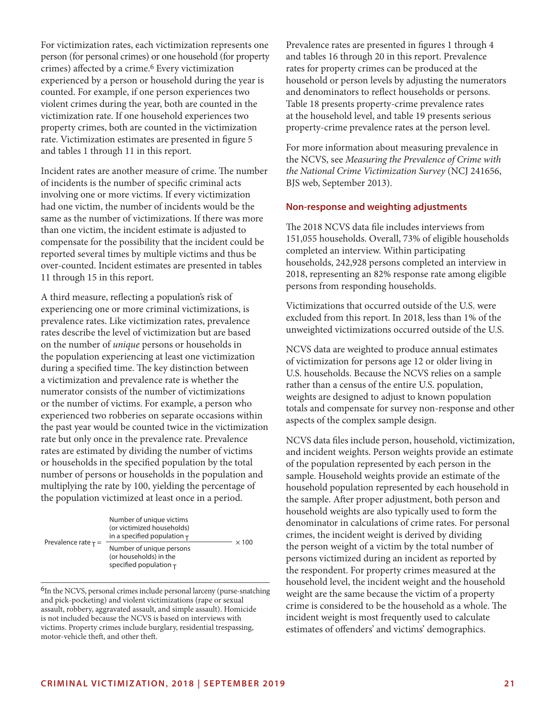For victimization rates, each victimization represents one person (for personal crimes) or one household (for property crimes) affected by a crime.<sup>6</sup> Every victimization experienced by a person or household during the year is counted. For example, if one person experiences two violent crimes during the year, both are counted in the victimization rate. If one household experiences two property crimes, both are counted in the victimization rate. Victimization estimates are presented in figure 5 and tables 1 through 11 in this report.

Incident rates are another measure of crime. The number of incidents is the number of specific criminal acts involving one or more victims. If every victimization had one victim, the number of incidents would be the same as the number of victimizations. If there was more than one victim, the incident estimate is adjusted to compensate for the possibility that the incident could be reported several times by multiple victims and thus be over-counted. Incident estimates are presented in tables 11 through 15 in this report.

A third measure, reflecting a population's risk of experiencing one or more criminal victimizations, is prevalence rates. Like victimization rates, prevalence rates describe the level of victimization but are based on the number of *unique* persons or households in the population experiencing at least one victimization during a specified time. The key distinction between a victimization and prevalence rate is whether the numerator consists of the number of victimizations or the number of victims. For example, a person who experienced two robberies on separate occasions within the past year would be counted twice in the victimization rate but only once in the prevalence rate. Prevalence rates are estimated by dividing the number of victims or households in the specified population by the total number of persons or households in the population and multiplying the rate by 100, yielding the percentage of the population victimized at least once in a period.

|                          | Number of unique victims<br>(or victimized households)<br>in a specified population $\tau$ | $\times$ 100 |
|--------------------------|--------------------------------------------------------------------------------------------|--------------|
| Prevalence rate $\tau$ = | Number of unique persons<br>(or households) in the<br>specified population $\tau$          |              |

<sup>6</sup>In the NCVS, personal crimes include personal larceny (purse-snatching and pick-pocketing) and violent victimizations (rape or sexual assault, robbery, aggravated assault, and simple assault). Homicide is not included because the NCVS is based on interviews with victims. Property crimes include burglary, residential trespassing, motor-vehicle theft, and other theft.

Prevalence rates are presented in figures 1 through 4 and tables 16 through 20 in this report. Prevalence rates for property crimes can be produced at the household or person levels by adjusting the numerators and denominators to reflect households or persons. Table 18 presents property-crime prevalence rates at the household level, and table 19 presents serious property-crime prevalence rates at the person level.

For more information about measuring prevalence in the NCVS, see *Measuring the Prevalence of Crime with the National Crime Victimization Survey* (NCJ 241656, BJS web, September 2013).

#### **Non-response and weighting adjustments**

The 2018 NCVS data file includes interviews from 151,055 households. Overall, 73% of eligible households completed an interview. Within participating households, 242,928 persons completed an interview in 2018, representing an 82% response rate among eligible persons from responding households.

Victimizations that occurred outside of the U.S. were excluded from this report. In 2018, less than 1% of the unweighted victimizations occurred outside of the U.S.

NCVS data are weighted to produce annual estimates of victimization for persons age 12 or older living in U.S. households. Because the NCVS relies on a sample rather than a census of the entire U.S. population, weights are designed to adjust to known population totals and compensate for survey non-response and other aspects of the complex sample design.

NCVS data files include person, household, victimization, and incident weights. Person weights provide an estimate of the population represented by each person in the sample. Household weights provide an estimate of the household population represented by each household in the sample. After proper adjustment, both person and household weights are also typically used to form the denominator in calculations of crime rates. For personal crimes, the incident weight is derived by dividing the person weight of a victim by the total number of persons victimized during an incident as reported by the respondent. For property crimes measured at the household level, the incident weight and the household weight are the same because the victim of a property crime is considered to be the household as a whole. The incident weight is most frequently used to calculate estimates of offenders' and victims' demographics.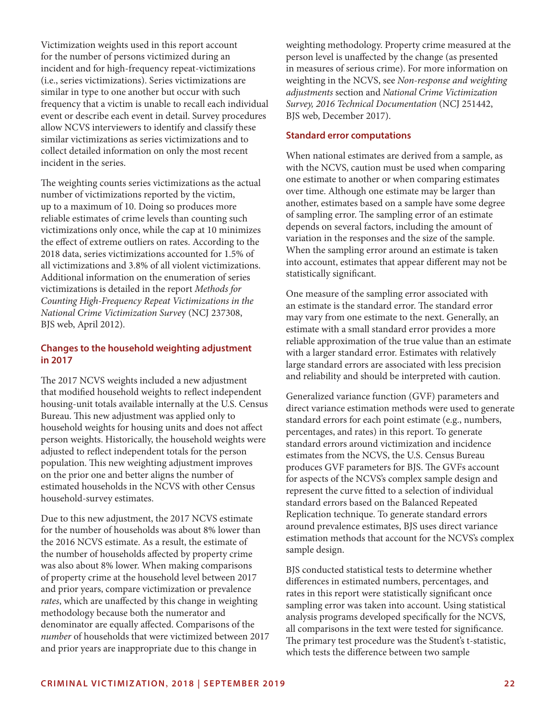Victimization weights used in this report account for the number of persons victimized during an incident and for high-frequency repeat-victimizations (i.e., series victimizations). Series victimizations are similar in type to one another but occur with such frequency that a victim is unable to recall each individual event or describe each event in detail. Survey procedures allow NCVS interviewers to identify and classify these similar victimizations as series victimizations and to collect detailed information on only the most recent incident in the series.

The weighting counts series victimizations as the actual number of victimizations reported by the victim, up to a maximum of 10. Doing so produces more reliable estimates of crime levels than counting such victimizations only once, while the cap at 10 minimizes the effect of extreme outliers on rates. According to the 2018 data, series victimizations accounted for 1.5% of all victimizations and 3.8% of all violent victimizations. Additional information on the enumeration of series victimizations is detailed in the report *Methods for Counting High-Frequency Repeat Victimizations in the National Crime Victimization Surve*y (NCJ 237308, BJS web, April 2012).

## **Changes to the household weighting adjustment in 2017**

The 2017 NCVS weights included a new adjustment that modified household weights to reflect independent housing-unit totals available internally at the U.S. Census Bureau. This new adjustment was applied only to household weights for housing units and does not affect person weights. Historically, the household weights were adjusted to reflect independent totals for the person population. This new weighting adjustment improves on the prior one and better aligns the number of estimated households in the NCVS with other Census household-survey estimates.

Due to this new adjustment, the 2017 NCVS estimate for the number of households was about 8% lower than the 2016 NCVS estimate. As a result, the estimate of the number of households affected by property crime was also about 8% lower. When making comparisons of property crime at the household level between 2017 and prior years, compare victimization or prevalence *rates*, which are unaffected by this change in weighting methodology because both the numerator and denominator are equally affected. Comparisons of the *number* of households that were victimized between 2017 and prior years are inappropriate due to this change in

weighting methodology. Property crime measured at the person level is unaffected by the change (as presented in measures of serious crime). For more information on weighting in the NCVS, see *Non-response and weighting adjustments* section and *National Crime Victimization Survey, 2016 Technical Documentation* (NCJ 251442, BJS web, December 2017).

#### **Standard error computations**

When national estimates are derived from a sample, as with the NCVS, caution must be used when comparing one estimate to another or when comparing estimates over time. Although one estimate may be larger than another, estimates based on a sample have some degree of sampling error. The sampling error of an estimate depends on several factors, including the amount of variation in the responses and the size of the sample. When the sampling error around an estimate is taken into account, estimates that appear different may not be statistically significant.

One measure of the sampling error associated with an estimate is the standard error. The standard error may vary from one estimate to the next. Generally, an estimate with a small standard error provides a more reliable approximation of the true value than an estimate with a larger standard error. Estimates with relatively large standard errors are associated with less precision and reliability and should be interpreted with caution.

Generalized variance function (GVF) parameters and direct variance estimation methods were used to generate standard errors for each point estimate (e.g., numbers, percentages, and rates) in this report. To generate standard errors around victimization and incidence estimates from the NCVS, the U.S. Census Bureau produces GVF parameters for BJS. The GVFs account for aspects of the NCVS's complex sample design and represent the curve fitted to a selection of individual standard errors based on the Balanced Repeated Replication technique. To generate standard errors around prevalence estimates, BJS uses direct variance estimation methods that account for the NCVS's complex sample design.

BJS conducted statistical tests to determine whether differences in estimated numbers, percentages, and rates in this report were statistically significant once sampling error was taken into account. Using statistical analysis programs developed specifically for the NCVS, all comparisons in the text were tested for significance. The primary test procedure was the Student's t-statistic, which tests the difference between two sample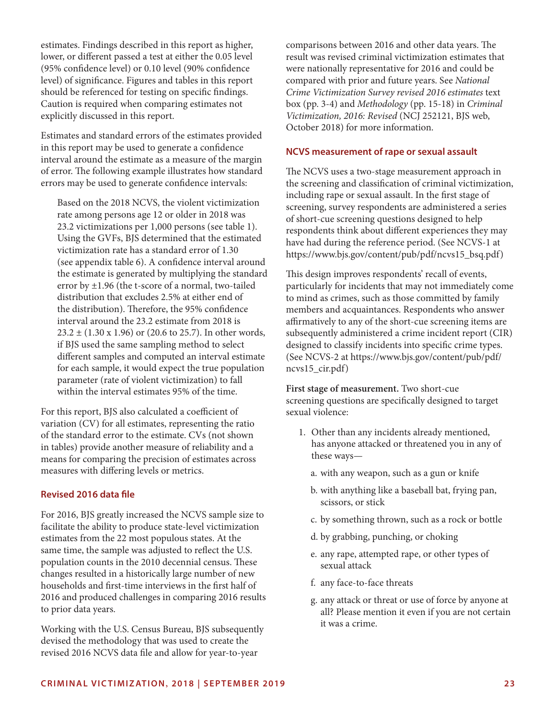estimates. Findings described in this report as higher, lower, or different passed a test at either the 0.05 level (95% confidence level) or 0.10 level (90% confidence level) of significance. Figures and tables in this report should be referenced for testing on specific findings. Caution is required when comparing estimates not explicitly discussed in this report.

Estimates and standard errors of the estimates provided in this report may be used to generate a confidence interval around the estimate as a measure of the margin of error. The following example illustrates how standard errors may be used to generate confidence intervals:

Based on the 2018 NCVS, the violent victimization rate among persons age 12 or older in 2018 was 23.2 victimizations per 1,000 persons (see table 1). Using the GVFs, BJS determined that the estimated victimization rate has a standard error of 1.30 (see appendix table 6). A confidence interval around the estimate is generated by multiplying the standard error by  $\pm 1.96$  (the t-score of a normal, two-tailed distribution that excludes 2.5% at either end of the distribution). Therefore, the 95% confidence interval around the 23.2 estimate from 2018 is  $23.2 \pm (1.30 \times 1.96)$  or (20.6 to 25.7). In other words, if BJS used the same sampling method to select different samples and computed an interval estimate for each sample, it would expect the true population parameter (rate of violent victimization) to fall within the interval estimates 95% of the time.

For this report, BJS also calculated a coefficient of variation (CV) for all estimates, representing the ratio of the standard error to the estimate. CVs (not shown in tables) provide another measure of reliability and a means for comparing the precision of estimates across measures with differing levels or metrics.

## **Revised 2016 data file**

For 2016, BJS greatly increased the NCVS sample size to facilitate the ability to produce state-level victimization estimates from the 22 most populous states. At the same time, the sample was adjusted to reflect the U.S. population counts in the 2010 decennial census. These changes resulted in a historically large number of new households and first-time interviews in the first half of 2016 and produced challenges in comparing 2016 results to prior data years.

Working with the U.S. Census Bureau, BJS subsequently devised the methodology that was used to create the revised 2016 NCVS data file and allow for year-to-year

comparisons between 2016 and other data years. The result was revised criminal victimization estimates that were nationally representative for 2016 and could be compared with prior and future years. See *National Crime Victimization Survey revised 2016 estimates* text box (pp. 3-4) and *Methodology* (pp. 15-18) in *Criminal Victimization, 2016: Revised* (NCJ 252121, BJS web, October 2018) for more information.

#### **NCVS measurement of rape or sexual assault**

The NCVS uses a two-stage measurement approach in the screening and classification of criminal victimization, including rape or sexual assault. In the first stage of screening, survey respondents are administered a series of short-cue screening questions designed to help respondents think about different experiences they may have had during the reference period. (See NCVS-1 at [https://www.bjs.gov/content/pub/pdf/ncvs15\\_bsq.pdf\)](https://www.bjs.gov/content/pub/pdf/ncvs15_bsq.pdf)

This design improves respondents' recall of events, particularly for incidents that may not immediately come to mind as crimes, such as those committed by family members and acquaintances. Respondents who answer affirmatively to any of the short-cue screening items are subsequently administered a crime incident report (CIR) designed to classify incidents into specific crime types. (See NCVS-2 at [https://www.bjs.gov/content/pub/pdf/](https://www.bjs.gov/content/pub/pdf/ncvs15_cir.pdf) [ncvs15\\_cir.pdf](https://www.bjs.gov/content/pub/pdf/ncvs15_cir.pdf))

**First stage of measurement.** Two short-cue screening questions are specifically designed to target sexual violence:

- 1. Other than any incidents already mentioned, has anyone attacked or threatened you in any of these ways
	- a. with any weapon, such as a gun or knife
	- b. with anything like a baseball bat, frying pan, scissors, or stick
	- c. by something thrown, such as a rock or bottle
	- d. by grabbing, punching, or choking
	- e. any rape, attempted rape, or other types of sexual attack
	- f. any face-to-face threats
	- g. any attack or threat or use of force by anyone at all? Please mention it even if you are not certain it was a crime.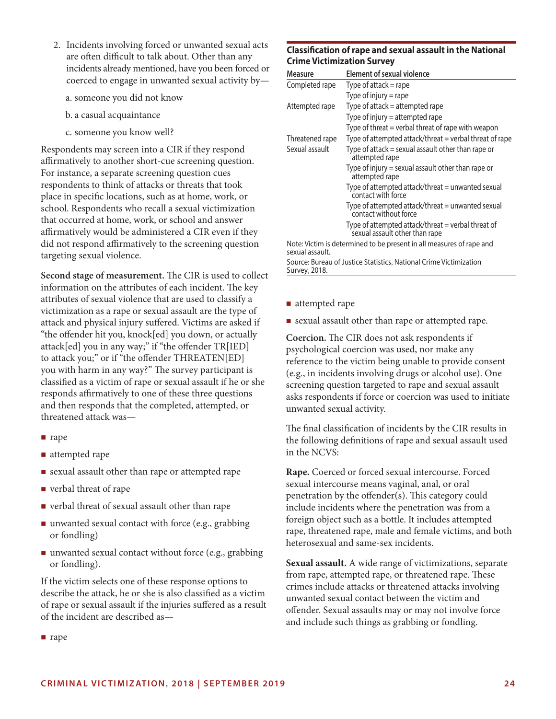- 2. Incidents involving forced or unwanted sexual acts are often difficult to talk about. Other than any incidents already mentioned, have you been forced or coerced to engage in unwanted sexual activity by
	- a. someone you did not know
	- b. a casual acquaintance
	- c. someone you know well?

Respondents may screen into a CIR if they respond affirmatively to another short-cue screening question. For instance, a separate screening question cues respondents to think of attacks or threats that took place in specific locations, such as at home, work, or school. Respondents who recall a sexual victimization that occurred at home, work, or school and answer affirmatively would be administered a CIR even if they did not respond affirmatively to the screening question targeting sexual violence.

**Second stage of measurement.** The CIR is used to collect information on the attributes of each incident. The key attributes of sexual violence that are used to classify a victimization as a rape or sexual assault are the type of attack and physical injury suffered. Victims are asked if "the offender hit you, knock[ed] you down, or actually attack[ed] you in any way;" if "the offender TR[IED] to attack you;" or if "the offender THREATEN[ED] you with harm in any way?" The survey participant is classified as a victim of rape or sexual assault if he or she responds affirmatively to one of these three questions and then responds that the completed, attempted, or threatened attack was—

- nape
- attempted rape
- sexual assault other than rape or attempted rape
- verbal threat of rape
- verbal threat of sexual assault other than rape
- unwanted sexual contact with force (e.g., grabbing or fondling)
- unwanted sexual contact without force (e.g., grabbing or fondling).

If the victim selects one of these response options to describe the attack, he or she is also classified as a victim of rape or sexual assault if the injuries suffered as a result of the incident are described as—

### **Classification of rape and sexual assault in the National Crime Victimization Survey**

| Measure         | Element of sexual violence                                                           |
|-----------------|--------------------------------------------------------------------------------------|
| Completed rape  | Type of attack $=$ rape                                                              |
|                 | Type of injury $=$ rape                                                              |
| Attempted rape  | Type of attack $=$ attempted rape                                                    |
|                 | Type of injury $=$ attempted rape                                                    |
|                 | Type of threat = verbal threat of rape with weapon                                   |
| Threatened rape | Type of attempted attack/threat = verbal threat of rape                              |
| Sexual assault  | Type of attack $=$ sexual assault other than rape or<br>attempted rape               |
|                 | Type of injury $=$ sexual assault other than rape or<br>attempted rape               |
|                 | Type of attempted attack/threat = unwanted sexual<br>contact with force              |
|                 | Type of attempted attack/threat $=$ unwanted sexual<br>contact without force         |
|                 | Type of attempted attack/threat = verbal threat of<br>sexual assault other than rape |
| sexual assault. | Note: Victim is determined to be present in all measures of rape and                 |

Source: Bureau of Justice Statistics, National Crime Victimization Survey, 2018.

- attempted rape
- sexual assault other than rape or attempted rape.

**Coercion.** The CIR does not ask respondents if psychological coercion was used, nor make any reference to the victim being unable to provide consent (e.g., in incidents involving drugs or alcohol use). One screening question targeted to rape and sexual assault asks respondents if force or coercion was used to initiate unwanted sexual activity.

The final classification of incidents by the CIR results in the following definitions of rape and sexual assault used in the NCVS:

**Rape.** Coerced or forced sexual intercourse. Forced sexual intercourse means vaginal, anal, or oral penetration by the offender(s). This category could include incidents where the penetration was from a foreign object such as a bottle. It includes attempted rape, threatened rape, male and female victims, and both heterosexual and same-sex incidents.

**Sexual assault.** A wide range of victimizations, separate from rape, attempted rape, or threatened rape. These crimes include attacks or threatened attacks involving unwanted sexual contact between the victim and offender. Sexual assaults may or may not involve force and include such things as grabbing or fondling.

nape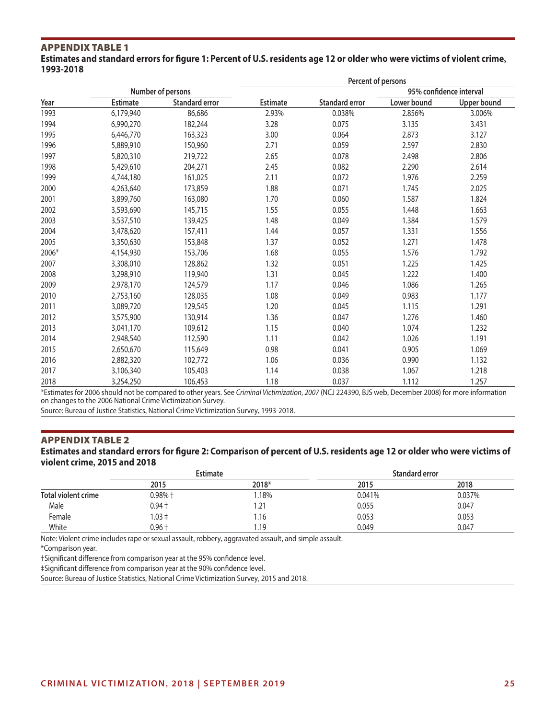#### Appendix Table 1 **Estimates and standard errors for figure 1: Percent of U.S. residents age 12 or older who were victims of violent crime, 1993-2018**

|       |                 |                       | Percent of persons |                       |             |                         |  |  |  |
|-------|-----------------|-----------------------|--------------------|-----------------------|-------------|-------------------------|--|--|--|
|       |                 | Number of persons     |                    |                       |             | 95% confidence interval |  |  |  |
| Year  | <b>Estimate</b> | <b>Standard error</b> | <b>Estimate</b>    | <b>Standard error</b> | Lower bound | Upper bound             |  |  |  |
| 1993  | 6,179,940       | 86,686                | 2.93%              | 0.038%                | 2.856%      | 3.006%                  |  |  |  |
| 1994  | 6,990,270       | 182,244               | 3.28               | 0.075                 | 3.135       | 3.431                   |  |  |  |
| 1995  | 6,446,770       | 163,323               | 3.00               | 0.064                 | 2.873       | 3.127                   |  |  |  |
| 1996  | 5,889,910       | 150,960               | 2.71               | 0.059                 | 2.597       | 2.830                   |  |  |  |
| 1997  | 5,820,310       | 219,722               | 2.65               | 0.078                 | 2.498       | 2.806                   |  |  |  |
| 1998  | 5,429,610       | 204,271               | 2.45               | 0.082                 | 2.290       | 2.614                   |  |  |  |
| 1999  | 4,744,180       | 161,025               | 2.11               | 0.072                 | 1.976       | 2.259                   |  |  |  |
| 2000  | 4,263,640       | 173,859               | 1.88               | 0.071                 | 1.745       | 2.025                   |  |  |  |
| 2001  | 3,899,760       | 163,080               | 1.70               | 0.060                 | 1.587       | 1.824                   |  |  |  |
| 2002  | 3,593,690       | 145,715               | 1.55               | 0.055                 | 1.448       | 1.663                   |  |  |  |
| 2003  | 3,537,510       | 139,425               | 1.48               | 0.049                 | 1.384       | 1.579                   |  |  |  |
| 2004  | 3,478,620       | 157,411               | 1.44               | 0.057                 | 1.331       | 1.556                   |  |  |  |
| 2005  | 3,350,630       | 153,848               | 1.37               | 0.052                 | 1.271       | 1.478                   |  |  |  |
| 2006* | 4,154,930       | 153,706               | 1.68               | 0.055                 | 1.576       | 1.792                   |  |  |  |
| 2007  | 3,308,010       | 128,862               | 1.32               | 0.051                 | 1.225       | 1.425                   |  |  |  |
| 2008  | 3,298,910       | 119,940               | 1.31               | 0.045                 | 1.222       | 1.400                   |  |  |  |
| 2009  | 2,978,170       | 124,579               | 1.17               | 0.046                 | 1.086       | 1.265                   |  |  |  |
| 2010  | 2,753,160       | 128,035               | 1.08               | 0.049                 | 0.983       | 1.177                   |  |  |  |
| 2011  | 3,089,720       | 129,545               | 1.20               | 0.045                 | 1.115       | 1.291                   |  |  |  |
| 2012  | 3,575,900       | 130,914               | 1.36               | 0.047                 | 1.276       | 1.460                   |  |  |  |
| 2013  | 3,041,170       | 109,612               | 1.15               | 0.040                 | 1.074       | 1.232                   |  |  |  |
| 2014  | 2,948,540       | 112,590               | 1.11               | 0.042                 | 1.026       | 1.191                   |  |  |  |
| 2015  | 2,650,670       | 115,649               | 0.98               | 0.041                 | 0.905       | 1.069                   |  |  |  |
| 2016  | 2,882,320       | 102,772               | 1.06               | 0.036                 | 0.990       | 1.132                   |  |  |  |
| 2017  | 3,106,340       | 105,403               | 1.14               | 0.038                 | 1.067       | 1.218                   |  |  |  |
| 2018  | 3,254,250       | 106,453               | 1.18               | 0.037                 | 1.112       | 1.257                   |  |  |  |

\*Estimates for 2006 should not be compared to other years. See *Criminal Victimization, 2007* (NCJ 224390, BJS web, December 2008) for more information on changes to the 2006 National Crime Victimization Survey.

Source: Bureau of Justice Statistics, National Crime Victimization Survey, 1993-2018.

## APPENDIX TABLE 2

### **Estimates and standard errors for figure 2: Comparison of percent of U.S. residents age 12 or older who were victims of violent crime, 2015 and 2018**

|                     | <b>Estimate</b> |       | Standard error |        |  |  |
|---------------------|-----------------|-------|----------------|--------|--|--|
|                     | 2015            | 2018* | 2015           | 2018   |  |  |
| Total violent crime | 0.98%†          | .18%  | 0.041%         | 0.037% |  |  |
| Male                | $0.94 +$        | . 21  | 0.055          | 0.047  |  |  |
| Female              | ‡ 03.ا          | 16. ا | 0.053          | 0.053  |  |  |
| White               | 0.96†           | 1.19  | 0.049          | 0.047  |  |  |

Note: Violent crime includes rape or sexual assault, robbery, aggravated assault, and simple assault.

\*Comparison year.

†Significant difference from comparison year at the 95% confidence level.

‡Significant difference from comparison year at the 90% confidence level.

Source: Bureau of Justice Statistics, National Crime Victimization Survey, 2015 and 2018.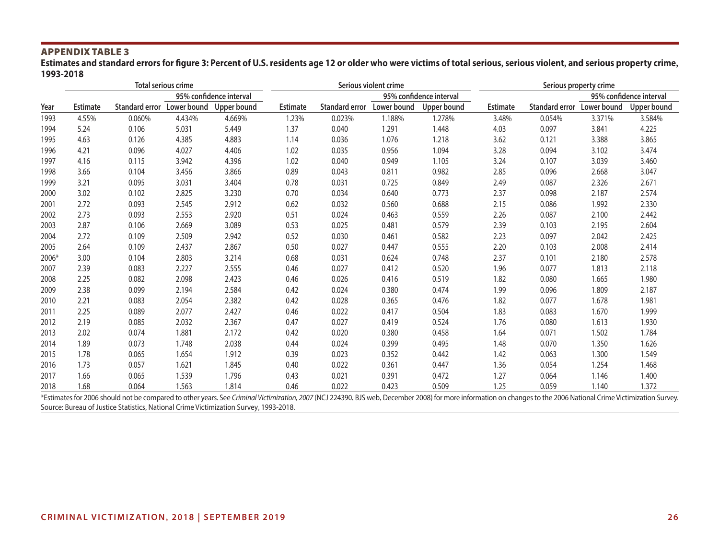**Estimates and standard errors for figure 3: Percent of U.S. residents age 12 or older who were victims of total serious, serious violent, and serious property crime, 1993-2018**

|       |                 |        | <b>Total serious crime</b> |                         |                 |                | Serious violent crime |                         | Serious property crime |                |             |                         |
|-------|-----------------|--------|----------------------------|-------------------------|-----------------|----------------|-----------------------|-------------------------|------------------------|----------------|-------------|-------------------------|
|       |                 |        |                            | 95% confidence interval |                 |                |                       | 95% confidence interval |                        |                |             | 95% confidence interval |
| Year  | <b>Estimate</b> |        | Standard error Lower bound | Upper bound             | <b>Estimate</b> | Standard error | Lower bound           | Upper bound             | <b>Estimate</b>        | Standard error | Lower bound | <b>Upper bound</b>      |
| 1993  | 4.55%           | 0.060% | 4.434%                     | 4.669%                  | 1.23%           | 0.023%         | 1.188%                | 1.278%                  | 3.48%                  | 0.054%         | 3.371%      | 3.584%                  |
| 1994  | 5.24            | 0.106  | 5.031                      | 5.449                   | 1.37            | 0.040          | 1.291                 | 1.448                   | 4.03                   | 0.097          | 3.841       | 4.225                   |
| 1995  | 4.63            | 0.126  | 4.385                      | 4.883                   | 1.14            | 0.036          | 1.076                 | 1.218                   | 3.62                   | 0.121          | 3.388       | 3.865                   |
| 1996  | 4.21            | 0.096  | 4.027                      | 4.406                   | 1.02            | 0.035          | 0.956                 | 1.094                   | 3.28                   | 0.094          | 3.102       | 3.474                   |
| 1997  | 4.16            | 0.115  | 3.942                      | 4.396                   | 1.02            | 0.040          | 0.949                 | 1.105                   | 3.24                   | 0.107          | 3.039       | 3.460                   |
| 1998  | 3.66            | 0.104  | 3.456                      | 3.866                   | 0.89            | 0.043          | 0.811                 | 0.982                   | 2.85                   | 0.096          | 2.668       | 3.047                   |
| 1999  | 3.21            | 0.095  | 3.031                      | 3.404                   | 0.78            | 0.031          | 0.725                 | 0.849                   | 2.49                   | 0.087          | 2.326       | 2.671                   |
| 2000  | 3.02            | 0.102  | 2.825                      | 3.230                   | 0.70            | 0.034          | 0.640                 | 0.773                   | 2.37                   | 0.098          | 2.187       | 2.574                   |
| 2001  | 2.72            | 0.093  | 2.545                      | 2.912                   | 0.62            | 0.032          | 0.560                 | 0.688                   | 2.15                   | 0.086          | 1.992       | 2.330                   |
| 2002  | 2.73            | 0.093  | 2.553                      | 2.920                   | 0.51            | 0.024          | 0.463                 | 0.559                   | 2.26                   | 0.087          | 2.100       | 2.442                   |
| 2003  | 2.87            | 0.106  | 2.669                      | 3.089                   | 0.53            | 0.025          | 0.481                 | 0.579                   | 2.39                   | 0.103          | 2.195       | 2.604                   |
| 2004  | 2.72            | 0.109  | 2.509                      | 2.942                   | 0.52            | 0.030          | 0.461                 | 0.582                   | 2.23                   | 0.097          | 2.042       | 2.425                   |
| 2005  | 2.64            | 0.109  | 2.437                      | 2.867                   | 0.50            | 0.027          | 0.447                 | 0.555                   | 2.20                   | 0.103          | 2.008       | 2.414                   |
| 2006* | 3.00            | 0.104  | 2.803                      | 3.214                   | 0.68            | 0.031          | 0.624                 | 0.748                   | 2.37                   | 0.101          | 2.180       | 2.578                   |
| 2007  | 2.39            | 0.083  | 2.227                      | 2.555                   | 0.46            | 0.027          | 0.412                 | 0.520                   | 1.96                   | 0.077          | 1.813       | 2.118                   |
| 2008  | 2.25            | 0.082  | 2.098                      | 2.423                   | 0.46            | 0.026          | 0.416                 | 0.519                   | 1.82                   | 0.080          | 1.665       | 1.980                   |
| 2009  | 2.38            | 0.099  | 2.194                      | 2.584                   | 0.42            | 0.024          | 0.380                 | 0.474                   | 1.99                   | 0.096          | 1.809       | 2.187                   |
| 2010  | 2.21            | 0.083  | 2.054                      | 2.382                   | 0.42            | 0.028          | 0.365                 | 0.476                   | 1.82                   | 0.077          | 1.678       | 1.981                   |
| 2011  | 2.25            | 0.089  | 2.077                      | 2.427                   | 0.46            | 0.022          | 0.417                 | 0.504                   | 1.83                   | 0.083          | 1.670       | 1.999                   |
| 2012  | 2.19            | 0.085  | 2.032                      | 2.367                   | 0.47            | 0.027          | 0.419                 | 0.524                   | 1.76                   | 0.080          | 1.613       | 1.930                   |
| 2013  | 2.02            | 0.074  | 1.881                      | 2.172                   | 0.42            | 0.020          | 0.380                 | 0.458                   | 1.64                   | 0.071          | 1.502       | 1.784                   |
| 2014  | 1.89            | 0.073  | 1.748                      | 2.038                   | 0.44            | 0.024          | 0.399                 | 0.495                   | 1.48                   | 0.070          | 1.350       | 1.626                   |
| 2015  | 1.78            | 0.065  | 1.654                      | 1.912                   | 0.39            | 0.023          | 0.352                 | 0.442                   | 1.42                   | 0.063          | 1.300       | 1.549                   |
| 2016  | 1.73            | 0.057  | 1.621                      | 1.845                   | 0.40            | 0.022          | 0.361                 | 0.447                   | 1.36                   | 0.054          | 1.254       | 1.468                   |
| 2017  | 1.66            | 0.065  | 1.539                      | 1.796                   | 0.43            | 0.021          | 0.391                 | 0.472                   | 1.27                   | 0.064          | 1.146       | 1.400                   |
| 2018  | 1.68            | 0.064  | 1.563                      | 1.814                   | 0.46            | 0.022          | 0.423                 | 0.509                   | 1.25                   | 0.059          | 1.140       | 1.372                   |

\*Estimates for 2006 should not be compared to other years. See Criminal Victimization, 2007 (NCJ 224390, BJS web, December 2008) for more information on changes to the 2006 National Crime Victimization Survey. Source: Bureau of Justice Statistics, National Crime Victimization Survey, 1993-2018.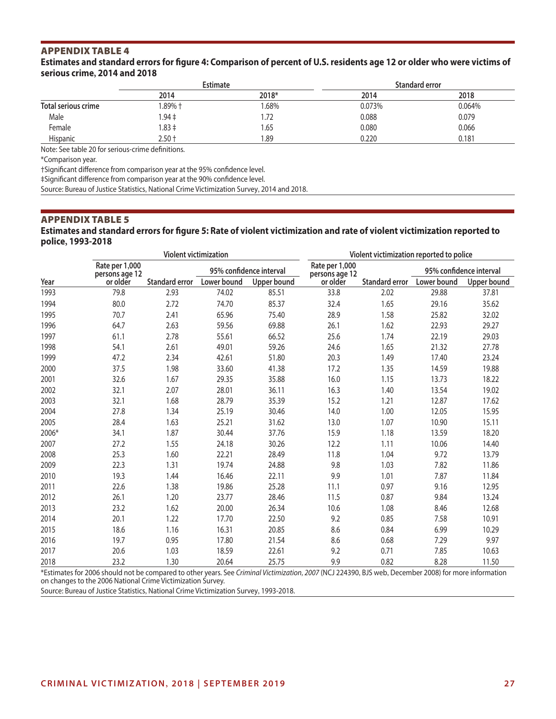#### **Estimates and standard errors for figure 4: Comparison of percent of U.S. residents age 12 or older who were victims of serious crime, 2014 and 2018**

|                     | <b>Estimate</b> |       | Standard error |        |
|---------------------|-----------------|-------|----------------|--------|
|                     | 2014            | 2018* | 2014           | 2018   |
| Total serious crime | $1.89%$ t       | .68%  | 0.073%         | 0.064% |
| Male                | $1.94 \pm$      | 1.72  | 0.088          | 0.079  |
| Female              | $1.83 \pm$      | 65.،  | 0.080          | 0.066  |
| Hispanic            | $2.50 +$        | .89   | 0.220          | 0.181  |

Note: See table 20 for serious-crime definitions.

\*Comparison year.

†Significant difference from comparison year at the 95% confidence level.

‡Significant difference from comparison year at the 90% confidence level.

Source: Bureau of Justice Statistics, National Crime Victimization Survey, 2014 and 2018.

#### APPENDIX TABLE 5

#### **Estimates and standard errors for figure 5: Rate of violent victimization and rate of violent victimization reported to police, 1993-2018**

|       |                                  | <b>Violent victimization</b> |             |                         | Violent victimization reported to police |                |                         |                    |  |
|-------|----------------------------------|------------------------------|-------------|-------------------------|------------------------------------------|----------------|-------------------------|--------------------|--|
|       | Rate per 1,000<br>persons age 12 |                              |             | 95% confidence interval |                                          |                | 95% confidence interval |                    |  |
| Year  | or older                         | <b>Standard error</b>        | Lower bound | Upper bound             | persons age 12<br>or older               | Standard error | Lower bound             | <b>Upper bound</b> |  |
| 1993  | 79.8                             | 2.93                         | 74.02       | 85.51                   | 33.8                                     | 2.02           | 29.88                   | 37.81              |  |
| 1994  | 80.0                             | 2.72                         | 74.70       | 85.37                   | 32.4                                     | 1.65           | 29.16                   | 35.62              |  |
| 1995  | 70.7                             | 2.41                         | 65.96       | 75.40                   | 28.9                                     | 1.58           | 25.82                   | 32.02              |  |
| 1996  | 64.7                             | 2.63                         | 59.56       | 69.88                   | 26.1                                     | 1.62           | 22.93                   | 29.27              |  |
| 1997  | 61.1                             | 2.78                         | 55.61       | 66.52                   | 25.6                                     | 1.74           | 22.19                   | 29.03              |  |
| 1998  | 54.1                             | 2.61                         | 49.01       | 59.26                   | 24.6                                     | 1.65           | 21.32                   | 27.78              |  |
| 1999  | 47.2                             | 2.34                         | 42.61       | 51.80                   | 20.3                                     | 1.49           | 17.40                   | 23.24              |  |
| 2000  | 37.5                             | 1.98                         | 33.60       | 41.38                   | 17.2                                     | 1.35           | 14.59                   | 19.88              |  |
| 2001  | 32.6                             | 1.67                         | 29.35       | 35.88                   | 16.0                                     | 1.15           | 13.73                   | 18.22              |  |
| 2002  | 32.1                             | 2.07                         | 28.01       | 36.11                   | 16.3                                     | 1.40           | 13.54                   | 19.02              |  |
| 2003  | 32.1                             | 1.68                         | 28.79       | 35.39                   | 15.2                                     | 1.21           | 12.87                   | 17.62              |  |
| 2004  | 27.8                             | 1.34                         | 25.19       | 30.46                   | 14.0                                     | 1.00           | 12.05                   | 15.95              |  |
| 2005  | 28.4                             | 1.63                         | 25.21       | 31.62                   | 13.0                                     | 1.07           | 10.90                   | 15.11              |  |
| 2006* | 34.1                             | 1.87                         | 30.44       | 37.76                   | 15.9                                     | 1.18           | 13.59                   | 18.20              |  |
| 2007  | 27.2                             | 1.55                         | 24.18       | 30.26                   | 12.2                                     | 1.11           | 10.06                   | 14.40              |  |
| 2008  | 25.3                             | 1.60                         | 22.21       | 28.49                   | 11.8                                     | 1.04           | 9.72                    | 13.79              |  |
| 2009  | 22.3                             | 1.31                         | 19.74       | 24.88                   | 9.8                                      | 1.03           | 7.82                    | 11.86              |  |
| 2010  | 19.3                             | 1.44                         | 16.46       | 22.11                   | 9.9                                      | 1.01           | 7.87                    | 11.84              |  |
| 2011  | 22.6                             | 1.38                         | 19.86       | 25.28                   | 11.1                                     | 0.97           | 9.16                    | 12.95              |  |
| 2012  | 26.1                             | 1.20                         | 23.77       | 28.46                   | 11.5                                     | 0.87           | 9.84                    | 13.24              |  |
| 2013  | 23.2                             | 1.62                         | 20.00       | 26.34                   | 10.6                                     | 1.08           | 8.46                    | 12.68              |  |
| 2014  | 20.1                             | 1.22                         | 17.70       | 22.50                   | 9.2                                      | 0.85           | 7.58                    | 10.91              |  |
| 2015  | 18.6                             | 1.16                         | 16.31       | 20.85                   | 8.6                                      | 0.84           | 6.99                    | 10.29              |  |
| 2016  | 19.7                             | 0.95                         | 17.80       | 21.54                   | 8.6                                      | 0.68           | 7.29                    | 9.97               |  |
| 2017  | 20.6                             | 1.03                         | 18.59       | 22.61                   | 9.2                                      | 0.71           | 7.85                    | 10.63              |  |
| 2018  | 23.2                             | 1.30                         | 20.64       | 25.75                   | 9.9                                      | 0.82           | 8.28                    | 11.50              |  |

\*Estimates for 2006 should not be compared to other years. See *Criminal Victimization, 2007* (NCJ 224390, BJS web, December 2008) for more information on changes to the 2006 National Crime Victimization Survey.

Source: Bureau of Justice Statistics, National Crime Victimization Survey, 1993-2018.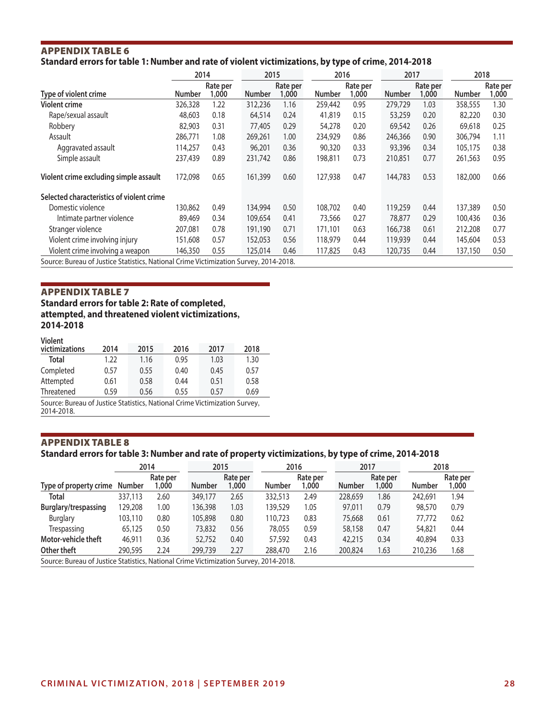## APPENDIX TABLE 6 **Standard errors for table 1: Number and rate of violent victimizations, by type of crime, 2014-2018**

|                                                                                       | 2014          |                   | 2015          |                   | 2016          |                   | 2017          |                   | 2018          |                   |
|---------------------------------------------------------------------------------------|---------------|-------------------|---------------|-------------------|---------------|-------------------|---------------|-------------------|---------------|-------------------|
| Type of violent crime                                                                 | <b>Number</b> | Rate per<br>1,000 | <b>Number</b> | Rate per<br>1,000 | <b>Number</b> | Rate per<br>1,000 | <b>Number</b> | Rate per<br>1,000 | <b>Number</b> | Rate per<br>1,000 |
| <b>Violent crime</b>                                                                  | 326,328       | 1.22              | 312,236       | 1.16              | 259,442       | 0.95              | 279,729       | 1.03              | 358,555       | 1.30              |
| Rape/sexual assault                                                                   | 48,603        | 0.18              | 64,514        | 0.24              | 41,819        | 0.15              | 53,259        | 0.20              | 82,220        | 0.30              |
| Robbery                                                                               | 82,903        | 0.31              | 77,405        | 0.29              | 54,278        | 0.20              | 69,542        | 0.26              | 69,618        | 0.25              |
| Assault                                                                               | 286,771       | 1.08              | 269,261       | 1.00              | 234,929       | 0.86              | 246,366       | 0.90              | 306,794       | 1.11              |
| Aggravated assault                                                                    | 114,257       | 0.43              | 96,201        | 0.36              | 90,320        | 0.33              | 93,396        | 0.34              | 105,175       | 0.38              |
| Simple assault                                                                        | 237,439       | 0.89              | 231,742       | 0.86              | 198,811       | 0.73              | 210,851       | 0.77              | 261,563       | 0.95              |
| Violent crime excluding simple assault                                                | 172,098       | 0.65              | 161,399       | 0.60              | 127,938       | 0.47              | 144,783       | 0.53              | 182,000       | 0.66              |
| Selected characteristics of violent crime                                             |               |                   |               |                   |               |                   |               |                   |               |                   |
| Domestic violence                                                                     | 130,862       | 0.49              | 134,994       | 0.50              | 108,702       | 0.40              | 119,259       | 0.44              | 137,389       | 0.50              |
| Intimate partner violence                                                             | 89,469        | 0.34              | 109,654       | 0.41              | 73,566        | 0.27              | 78,877        | 0.29              | 100,436       | 0.36              |
| Stranger violence                                                                     | 207,081       | 0.78              | 191,190       | 0.71              | 171,101       | 0.63              | 166,738       | 0.61              | 212,208       | 0.77              |
| Violent crime involving injury                                                        | 151,608       | 0.57              | 152,053       | 0.56              | 118,979       | 0.44              | 119,939       | 0.44              | 145,604       | 0.53              |
| Violent crime involving a weapon                                                      | 146,350       | 0.55              | 125,014       | 0.46              | 117,825       | 0.43              | 120,735       | 0.44              | 137,150       | 0.50              |
| Source: Bureau of Justice Statistics, National Crime Victimization Survey, 2014-2018. |               |                   |               |                   |               |                   |               |                   |               |                   |

APPENDIX TABLE 7 **Standard errors for table 2: Rate of completed, attempted, and threatened violent victimizations, 2014-2018**

| Violent |
|---------|
|---------|

| <br>victimizations | 2014 | 2015 | 2016 | 2017 | 2018 |
|--------------------|------|------|------|------|------|
| Total              | 1.22 | 1.16 | 0.95 | 1.03 | 1.30 |
| Completed          | 0.57 | 0.55 | 0.40 | 0.45 | 0.57 |
| Attempted          | 0.61 | 0.58 | 0.44 | 0.51 | 0.58 |
| Threatened         | 0.59 | 0.56 | 0.55 | 0.57 | 0.69 |

Source: Bureau of Justice Statistics, National Crime Victimization Survey, 2014-2018.

## APPENDIX TABLE 8

### **Standard errors for table 3: Number and rate of property victimizations, by type of crime, 2014-2018**

|                                                                                       |         | 2014              | 2015          |                   | 2016          |                   | 2017          |                   |               | 2018              |
|---------------------------------------------------------------------------------------|---------|-------------------|---------------|-------------------|---------------|-------------------|---------------|-------------------|---------------|-------------------|
| Type of property crime                                                                | Number  | Rate per<br>1,000 | <b>Number</b> | Rate per<br>1.000 | <b>Number</b> | Rate per<br>1,000 | <b>Number</b> | Rate per<br>1,000 | <b>Number</b> | Rate per<br>1,000 |
| <b>Total</b>                                                                          | 337,113 | 2.60              | 349,177       | 2.65              | 332,513       | 2.49              | 228,659       | 1.86              | 242,691       | 1.94              |
| Burglary/trespassing                                                                  | 129,208 | 0.00              | 136,398       | 1.03              | 139.529       | 1.05              | 97,011        | 0.79              | 98,570        | 0.79              |
| Burglary                                                                              | 103,110 | 0.80              | 105,898       | 0.80              | 110.723       | 0.83              | 75,668        | 0.61              | 77,772        | 0.62              |
| Trespassing                                                                           | 65,125  | 0.50              | 73,832        | 0.56              | 78,055        | 0.59              | 58,158        | 0.47              | 54,821        | 0.44              |
| Motor-vehicle theft                                                                   | 46,911  | 0.36              | 52,752        | 0.40              | 57,592        | 0.43              | 42,215        | 0.34              | 40,894        | 0.33              |
| Other theft                                                                           | 290,595 | 2.24              | 299,739       | 2.27              | 288,470       | 2.16              | 200,824       | 1.63              | 210,236       | 1.68              |
| Source: Bureau of Justice Statistics, National Crime Victimization Survey, 2014-2018. |         |                   |               |                   |               |                   |               |                   |               |                   |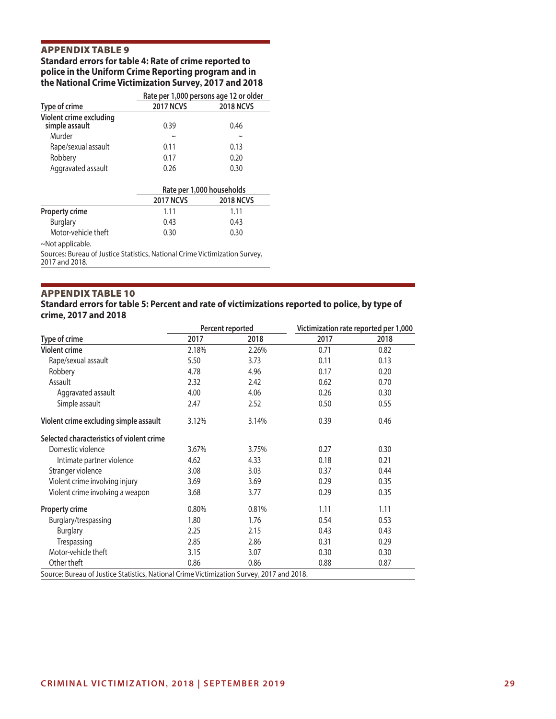## **Standard errors for table 4: Rate of crime reported to police in the Uniform Crime Reporting program and in the National Crime Victimization Survey, 2017 and 2018**

|                                           | Rate per 1,000 persons age 12 or older |                  |  |  |  |
|-------------------------------------------|----------------------------------------|------------------|--|--|--|
| Type of crime                             | <b>2017 NCVS</b>                       | <b>2018 NCVS</b> |  |  |  |
| Violent crime excluding<br>simple assault | 0.39                                   | 0.46             |  |  |  |
| Murder                                    | $\tilde{}$                             | $\sim$           |  |  |  |
| Rape/sexual assault                       | 0.11                                   | 0.13             |  |  |  |
| Robbery                                   | 0.17                                   | 0.20             |  |  |  |
| Aggravated assault                        | 0.26                                   | 0.30             |  |  |  |

|                       | Rate per 1,000 households |                  |  |  |
|-----------------------|---------------------------|------------------|--|--|
|                       | <b>2017 NCVS</b>          | <b>2018 NCVS</b> |  |  |
| <b>Property crime</b> | 1 1 1                     | 1 1 1            |  |  |
| <b>Burglary</b>       | 0.43                      | 0.43             |  |  |
| Motor-vehicle theft   | 0.30                      | 0.30             |  |  |

~Not applicable.

Sources: Bureau of Justice Statistics, National Crime Victimization Survey, 2017 and 2018.

#### APPENDIX TABLE 10

#### **Standard errors for table 5: Percent and rate of victimizations reported to police, by type of crime, 2017 and 2018**

|                                                                                           |       | Percent reported | Victimization rate reported per 1,000 |      |  |
|-------------------------------------------------------------------------------------------|-------|------------------|---------------------------------------|------|--|
| Type of crime                                                                             | 2017  | 2018             | 2017                                  | 2018 |  |
| <b>Violent crime</b>                                                                      | 2.18% | 2.26%            | 0.71                                  | 0.82 |  |
| Rape/sexual assault                                                                       | 5.50  | 3.73             | 0.11                                  | 0.13 |  |
| Robbery                                                                                   | 4.78  | 4.96             | 0.17                                  | 0.20 |  |
| Assault                                                                                   | 2.32  | 2.42             | 0.62                                  | 0.70 |  |
| Aggravated assault                                                                        | 4.00  | 4.06             | 0.26                                  | 0.30 |  |
| Simple assault                                                                            | 2.47  | 2.52             | 0.50                                  | 0.55 |  |
| Violent crime excluding simple assault                                                    | 3.12% | 3.14%            | 0.39                                  | 0.46 |  |
| Selected characteristics of violent crime                                                 |       |                  |                                       |      |  |
| Domestic violence                                                                         | 3.67% | 3.75%            | 0.27                                  | 0.30 |  |
| Intimate partner violence                                                                 | 4.62  | 4.33             | 0.18                                  | 0.21 |  |
| Stranger violence                                                                         | 3.08  | 3.03             | 0.37                                  | 0.44 |  |
| Violent crime involving injury                                                            | 3.69  | 3.69             | 0.29                                  | 0.35 |  |
| Violent crime involving a weapon                                                          | 3.68  | 3.77             | 0.29                                  | 0.35 |  |
| Property crime                                                                            | 0.80% | 0.81%            | 1.11                                  | 1.11 |  |
| Burglary/trespassing                                                                      | 1.80  | 1.76             | 0.54                                  | 0.53 |  |
| <b>Burglary</b>                                                                           | 2.25  | 2.15             | 0.43                                  | 0.43 |  |
| Trespassing                                                                               | 2.85  | 2.86             | 0.31                                  | 0.29 |  |
| Motor-vehicle theft                                                                       | 3.15  | 3.07             | 0.30                                  | 0.30 |  |
| Other theft                                                                               | 0.86  | 0.86             | 0.88                                  | 0.87 |  |
| Source: Bureau of Justice Statistics, National Crime Victimization Survey, 2017 and 2018. |       |                  |                                       |      |  |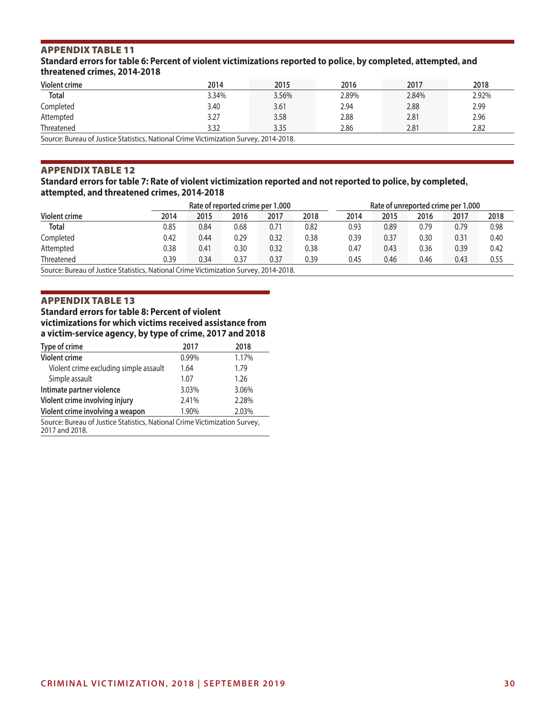**Standard errors for table 6: Percent of violent victimizations reported to police, by completed, attempted, and threatened crimes, 2014-2018**

| Violent crime                                                                         | 2014  | 2015  | 2016  | 2017  | 2018  |  |  |
|---------------------------------------------------------------------------------------|-------|-------|-------|-------|-------|--|--|
| <b>Total</b>                                                                          | 3.34% | 3.56% | 2.89% | 2.84% | 2.92% |  |  |
| Completed                                                                             | 3.40  | 3.61  | 2.94  | 2.88  | 2.99  |  |  |
| Attempted                                                                             | 3.27  | 3.58  | 2.88  | 2.81  | 2.96  |  |  |
| Threatened                                                                            | 3.32  | 3.35  | 2.86  | 2.81  | 2.82  |  |  |
| Source: Bureau of Justice Statistics, National Crime Victimization Survey, 2014-2018. |       |       |       |       |       |  |  |

### APPENDIX TABLE 12

### **Standard errors for table 7: Rate of violent victimization reported and not reported to police, by completed, attempted, and threatened crimes, 2014-2018**

|                                                                                     |      | Rate of reported crime per 1,000 |      |      |      |      | Rate of unreported crime per 1,000 |      |      |      |
|-------------------------------------------------------------------------------------|------|----------------------------------|------|------|------|------|------------------------------------|------|------|------|
| Violent crime                                                                       | 2014 | 2015                             | 2016 | 2017 | 2018 | 2014 | 2015                               | 2016 | 2017 | 2018 |
| <b>Total</b>                                                                        | 0.85 | 0.84                             | 0.68 | 0.71 | 0.82 | 0.93 | 0.89                               | 0.79 | 0.79 | 0.98 |
| Completed                                                                           | 0.42 | 0.44                             | 0.29 | 0.32 | 0.38 | 0.39 | 0.37                               | 0.30 | 0.31 | 0.40 |
| Attempted                                                                           | 0.38 | 0.41                             | 0.30 | 0.32 | 0.38 | 0.47 | 0.43                               | 0.36 | 0.39 | 0.42 |
| Threatened                                                                          | 0.39 | 0.34                             | 0.37 | 0.37 | 0.39 | 0.45 | 0.46                               | 0.46 | 0.43 | 0.55 |
| Course, Durant of Luting Ctatistics, National Crime Victimization Current 2014 2010 |      |                                  |      |      |      |      |                                    |      |      |      |

Source: Bureau of Justice Statistics, National Crime Victimization Survey, 2014-2018.

## APPENDIX TABLE 13

**Standard errors for table 8: Percent of violent victimizations for which victims received assistance from a victim-service agency, by type of crime, 2017 and 2018**

| Type of crime                                                                                | 2017  | 2018  |  |  |  |  |
|----------------------------------------------------------------------------------------------|-------|-------|--|--|--|--|
| <b>Violent crime</b>                                                                         | 0.99% | 1.17% |  |  |  |  |
| Violent crime excluding simple assault                                                       | 1.64  | 1.79  |  |  |  |  |
| Simple assault                                                                               | 1.07  | 1.26  |  |  |  |  |
| Intimate partner violence                                                                    | 3.03% | 3.06% |  |  |  |  |
| Violent crime involving injury                                                               | 2.41% | 2.28% |  |  |  |  |
| Violent crime involving a weapon                                                             | 1.90% | 2.03% |  |  |  |  |
| Source: Bureau of Justice Statistics, National Crime Victimization Survey,<br>2017 and 2018. |       |       |  |  |  |  |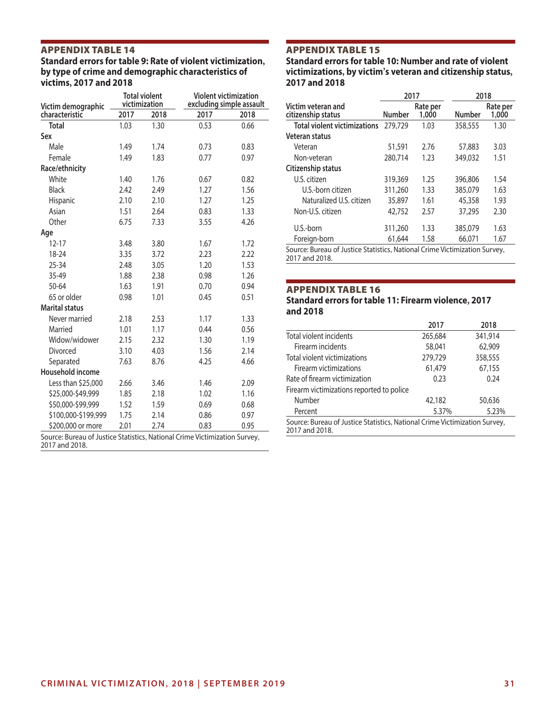**Standard errors for table 9: Rate of violent victimization, by type of crime and demographic characteristics of victims, 2017 and 2018 Total violent Violent victimization** 

| Victim demographic                                                         |      | Total violent<br>victimization |      | Violent victimization<br>excluding simple assault |  |  |  |
|----------------------------------------------------------------------------|------|--------------------------------|------|---------------------------------------------------|--|--|--|
| characteristic                                                             | 2017 | 2018                           | 2017 | 2018                                              |  |  |  |
| <b>Total</b>                                                               | 1.03 | 1.30                           | 0.53 | 0.66                                              |  |  |  |
| Sex                                                                        |      |                                |      |                                                   |  |  |  |
| Male                                                                       | 1.49 | 1.74                           | 0.73 | 0.83                                              |  |  |  |
| Female                                                                     | 1.49 | 1.83                           | 0.77 | 0.97                                              |  |  |  |
| Race/ethnicity                                                             |      |                                |      |                                                   |  |  |  |
| White                                                                      | 1.40 | 1.76                           | 0.67 | 0.82                                              |  |  |  |
| <b>Black</b>                                                               | 2.42 | 2.49                           | 1.27 | 1.56                                              |  |  |  |
| Hispanic                                                                   | 2.10 | 2.10                           | 1.27 | 1.25                                              |  |  |  |
| Asian                                                                      | 1.51 | 2.64                           | 0.83 | 1.33                                              |  |  |  |
| Other                                                                      | 6.75 | 7.33                           | 3.55 | 4.26                                              |  |  |  |
| Age                                                                        |      |                                |      |                                                   |  |  |  |
| $12 - 17$                                                                  | 3.48 | 3.80                           | 1.67 | 1.72                                              |  |  |  |
| 18-24                                                                      | 3.35 | 3.72                           | 2.23 | 2.22                                              |  |  |  |
| 25-34                                                                      | 2.48 | 3.05                           | 1.20 | 1.53                                              |  |  |  |
| 35-49                                                                      | 1.88 | 2.38                           | 0.98 | 1.26                                              |  |  |  |
| 50-64                                                                      | 1.63 | 1.91                           | 0.70 | 0.94                                              |  |  |  |
| 65 or older                                                                | 0.98 | 1.01                           | 0.45 | 0.51                                              |  |  |  |
| <b>Marital status</b>                                                      |      |                                |      |                                                   |  |  |  |
| Never married                                                              | 2.18 | 2.53                           | 1.17 | 1.33                                              |  |  |  |
| Married                                                                    | 1.01 | 1.17                           | 0.44 | 0.56                                              |  |  |  |
| Widow/widower                                                              | 2.15 | 2.32                           | 1.30 | 1.19                                              |  |  |  |
| Divorced                                                                   | 3.10 | 4.03                           | 1.56 | 2.14                                              |  |  |  |
| Separated                                                                  | 7.63 | 8.76                           | 4.25 | 4.66                                              |  |  |  |
| Household income                                                           |      |                                |      |                                                   |  |  |  |
| Less than \$25,000                                                         | 2.66 | 3.46                           | 1.46 | 2.09                                              |  |  |  |
| \$25,000-\$49,999                                                          | 1.85 | 2.18                           | 1.02 | 1.16                                              |  |  |  |
| \$50,000-\$99,999                                                          | 1.52 | 1.59                           | 0.69 | 0.68                                              |  |  |  |
| \$100,000-\$199,999                                                        | 1.75 | 2.14                           | 0.86 | 0.97                                              |  |  |  |
| \$200,000 or more                                                          | 2.01 | 2.74                           | 0.83 | 0.95                                              |  |  |  |
| Source: Bureau of Justice Statistics, National Crime Victimization Survey, |      |                                |      |                                                   |  |  |  |

2017 and 2018.

## APPENDIX TABLE 15

**Standard errors for table 10: Number and rate of violent victimizations, by victim's veteran and citizenship status, 2017 and 2018**

|                                                                           | 2017          |                   | 2018    |                   |
|---------------------------------------------------------------------------|---------------|-------------------|---------|-------------------|
| Victim veteran and<br>citizenship status                                  | <b>Number</b> | Rate per<br>1,000 | Number  | Rate per<br>1.000 |
| <b>Total violent victimizations</b>                                       | 279,729       | 1.03              | 358,555 | 1.30              |
| Veteran status                                                            |               |                   |         |                   |
| Veteran                                                                   | 51,591        | 2.76              | 57,883  | 3.03              |
| Non-veteran                                                               | 280,714       | 1.23              | 349,032 | 1.51              |
| Citizenship status                                                        |               |                   |         |                   |
| U.S. citizen                                                              | 319,369       | 1.25              | 396,806 | 1.54              |
| U.S.-born citizen                                                         | 311,260       | 1.33              | 385,079 | 1.63              |
| Naturalized U.S. citizen                                                  | 35,897        | 1.61              | 45,358  | 1.93              |
| Non-U.S. citizen                                                          | 42,752        | 2.57              | 37,295  | 2.30              |
| U.S.-born                                                                 | 311,260       | 1.33              | 385,079 | 1.63              |
| Foreign-born                                                              | 61,644        | 1.58              | 66,071  | 1.67              |
| Source: Rureau of Justice Statistics, National Crime Victimization Survey |               |                   |         |                   |

u of Justice Statistics, National Crime Victimization Survey, 2017 and 2018.

#### APPENDIX TABLE 16

#### **Standard errors for table 11: Firearm violence, 2017 and 2018**

|                                                                                              | 2017    | 2018    |
|----------------------------------------------------------------------------------------------|---------|---------|
| Total violent incidents                                                                      | 265,684 | 341,914 |
| Firearm incidents                                                                            | 58,041  | 62,909  |
| Total violent victimizations                                                                 | 279,729 | 358,555 |
| Firearm victimizations                                                                       | 61,479  | 67,155  |
| Rate of firearm victimization                                                                | 0.23    | 0.24    |
| Firearm victimizations reported to police                                                    |         |         |
| Number                                                                                       | 42,182  | 50,636  |
| Percent                                                                                      | 5.37%   | 5.23%   |
| Source: Bureau of Justice Statistics, National Crime Victimization Survey,<br>2017 and 2018. |         |         |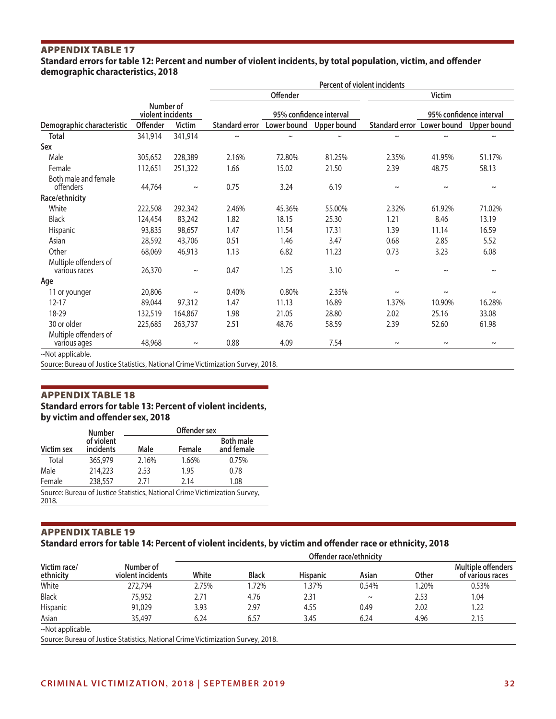## **Standard errors for table 12: Percent and number of violent incidents, by total population, victim, and offender demographic characteristics, 2018**

|                                        |                                |               | Percent of violent incidents |                       |                    |                            |                         |                       |
|----------------------------------------|--------------------------------|---------------|------------------------------|-----------------------|--------------------|----------------------------|-------------------------|-----------------------|
|                                        |                                |               |                              | Offender              |                    |                            | <b>Victim</b>           |                       |
|                                        | Number of<br>violent incidents |               | 95% confidence interval      |                       |                    |                            | 95% confidence interval |                       |
| Demographic characteristic             | Offender                       | <b>Victim</b> | Standard error               | Lower bound           | <b>Upper bound</b> | Standard error Lower bound |                         | Upper bound           |
| <b>Total</b>                           | 341,914                        | 341,914       | $\thicksim$                  | $\tilde{\phantom{a}}$ | $\sim$             | $\tilde{}$                 | $\tilde{\phantom{a}}$   | $\tilde{\phantom{a}}$ |
| Sex                                    |                                |               |                              |                       |                    |                            |                         |                       |
| Male                                   | 305,652                        | 228,389       | 2.16%                        | 72.80%                | 81.25%             | 2.35%                      | 41.95%                  | 51.17%                |
| Female                                 | 112,651                        | 251,322       | 1.66                         | 15.02                 | 21.50              | 2.39                       | 48.75                   | 58.13                 |
| Both male and female<br>offenders      | 44,764                         | $\thicksim$   | 0.75                         | 3.24                  | 6.19               | $\sim$                     | $\tilde{}$              | $\sim$                |
| Race/ethnicity                         |                                |               |                              |                       |                    |                            |                         |                       |
| White                                  | 222,508                        | 292,342       | 2.46%                        | 45.36%                | 55.00%             | 2.32%                      | 61.92%                  | 71.02%                |
| <b>Black</b>                           | 124,454                        | 83,242        | 1.82                         | 18.15                 | 25.30              | 1.21                       | 8.46                    | 13.19                 |
| Hispanic                               | 93,835                         | 98,657        | 1.47                         | 11.54                 | 17.31              | 1.39                       | 11.14                   | 16.59                 |
| Asian                                  | 28,592                         | 43,706        | 0.51                         | 1.46                  | 3.47               | 0.68                       | 2.85                    | 5.52                  |
| Other                                  | 68,069                         | 46,913        | 1.13                         | 6.82                  | 11.23              | 0.73                       | 3.23                    | 6.08                  |
| Multiple offenders of<br>various races | 26,370                         | $\thicksim$   | 0.47                         | 1.25                  | 3.10               | $\thicksim$                | $\tilde{}$              | $\sim$                |
| Age                                    |                                |               |                              |                       |                    |                            |                         |                       |
| 11 or younger                          | 20,806                         | $\thicksim$   | 0.40%                        | 0.80%                 | 2.35%              | $\thicksim$                |                         | $\thicksim$           |
| $12 - 17$                              | 89,044                         | 97,312        | 1.47                         | 11.13                 | 16.89              | 1.37%                      | 10.90%                  | 16.28%                |
| 18-29                                  | 132,519                        | 164,867       | 1.98                         | 21.05                 | 28.80              | 2.02                       | 25.16                   | 33.08                 |
| 30 or older                            | 225,685                        | 263,737       | 2.51                         | 48.76                 | 58.59              | 2.39                       | 52.60                   | 61.98                 |
| Multiple offenders of<br>various ages  | 48,968                         | $\thicksim$   | 0.88                         | 4.09                  | 7.54               | $\thicksim$                | $\thicksim$             | $\thicksim$           |
| ~Not applicable.                       |                                |               |                              |                       |                    |                            |                         |                       |

Source: Bureau of Justice Statistics, National Crime Victimization Survey, 2018.

## APPENDIX TABLE 18 **Standard errors for table 13: Percent of violent incidents, by victim and offender sex, 2018**

|            | <b>Number</b>           | Offender sex |        |                                                                            |  |  |  |
|------------|-------------------------|--------------|--------|----------------------------------------------------------------------------|--|--|--|
| Victim sex | of violent<br>incidents | Male         | Female | <b>Both male</b><br>and female                                             |  |  |  |
| Total      | 365,979                 | 2.16%        | 1.66%  | 0.75%                                                                      |  |  |  |
| Male       | 214,223                 | 2.53         | 1.95   | 0.78                                                                       |  |  |  |
| Female     | 238,557                 | 2.71         | 2.14   | 1.08                                                                       |  |  |  |
| 2018.      |                         |              |        | Source: Bureau of Justice Statistics, National Crime Victimization Survey, |  |  |  |

APPENDIX TABLE 19

## **Standard errors for table 14: Percent of violent incidents, by victim and offender race or ethnicity, 2018**

|                           |                                | Offender race/ethnicity |              |                 |        |       |                                                                         |  |  |  |
|---------------------------|--------------------------------|-------------------------|--------------|-----------------|--------|-------|-------------------------------------------------------------------------|--|--|--|
| Victim race/<br>ethnicity | Number of<br>violent incidents | White                   | <b>Black</b> | <b>Hispanic</b> | Asian  | Other | Multiple offenders<br>of various races<br>0.53%<br>1.04<br>1.22<br>2.15 |  |  |  |
| White                     | 272,794                        | 2.75%                   | 1.72%        | 1.37%           | 0.54%  | 1.20% |                                                                         |  |  |  |
| <b>Black</b>              | 75.952                         | 2.71                    | 4.76         | 2.31            | $\sim$ | 2.53  |                                                                         |  |  |  |
| Hispanic                  | 91,029                         | 3.93                    | 2.97         | 4.55            | 0.49   | 2.02  |                                                                         |  |  |  |
| Asian                     | 35,497                         | 6.24                    | 6.57         | 3.45            | 6.24   | 4.96  |                                                                         |  |  |  |
| ~Not applicable.          |                                |                         |              |                 |        |       |                                                                         |  |  |  |

Source: Bureau of Justice Statistics, National Crime Victimization Survey, 2018.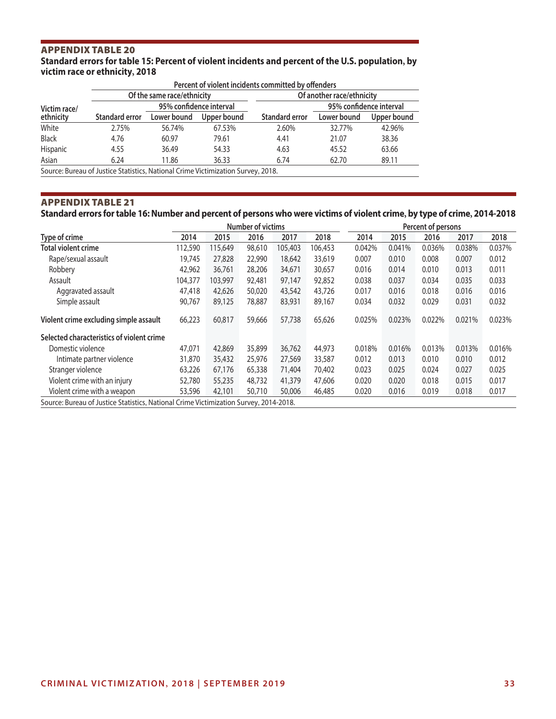**Standard errors for table 15: Percent of violent incidents and percent of the U.S. population, by victim race or ethnicity, 2018**

|              |                       | Of the same race/ethnicity |             | Of another race/ethnicity |                         |             |  |  |
|--------------|-----------------------|----------------------------|-------------|---------------------------|-------------------------|-------------|--|--|
| Victim race/ |                       | 95% confidence interval    |             |                           | 95% confidence interval |             |  |  |
| ethnicity    | <b>Standard error</b> | Lower bound                | Upper bound | <b>Standard error</b>     | Lower bound             | Upper bound |  |  |
| White        | 2.75%                 | 56.74%                     | 67.53%      | 2.60%                     | 32.77%                  | 42.96%      |  |  |
| <b>Black</b> | 4.76                  | 60.97                      | 79.61       | 4.41                      | 21.07                   | 38.36       |  |  |
| Hispanic     | 4.55                  | 36.49                      | 54.33       | 4.63                      | 45.52                   | 63.66       |  |  |
| Asian        | 6.24                  | 11.86                      | 36.33       | 6.74                      | 62.70                   | 89.11       |  |  |

## APPENDIX TABLE 21

**Standard errors for table 16: Number and percent of persons who were victims of violent crime, by type of crime, 2014-2018**

|                                           |         | Number of victims |                                                                                       |         |         |        |        | Percent of persons |        |        |  |
|-------------------------------------------|---------|-------------------|---------------------------------------------------------------------------------------|---------|---------|--------|--------|--------------------|--------|--------|--|
| Type of crime                             | 2014    | 2015              | 2016                                                                                  | 2017    | 2018    | 2014   | 2015   | 2016               | 2017   | 2018   |  |
| <b>Total violent crime</b>                | 112,590 | 115,649           | 98,610                                                                                | 105,403 | 106,453 | 0.042% | 0.041% | 0.036%             | 0.038% | 0.037% |  |
| Rape/sexual assault                       | 19.745  | 27,828            | 22,990                                                                                | 18,642  | 33,619  | 0.007  | 0.010  | 0.008              | 0.007  | 0.012  |  |
| Robbery                                   | 42,962  | 36,761            | 28,206                                                                                | 34,671  | 30,657  | 0.016  | 0.014  | 0.010              | 0.013  | 0.011  |  |
| Assault                                   | 104,377 | 103,997           | 92,481                                                                                | 97,147  | 92,852  | 0.038  | 0.037  | 0.034              | 0.035  | 0.033  |  |
| Aggravated assault                        | 47,418  | 42,626            | 50,020                                                                                | 43,542  | 43,726  | 0.017  | 0.016  | 0.018              | 0.016  | 0.016  |  |
| Simple assault                            | 90,767  | 89,125            | 78,887                                                                                | 83,931  | 89,167  | 0.034  | 0.032  | 0.029              | 0.031  | 0.032  |  |
| Violent crime excluding simple assault    | 66,223  | 60,817            | 59,666                                                                                | 57,738  | 65,626  | 0.025% | 0.023% | 0.022%             | 0.021% | 0.023% |  |
| Selected characteristics of violent crime |         |                   |                                                                                       |         |         |        |        |                    |        |        |  |
| Domestic violence                         | 47,071  | 42,869            | 35,899                                                                                | 36,762  | 44,973  | 0.018% | 0.016% | 0.013%             | 0.013% | 0.016% |  |
| Intimate partner violence                 | 31,870  | 35,432            | 25,976                                                                                | 27,569  | 33,587  | 0.012  | 0.013  | 0.010              | 0.010  | 0.012  |  |
| Stranger violence                         | 63,226  | 67,176            | 65,338                                                                                | 71,404  | 70,402  | 0.023  | 0.025  | 0.024              | 0.027  | 0.025  |  |
| Violent crime with an injury              | 52,780  | 55,235            | 48,732                                                                                | 41,379  | 47,606  | 0.020  | 0.020  | 0.018              | 0.015  | 0.017  |  |
| Violent crime with a weapon               | 53,596  | 42,101            | 50,710                                                                                | 50,006  | 46,485  | 0.020  | 0.016  | 0.019              | 0.018  | 0.017  |  |
|                                           |         |                   | Source: Bureau of Justice Statistics, National Crime Victimization Survey, 2014-2018. |         |         |        |        |                    |        |        |  |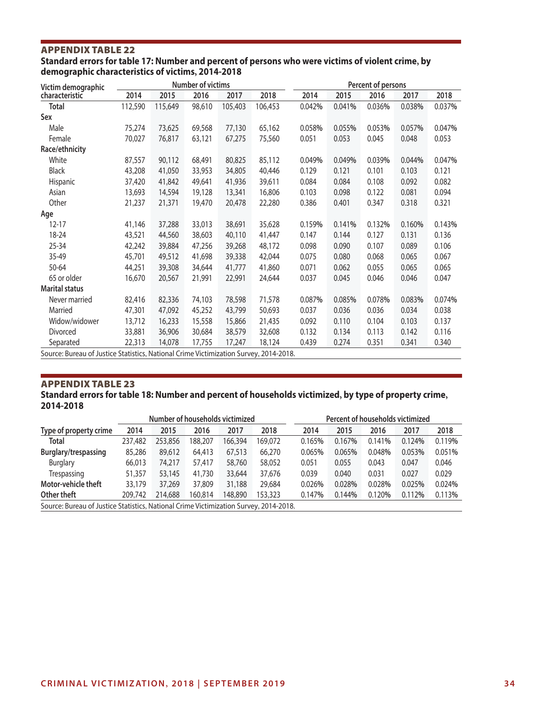### **Standard errors for table 17: Number and percent of persons who were victims of violent crime, by demographic characteristics of victims, 2014-2018**

| Victim demographic                                            |         |         | <b>Number of victims</b> |         |         |        | Percent of persons<br>2014<br>2016<br>2018<br>2015<br>2017<br>0.042%<br>0.041%<br>0.036%<br>0.038% |        |        |        |  |
|---------------------------------------------------------------|---------|---------|--------------------------|---------|---------|--------|----------------------------------------------------------------------------------------------------|--------|--------|--------|--|
| characteristic                                                | 2014    | 2015    | 2016                     | 2017    | 2018    |        |                                                                                                    |        |        |        |  |
| <b>Total</b>                                                  | 112,590 | 115,649 | 98,610                   | 105,403 | 106,453 |        |                                                                                                    |        |        | 0.037% |  |
| Sex                                                           |         |         |                          |         |         |        |                                                                                                    |        |        |        |  |
| Male                                                          | 75,274  | 73,625  | 69,568                   | 77,130  | 65,162  | 0.058% | 0.055%                                                                                             | 0.053% | 0.057% | 0.047% |  |
| Female                                                        | 70,027  | 76,817  | 63,121                   | 67,275  | 75,560  | 0.051  | 0.053                                                                                              | 0.045  | 0.048  | 0.053  |  |
| Race/ethnicity                                                |         |         |                          |         |         |        |                                                                                                    |        |        |        |  |
| White                                                         | 87,557  | 90,112  | 68,491                   | 80,825  | 85,112  | 0.049% | 0.049%                                                                                             | 0.039% | 0.044% | 0.047% |  |
| <b>Black</b>                                                  | 43,208  | 41,050  | 33,953                   | 34,805  | 40,446  | 0.129  | 0.121                                                                                              | 0.101  | 0.103  | 0.121  |  |
| Hispanic                                                      | 37,420  | 41,842  | 49,641                   | 41,936  | 39,611  | 0.084  | 0.084                                                                                              | 0.108  | 0.092  | 0.082  |  |
| Asian                                                         | 13,693  | 14,594  | 19,128                   | 13,341  | 16,806  | 0.103  | 0.098                                                                                              | 0.122  | 0.081  | 0.094  |  |
| Other                                                         | 21,237  | 21,371  | 19,470                   | 20,478  | 22,280  | 0.386  | 0.401                                                                                              | 0.347  | 0.318  | 0.321  |  |
| Age                                                           |         |         |                          |         |         |        |                                                                                                    |        |        |        |  |
| $12 - 17$                                                     | 41,146  | 37,288  | 33,013                   | 38,691  | 35,628  | 0.159% | 0.141%                                                                                             | 0.132% | 0.160% | 0.143% |  |
| 18-24                                                         | 43,521  | 44,560  | 38,603                   | 40,110  | 41,447  | 0.147  | 0.144                                                                                              | 0.127  | 0.131  | 0.136  |  |
| 25-34                                                         | 42,242  | 39,884  | 47,256                   | 39,268  | 48,172  | 0.098  | 0.090                                                                                              | 0.107  | 0.089  | 0.106  |  |
| 35-49                                                         | 45,701  | 49,512  | 41,698                   | 39,338  | 42,044  | 0.075  | 0.080                                                                                              | 0.068  | 0.065  | 0.067  |  |
| 50-64                                                         | 44,251  | 39,308  | 34,644                   | 41,777  | 41,860  | 0.071  | 0.062                                                                                              | 0.055  | 0.065  | 0.065  |  |
| 65 or older                                                   | 16,670  | 20,567  | 21,991                   | 22,991  | 24,644  | 0.037  | 0.045                                                                                              | 0.046  | 0.046  | 0.047  |  |
| <b>Marital status</b>                                         |         |         |                          |         |         |        |                                                                                                    |        |        |        |  |
| Never married                                                 | 82,416  | 82,336  | 74,103                   | 78,598  | 71,578  | 0.087% | 0.085%                                                                                             | 0.078% | 0.083% | 0.074% |  |
| Married                                                       | 47,301  | 47,092  | 45,252                   | 43,799  | 50,693  | 0.037  | 0.036                                                                                              | 0.036  | 0.034  | 0.038  |  |
| Widow/widower                                                 | 13,712  | 16,233  | 15,558                   | 15,866  | 21,435  | 0.092  | 0.110                                                                                              | 0.104  | 0.103  | 0.137  |  |
| Divorced                                                      | 33,881  | 36,906  | 30,684                   | 38,579  | 32,608  | 0.132  | 0.134                                                                                              | 0.113  | 0.142  | 0.116  |  |
| Separated<br>$\sim$ $\sim$ $\sim$ $\sim$ $\sim$ $\sim$ $\sim$ | 22,313  | 14,078  | 17,755                   | 17,247  | 18,124  | 0.439  | 0.274                                                                                              | 0.351  | 0.341  | 0.340  |  |

Source: Bureau of Justice Statistics, National Crime Victimization Survey, 2014-2018.

#### APPENDIX TABLE 23 **Standard errors for table 18: Number and percent of households victimized, by type of property crime, 2014-2018**

|                        |                                                                                       |         |         | Number of households victimized |         | Percent of households victimized |        |        |        |        |
|------------------------|---------------------------------------------------------------------------------------|---------|---------|---------------------------------|---------|----------------------------------|--------|--------|--------|--------|
| Type of property crime | 2014                                                                                  | 2015    | 2016    | 2017                            | 2018    | 2014                             | 2015   | 2016   | 2017   | 2018   |
| <b>Total</b>           | 237,482                                                                               | 253,856 | 188.207 | 166,394                         | 169,072 | 0.165%                           | 0.167% | 0.141% | 0.124% | 0.119% |
| Burglary/trespassing   | 85,286                                                                                | 89,612  | 64,413  | 67,513                          | 66,270  | 0.065%                           | 0.065% | 0.048% | 0.053% | 0.051% |
| <b>Burglary</b>        | 66,013                                                                                | 74,217  | 57,417  | 58,760                          | 58,052  | 0.051                            | 0.055  | 0.043  | 0.047  | 0.046  |
| Trespassing            | 51,357                                                                                | 53,145  | 41,730  | 33,644                          | 37,676  | 0.039                            | 0.040  | 0.031  | 0.027  | 0.029  |
| Motor-vehicle theft    | 33,179                                                                                | 37,269  | 37,809  | 31,188                          | 29,684  | 0.026%                           | 0.028% | 0.028% | 0.025% | 0.024% |
| Other theft            | 209,742                                                                               | 214,688 | 160,814 | 148,890                         | 153,323 | 0.147%                           | 0.144% | 0.120% | 0.112% | 0.113% |
|                        | Source: Bureau of Justice Statistics, National Crime Victimization Survey, 2014-2018. |         |         |                                 |         |                                  |        |        |        |        |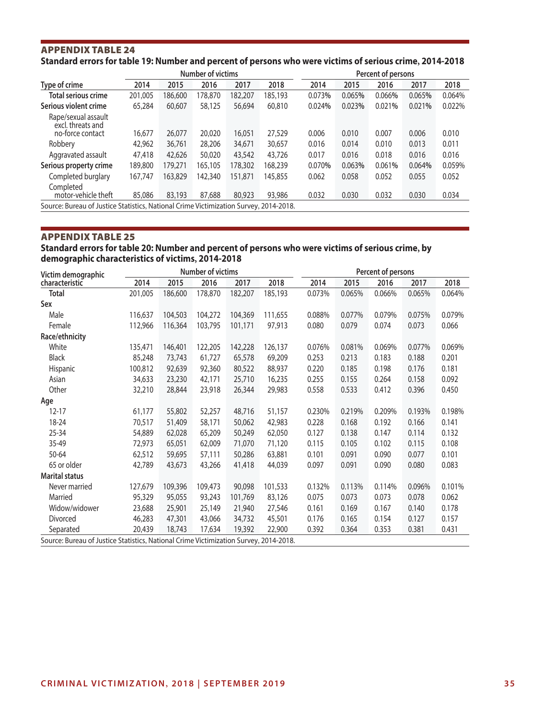### APPENDIX TABLE 24 **Standard errors for table 19: Number and percent of persons who were victims of serious crime, 2014-2018**

|                                                                                       |         |         | <b>Number of victims</b> |         |         |        |        | Percent of persons |        |        |
|---------------------------------------------------------------------------------------|---------|---------|--------------------------|---------|---------|--------|--------|--------------------|--------|--------|
| Type of crime                                                                         | 2014    | 2015    | 2016                     | 2017    | 2018    | 2014   | 2015   | 2016               | 2017   | 2018   |
| <b>Total serious crime</b>                                                            | 201,005 | 186,600 | 178,870                  | 182,207 | 185,193 | 0.073% | 0.065% | 0.066%             | 0.065% | 0.064% |
| Serious violent crime                                                                 | 65,284  | 60,607  | 58,125                   | 56,694  | 60,810  | 0.024% | 0.023% | 0.021%             | 0.021% | 0.022% |
| Rape/sexual assault<br>excl. threats and<br>no-force contact                          | 16,677  | 26,077  | 20,020                   | 16,051  | 27,529  | 0.006  | 0.010  | 0.007              | 0.006  | 0.010  |
| Robbery                                                                               | 42,962  | 36,761  | 28,206                   | 34,671  | 30,657  | 0.016  | 0.014  | 0.010              | 0.013  | 0.011  |
| Aggravated assault                                                                    | 47,418  | 42,626  | 50,020                   | 43,542  | 43,726  | 0.017  | 0.016  | 0.018              | 0.016  | 0.016  |
| Serious property crime                                                                | 189,800 | 179,271 | 165,105                  | 178,302 | 168,239 | 0.070% | 0.063% | 0.061%             | 0.064% | 0.059% |
| Completed burglary                                                                    | 167,747 | 163,829 | 142,340                  | 151,871 | 145,855 | 0.062  | 0.058  | 0.052              | 0.055  | 0.052  |
| Completed<br>motor-vehicle theft                                                      | 85,086  | 83,193  | 87,688                   | 80,923  | 93,986  | 0.032  | 0.030  | 0.032              | 0.030  | 0.034  |
| Source: Bureau of Justice Statistics, National Crime Victimization Survey, 2014-2018. |         |         |                          |         |         |        |        |                    |        |        |

### APPENDIX TABLE 25

## **Standard errors for table 20: Number and percent of persons who were victims of serious crime, by demographic characteristics of victims, 2014-2018**

| Victim demographic                                                                    |         |         | Number of victims |         |         |        |        | Percent of persons |        |        |
|---------------------------------------------------------------------------------------|---------|---------|-------------------|---------|---------|--------|--------|--------------------|--------|--------|
| characteristic                                                                        | 2014    | 2015    | 2016              | 2017    | 2018    | 2014   | 2015   | 2016               | 2017   | 2018   |
| <b>Total</b>                                                                          | 201,005 | 186,600 | 178,870           | 182,207 | 185,193 | 0.073% | 0.065% | 0.066%             | 0.065% | 0.064% |
| Sex                                                                                   |         |         |                   |         |         |        |        |                    |        |        |
| Male                                                                                  | 116,637 | 104,503 | 104,272           | 104,369 | 111,655 | 0.088% | 0.077% | 0.079%             | 0.075% | 0.079% |
| Female                                                                                | 112,966 | 116,364 | 103,795           | 101,171 | 97,913  | 0.080  | 0.079  | 0.074              | 0.073  | 0.066  |
| Race/ethnicity                                                                        |         |         |                   |         |         |        |        |                    |        |        |
| White                                                                                 | 135,471 | 146,401 | 122,205           | 142,228 | 126,137 | 0.076% | 0.081% | 0.069%             | 0.077% | 0.069% |
| <b>Black</b>                                                                          | 85,248  | 73,743  | 61,727            | 65,578  | 69,209  | 0.253  | 0.213  | 0.183              | 0.188  | 0.201  |
| Hispanic                                                                              | 100,812 | 92,639  | 92,360            | 80,522  | 88,937  | 0.220  | 0.185  | 0.198              | 0.176  | 0.181  |
| Asian                                                                                 | 34,633  | 23,230  | 42,171            | 25,710  | 16,235  | 0.255  | 0.155  | 0.264              | 0.158  | 0.092  |
| Other                                                                                 | 32,210  | 28,844  | 23,918            | 26,344  | 29,983  | 0.558  | 0.533  | 0.412              | 0.396  | 0.450  |
| Age                                                                                   |         |         |                   |         |         |        |        |                    |        |        |
| $12 - 17$                                                                             | 61,177  | 55,802  | 52,257            | 48,716  | 51,157  | 0.230% | 0.219% | 0.209%             | 0.193% | 0.198% |
| 18-24                                                                                 | 70,517  | 51,409  | 58,171            | 50,062  | 42,983  | 0.228  | 0.168  | 0.192              | 0.166  | 0.141  |
| 25-34                                                                                 | 54,889  | 62,028  | 65,209            | 50,249  | 62,050  | 0.127  | 0.138  | 0.147              | 0.114  | 0.132  |
| 35-49                                                                                 | 72,973  | 65,051  | 62,009            | 71,070  | 71,120  | 0.115  | 0.105  | 0.102              | 0.115  | 0.108  |
| 50-64                                                                                 | 62,512  | 59,695  | 57,111            | 50,286  | 63,881  | 0.101  | 0.091  | 0.090              | 0.077  | 0.101  |
| 65 or older                                                                           | 42,789  | 43,673  | 43,266            | 41,418  | 44,039  | 0.097  | 0.091  | 0.090              | 0.080  | 0.083  |
| <b>Marital status</b>                                                                 |         |         |                   |         |         |        |        |                    |        |        |
| Never married                                                                         | 127,679 | 109,396 | 109,473           | 90,098  | 101,533 | 0.132% | 0.113% | 0.114%             | 0.096% | 0.101% |
| Married                                                                               | 95,329  | 95,055  | 93,243            | 101,769 | 83,126  | 0.075  | 0.073  | 0.073              | 0.078  | 0.062  |
| Widow/widower                                                                         | 23,688  | 25,901  | 25,149            | 21,940  | 27,546  | 0.161  | 0.169  | 0.167              | 0.140  | 0.178  |
| Divorced                                                                              | 46,283  | 47,301  | 43,066            | 34,732  | 45,501  | 0.176  | 0.165  | 0.154              | 0.127  | 0.157  |
| Separated                                                                             | 20,439  | 18,743  | 17,634            | 19,392  | 22,900  | 0.392  | 0.364  | 0.353              | 0.381  | 0.431  |
| Source: Bureau of Justice Statistics, National Crime Victimization Survey, 2014-2018. |         |         |                   |         |         |        |        |                    |        |        |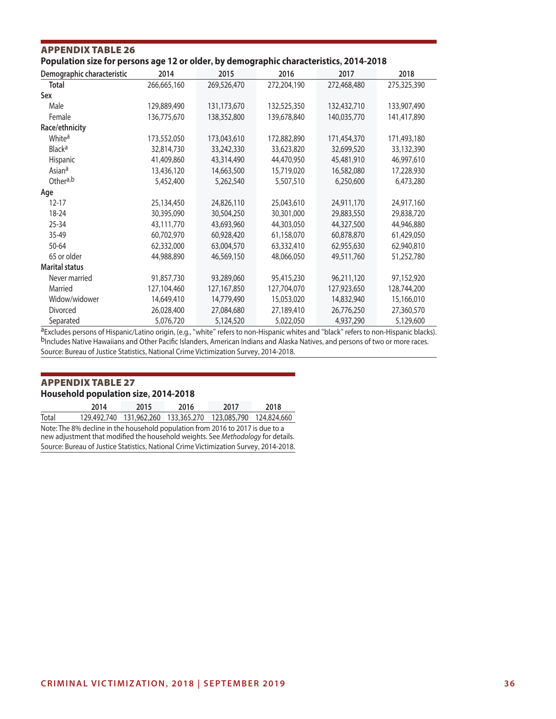| Population size for persons age 12 or older, by demographic characteristics, 2014-2018 |             |             |             |             |             |  |  |  |  |  |
|----------------------------------------------------------------------------------------|-------------|-------------|-------------|-------------|-------------|--|--|--|--|--|
| Demographic characteristic                                                             | 2014        | 2015        | 2016        | 2017        | 2018        |  |  |  |  |  |
| <b>Total</b>                                                                           | 266,665,160 | 269,526,470 | 272,204,190 | 272,468,480 | 275,325,390 |  |  |  |  |  |
| Sex                                                                                    |             |             |             |             |             |  |  |  |  |  |
| Male                                                                                   | 129,889,490 | 131,173,670 | 132,525,350 | 132,432,710 | 133,907,490 |  |  |  |  |  |
| Female                                                                                 | 136,775,670 | 138,352,800 | 139,678,840 | 140,035,770 | 141,417,890 |  |  |  |  |  |
| Race/ethnicity                                                                         |             |             |             |             |             |  |  |  |  |  |
| White <sup>a</sup>                                                                     | 173,552,050 | 173,043,610 | 172,882,890 | 171,454,370 | 171,493,180 |  |  |  |  |  |
| <b>Black<sup>a</sup></b>                                                               | 32,814,730  | 33,242,330  | 33,623,820  | 32,699,520  | 33,132,390  |  |  |  |  |  |
| Hispanic                                                                               | 41,409,860  | 43,314,490  | 44,470,950  | 45,481,910  | 46,997,610  |  |  |  |  |  |
| Asian <sup>a</sup>                                                                     | 13,436,120  | 14,663,500  | 15,719,020  | 16,582,080  | 17,228,930  |  |  |  |  |  |
| Othera,b                                                                               | 5,452,400   | 5,262,540   | 5,507,510   | 6,250,600   | 6,473,280   |  |  |  |  |  |
| Age                                                                                    |             |             |             |             |             |  |  |  |  |  |
| $12 - 17$                                                                              | 25,134,450  | 24,826,110  | 25,043,610  | 24,911,170  | 24,917,160  |  |  |  |  |  |
| 18-24                                                                                  | 30,395,090  | 30,504,250  | 30,301,000  | 29,883,550  | 29,838,720  |  |  |  |  |  |
| 25-34                                                                                  | 43,111,770  | 43,693,960  | 44,303,050  | 44,327,500  | 44,946,880  |  |  |  |  |  |
| 35-49                                                                                  | 60,702,970  | 60,928,420  | 61,158,070  | 60,878,870  | 61,429,050  |  |  |  |  |  |
| 50-64                                                                                  | 62,332,000  | 63,004,570  | 63,332,410  | 62,955,630  | 62,940,810  |  |  |  |  |  |
| 65 or older                                                                            | 44,988,890  | 46,569,150  | 48,066,050  | 49,511,760  | 51,252,780  |  |  |  |  |  |
| <b>Marital status</b>                                                                  |             |             |             |             |             |  |  |  |  |  |
| Never married                                                                          | 91,857,730  | 93,289,060  | 95,415,230  | 96,211,120  | 97,152,920  |  |  |  |  |  |
| Married                                                                                | 127,104,460 | 127,167,850 | 127,704,070 | 127,923,650 | 128,744,200 |  |  |  |  |  |
| Widow/widower                                                                          | 14,649,410  | 14,779,490  | 15,053,020  | 14,832,940  | 15,166,010  |  |  |  |  |  |
| Divorced                                                                               | 26,028,400  | 27,084,680  | 27,189,410  | 26,776,250  | 27,360,570  |  |  |  |  |  |
| Separated                                                                              | 5,076,720   | 5,124,520   | 5,022,050   | 4,937,290   | 5,129,600   |  |  |  |  |  |

aExcludes persons of Hispanic/Latino origin, (e.g., "white" refers to non-Hispanic whites and "black" refers to non-Hispanic blacks). bIncludes Native Hawaiians and Other Pacific Islanders, American Indians and Alaska Natives, and persons of two or more races. Source: Bureau of Justice Statistics, National Crime Victimization Survey, 2014-2018.

## APPENDIX TABLE 27 **Household population size, 2014-2018**

APPENDIX TABLE 26

|                                                                                                                                                                    | 2014        | 2015                    | 2016 | 2017 | 2018                    |  |  |  |  |
|--------------------------------------------------------------------------------------------------------------------------------------------------------------------|-------------|-------------------------|------|------|-------------------------|--|--|--|--|
| Total                                                                                                                                                              | 129,492,740 | 131,962,260 133,365,270 |      |      | 123,085,790 124,824,660 |  |  |  |  |
| Note: The 8% decline in the household population from 2016 to 2017 is due to a<br>new adjustment that modified the household weights. See Methodology for details. |             |                         |      |      |                         |  |  |  |  |
| Source: Bureau of Justice Statistics, National Crime Victimization Survey, 2014-2018.                                                                              |             |                         |      |      |                         |  |  |  |  |